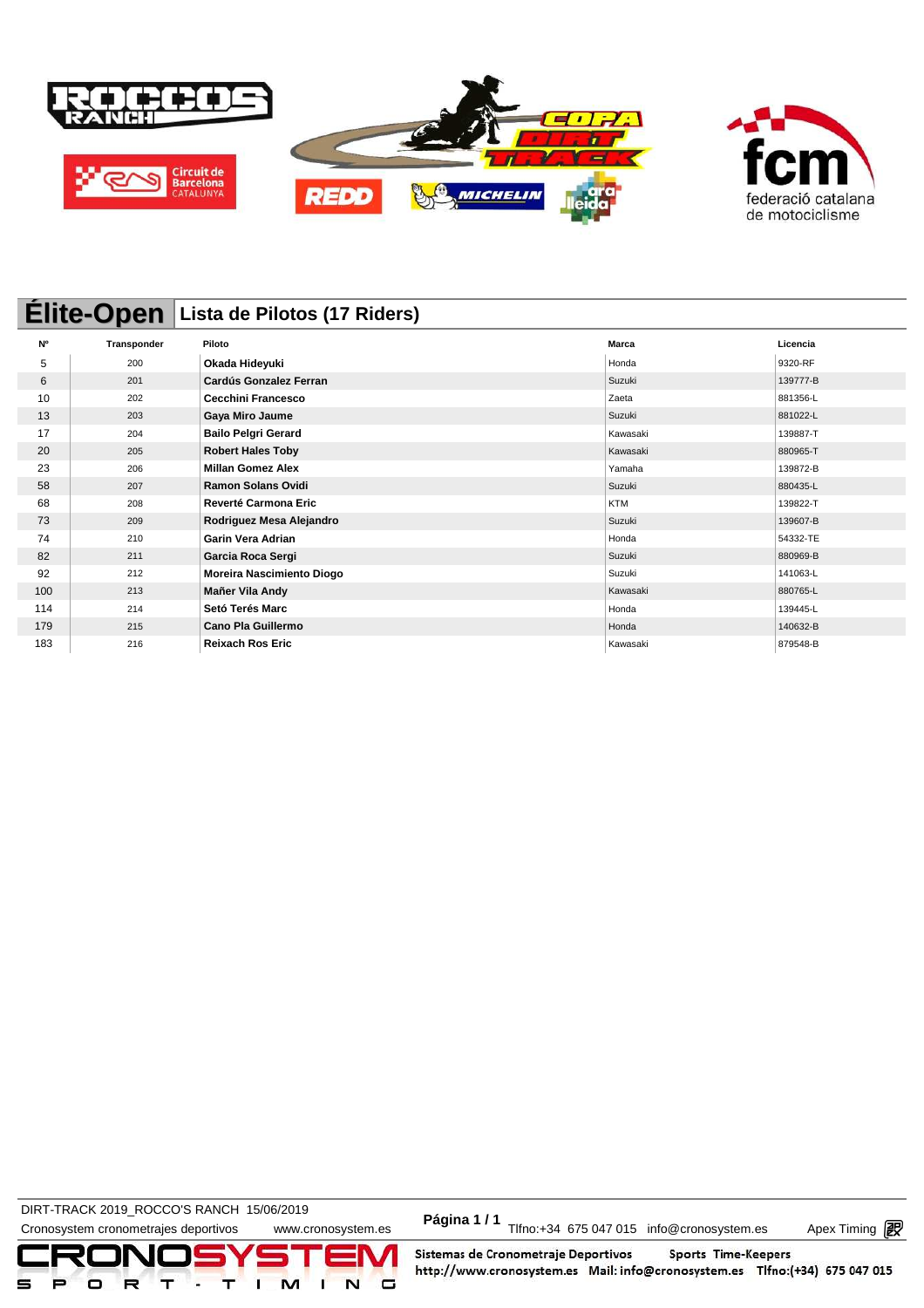

# **Élite-Open Lista de Pilotos (17 Riders)**

| <b>N°</b> | Transponder | Piloto                      | <b>Marca</b> | Licencia |
|-----------|-------------|-----------------------------|--------------|----------|
| 5         | 200         | Okada Hideyuki              | Honda        | 9320-RF  |
| 6         | 201         | Cardús Gonzalez Ferran      | Suzuki       | 139777-B |
| 10        | 202         | <b>Cecchini Francesco</b>   | Zaeta        | 881356-L |
| 13        | 203         | Gaya Miro Jaume             | Suzuki       | 881022-L |
| 17        | 204         | <b>Bailo Pelgri Gerard</b>  | Kawasaki     | 139887-T |
| 20        | 205         | <b>Robert Hales Toby</b>    | Kawasaki     | 880965-T |
| 23        | 206         | <b>Millan Gomez Alex</b>    | Yamaha       | 139872-B |
| 58        | 207         | <b>Ramon Solans Ovidi</b>   | Suzuki       | 880435-L |
| 68        | 208         | <b>Reverté Carmona Eric</b> | <b>KTM</b>   | 139822-T |
| 73        | 209         | Rodriguez Mesa Alejandro    | Suzuki       | 139607-B |
| 74        | 210         | <b>Garin Vera Adrian</b>    | Honda        | 54332-TE |
| 82        | 211         | Garcia Roca Sergi           | Suzuki       | 880969-B |
| 92        | 212         | Moreira Nascimiento Diogo   | Suzuki       | 141063-L |
| 100       | 213         | Mañer Vila Andy             | Kawasaki     | 880765-L |
| 114       | 214         | Setó Terés Marc             | Honda        | 139445-L |
| 179       | 215         | <b>Cano Pla Guillermo</b>   | Honda        | 140632-B |
| 183       | 216         | <b>Reixach Ros Eric</b>     | Kawasaki     | 879548-B |

DIRT-TRACK 2019\_ROCCO STANCH 19/00/2019<br>Cronosystem cronometrajes deportivos www.cronosystem.es Página 1/1 Tlfno:+34 675 047 015 info@cronosystem.es Apex Timing **DIRT-TRACK 2019\_ROCCO'S RANCH 15/06/2019** 

Apex Timing - timing solutions and services http://www.apex-timing.com/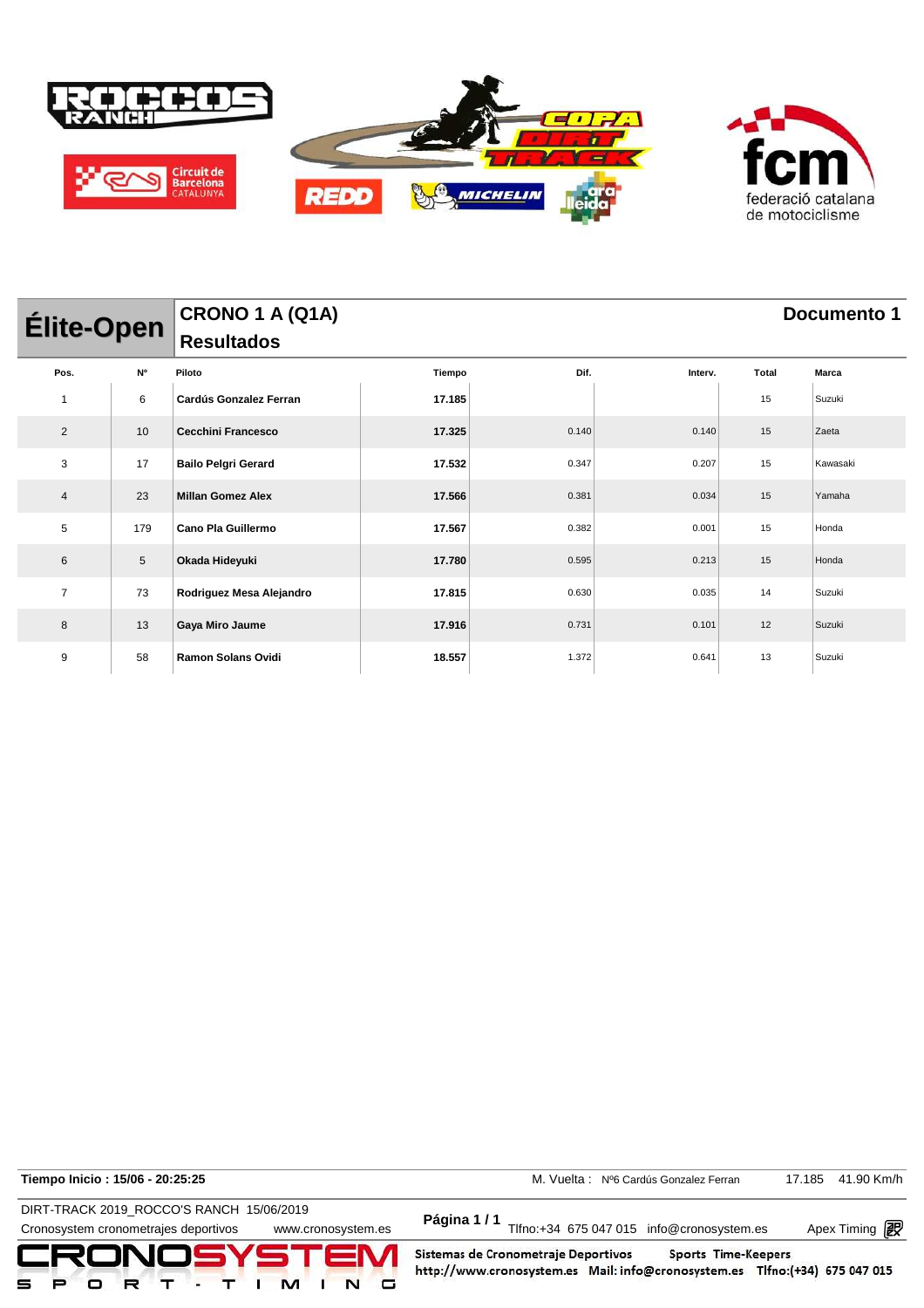

| Élite-Open     |                         | CRONO 1 A (Q1A)               |        | Documento 1 |         |       |          |  |  |
|----------------|-------------------------|-------------------------------|--------|-------------|---------|-------|----------|--|--|
|                |                         | <b>Resultados</b>             |        |             |         |       |          |  |  |
| Pos.           | $\mathsf{N}^\mathsf{o}$ | Piloto                        | Tiempo | Dif.        | Interv. | Total | Marca    |  |  |
| $\mathbf{1}$   | 6                       | <b>Cardús Gonzalez Ferran</b> | 17.185 |             |         | 15    | Suzuki   |  |  |
| $\overline{2}$ | 10                      | <b>Cecchini Francesco</b>     | 17.325 | 0.140       | 0.140   | 15    | Zaeta    |  |  |
| 3              | 17                      | <b>Bailo Pelgri Gerard</b>    | 17.532 | 0.347       | 0.207   | 15    | Kawasaki |  |  |
| 4              | 23                      | <b>Millan Gomez Alex</b>      | 17.566 | 0.381       | 0.034   | 15    | Yamaha   |  |  |
| 5              | 179                     | Cano Pla Guillermo            | 17.567 | 0.382       | 0.001   | 15    | Honda    |  |  |
| 6              | $\sqrt{5}$              | Okada Hideyuki                | 17.780 | 0.595       | 0.213   | 15    | Honda    |  |  |
| $\overline{7}$ | 73                      | Rodriguez Mesa Alejandro      | 17.815 | 0.630       | 0.035   | 14    | Suzuki   |  |  |
| 8              | 13                      | Gaya Miro Jaume               | 17.916 | 0.731       | 0.101   | 12    | Suzuki   |  |  |
| 9              | 58                      | Ramon Solans Ovidi            | 18.557 | 1.372       | 0.641   | 13    | Suzuki   |  |  |

**Tiempo Inicio : 15/06 - 20:25:25** M. Vuelta : Nº6 Cardús Gonzalez Ferran 17.185 41.90 Km/h

DIRT-TRACK 2019\_ROCCO'S RANCH 15/06/2019 **Página 1 / 1**

DIRT-TRACK 2019\_ROCCO STANCH 19/00/2019<br>Cronosystem cronometrajes deportivos www.cronosystem.es Página 1/1 Tlfno:+34 675 047 015 info@cronosystem.es Apex Timing

Apex Timing - timing solutions and services http://www.apex-timing.com/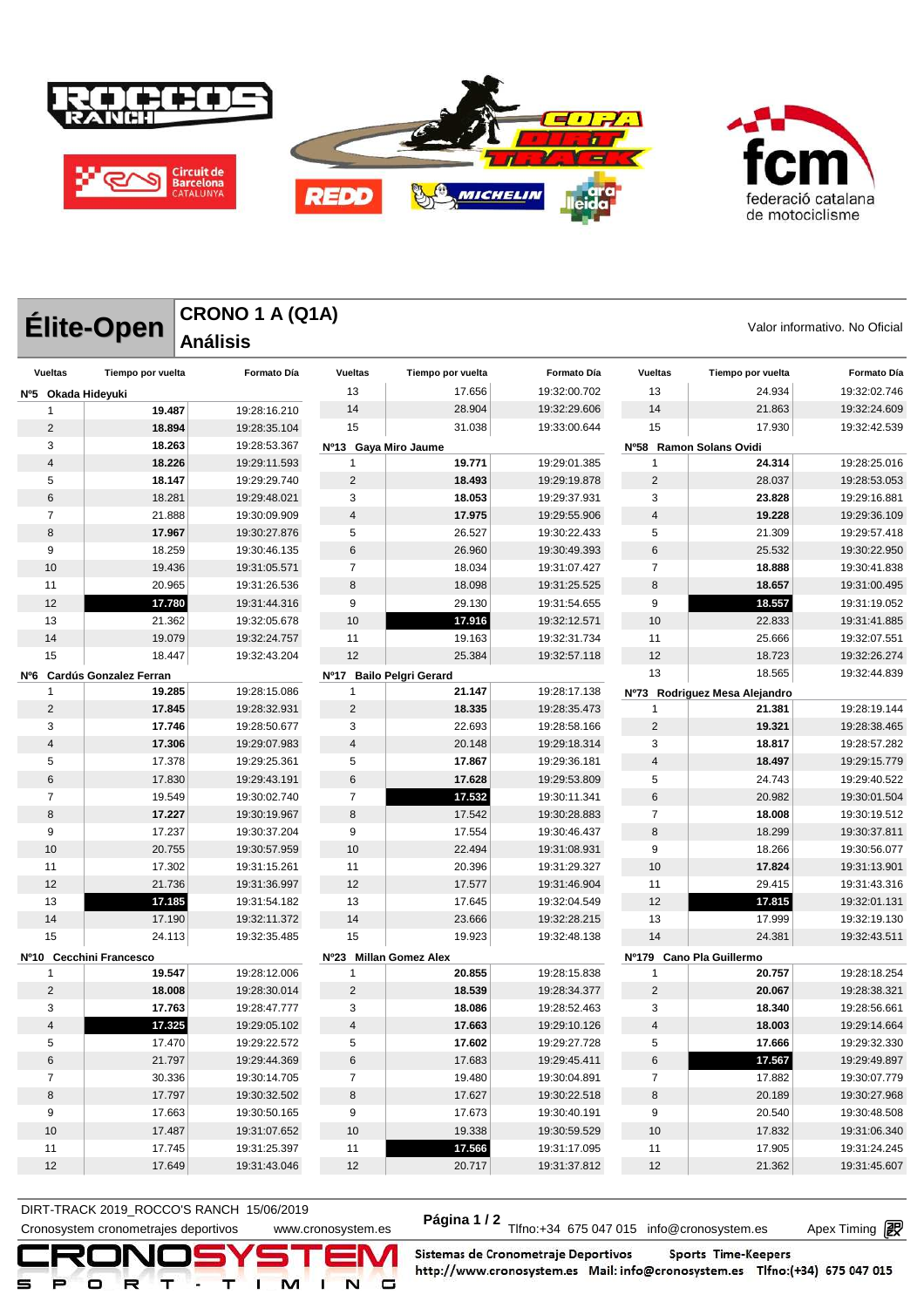

**CRONO 1 A (Q1A)**

**Análisis** 



**Élite-Open** CRONO 1 A (Q1A)<br>
Valor informativo. No Oficial

| <b>Vueltas</b>     | Tiempo por vuelta          | Formato Día  | <b>Vueltas</b>       | Tiempo por vuelta        | Formato Día  | <b>Vueltas</b> | Tiempo por vuelta             | Formato Día  |
|--------------------|----------------------------|--------------|----------------------|--------------------------|--------------|----------------|-------------------------------|--------------|
| Nº5 Okada Hideyuki |                            |              | 13                   | 17.656                   | 19:32:00.702 | 13             | 24.934                        | 19:32:02.746 |
| 1                  | 19.487                     | 19:28:16.210 | 14                   | 28.904                   | 19:32:29.606 | 14             | 21.863                        | 19:32:24.609 |
| 2                  | 18.894                     | 19:28:35.104 | 15                   | 31.038                   | 19:33:00.644 | 15             | 17.930                        | 19:32:42.539 |
| 3                  | 18.263                     | 19:28:53.367 | Nº13 Gaya Miro Jaume |                          |              |                | Nº58 Ramon Solans Ovidi       |              |
| $\overline{4}$     | 18.226                     | 19:29:11.593 | 1                    | 19.771                   | 19:29:01.385 | $\mathbf{1}$   | 24.314                        | 19:28:25.016 |
| 5                  | 18.147                     | 19:29:29.740 | $\overline{2}$       | 18.493                   | 19:29:19.878 | $\overline{2}$ | 28.037                        | 19:28:53.053 |
| 6                  | 18.281                     | 19:29:48.021 | 3                    | 18.053                   | 19:29:37.931 | 3              | 23.828                        | 19:29:16.881 |
| $\overline{7}$     | 21.888                     | 19:30:09.909 | 4                    | 17.975                   | 19:29:55.906 | $\overline{4}$ | 19.228                        | 19:29:36.109 |
| 8                  | 17.967                     | 19:30:27.876 | 5                    | 26.527                   | 19:30:22.433 | 5              | 21.309                        | 19:29:57.418 |
| 9                  | 18.259                     | 19:30:46.135 | $\,6$                | 26.960                   | 19:30:49.393 | 6              | 25.532                        | 19:30:22.950 |
| 10                 | 19.436                     | 19:31:05.571 | $\overline{7}$       | 18.034                   | 19:31:07.427 | $\overline{7}$ | 18.888                        | 19:30:41.838 |
| 11                 | 20.965                     | 19:31:26.536 | 8                    | 18.098                   | 19:31:25.525 | 8              | 18.657                        | 19:31:00.495 |
| 12                 | 17.780                     | 19:31:44.316 | 9                    | 29.130                   | 19:31:54.655 | 9              | 18.557                        | 19:31:19.052 |
| 13                 | 21.362                     | 19:32:05.678 | 10                   | 17.916                   | 19:32:12.571 | 10             | 22.833                        | 19:31:41.885 |
| 14                 | 19.079                     | 19:32:24.757 | 11                   | 19.163                   | 19:32:31.734 | 11             | 25.666                        | 19:32:07.551 |
| 15                 | 18.447                     | 19:32:43.204 | 12                   | 25.384                   | 19:32:57.118 | 12             | 18.723                        | 19:32:26.274 |
|                    | Nº6 Cardús Gonzalez Ferran |              |                      | Nº17 Bailo Pelgri Gerard |              | 13             | 18.565                        | 19:32:44.839 |
| 1                  | 19.285                     | 19:28:15.086 | 1                    | 21.147                   | 19:28:17.138 |                | Nº73 Rodriguez Mesa Alejandro |              |
| $\overline{2}$     | 17.845                     | 19:28:32.931 | 2                    | 18.335                   | 19:28:35.473 | $\overline{1}$ | 21.381                        | 19:28:19.144 |
| 3                  | 17.746                     | 19:28:50.677 | 3                    | 22.693                   | 19:28:58.166 | $\overline{2}$ | 19.321                        | 19:28:38.465 |
| 4                  | 17.306                     | 19:29:07.983 | 4                    | 20.148                   | 19:29:18.314 | 3              | 18.817                        | 19:28:57.282 |
| 5                  | 17.378                     | 19:29:25.361 | 5                    | 17.867                   | 19:29:36.181 | $\overline{4}$ | 18.497                        | 19:29:15.779 |
| 6                  | 17.830                     | 19:29:43.191 | $\,6$                | 17.628                   | 19:29:53.809 | 5              | 24.743                        | 19:29:40.522 |
| 7                  | 19.549                     | 19:30:02.740 | $\overline{7}$       | 17.532                   | 19:30:11.341 | 6              | 20.982                        | 19:30:01.504 |
| 8                  | 17.227                     | 19:30:19.967 | 8                    | 17.542                   | 19:30:28.883 | $\overline{7}$ | 18.008                        | 19:30:19.512 |
| 9                  | 17.237                     | 19:30:37.204 | 9                    | 17.554                   | 19:30:46.437 | 8              | 18.299                        | 19:30:37.811 |
| 10                 | 20.755                     | 19:30:57.959 | 10                   | 22.494                   | 19:31:08.931 | 9              | 18.266                        | 19:30:56.077 |
| 11                 | 17.302                     | 19:31:15.261 | 11                   | 20.396                   | 19:31:29.327 | 10             | 17.824                        | 19:31:13.901 |
| 12                 | 21.736                     | 19:31:36.997 | 12                   | 17.577                   | 19:31:46.904 | 11             | 29.415                        | 19:31:43.316 |
| 13                 | 17.185                     | 19:31:54.182 | 13                   | 17.645                   | 19:32:04.549 | 12             | 17.815                        | 19:32:01.131 |
| 14                 | 17.190                     | 19:32:11.372 | 14                   | 23.666                   | 19:32:28.215 | 13             | 17.999                        | 19:32:19.130 |
| 15                 | 24.113                     | 19:32:35.485 | 15                   | 19.923                   | 19:32:48.138 | 14             | 24.381                        | 19:32:43.511 |
|                    | Nº10 Cecchini Francesco    |              |                      | Nº23 Millan Gomez Alex   |              | Nº179          | <b>Cano Pla Guillermo</b>     |              |
| 1                  | 19.547                     | 19:28:12.006 | 1                    | 20.855                   | 19:28:15.838 | 1              | 20.757                        | 19:28:18.254 |
| $\overline{2}$     | 18.008                     | 19:28:30.014 | $\sqrt{2}$           | 18.539                   | 19:28:34.377 | $\overline{2}$ | 20.067                        | 19:28:38.321 |
| 3                  | 17.763                     | 19:28:47.777 | 3                    | 18.086                   | 19:28:52.463 | 3              | 18.340                        | 19:28:56.661 |
| $\overline{4}$     | 17.325                     | 19:29:05.102 | $\overline{4}$       | 17.663                   | 19:29:10.126 | $\overline{4}$ | 18.003                        | 19:29:14.664 |
| 5                  | 17.470                     | 19:29:22.572 | 5                    | 17.602                   | 19:29:27.728 | 5              | 17.666                        | 19:29:32.330 |
| 6                  | 21.797                     | 19:29:44.369 | $\,6$                | 17.683                   | 19:29:45.411 | 6              | 17.567                        | 19:29:49.897 |
| $\overline{7}$     | 30.336                     | 19:30:14.705 | $\overline{7}$       | 19.480                   | 19:30:04.891 | $\overline{7}$ | 17.882                        | 19:30:07.779 |
| 8                  | 17.797                     | 19:30:32.502 | $\bf 8$              | 17.627                   | 19:30:22.518 | $\bf 8$        | 20.189                        | 19:30:27.968 |
| 9                  | 17.663                     | 19:30:50.165 | 9                    | 17.673                   | 19:30:40.191 | 9              | 20.540                        | 19:30:48.508 |
| 10                 | 17.487                     | 19:31:07.652 | 10                   | 19.338                   | 19:30:59.529 | $10\,$         | 17.832                        | 19:31:06.340 |
| 11                 | 17.745                     | 19:31:25.397 | 11                   | 17.566                   | 19:31:17.095 | 11             | 17.905                        | 19:31:24.245 |
| 12                 | 17.649                     | 19:31:43.046 | 12                   | 20.717                   | 19:31:37.812 | 12             | 21.362                        | 19:31:45.607 |
|                    |                            |              |                      |                          |              |                |                               |              |

DIRT-TRACK 2019\_ROCCO STANCH 19/00/2019<br>Cronosystem cronometrajes deportivos www.cronosystem.es Página 1/2 Tlfno:+34 675 047 015 info@cronosystem.es Apex Timing **DIRT-TRACK 2019\_ROCCO'S RANCH 15/06/2019** 

Apex Timing - timing solutions and services http://www.apex-timing.com/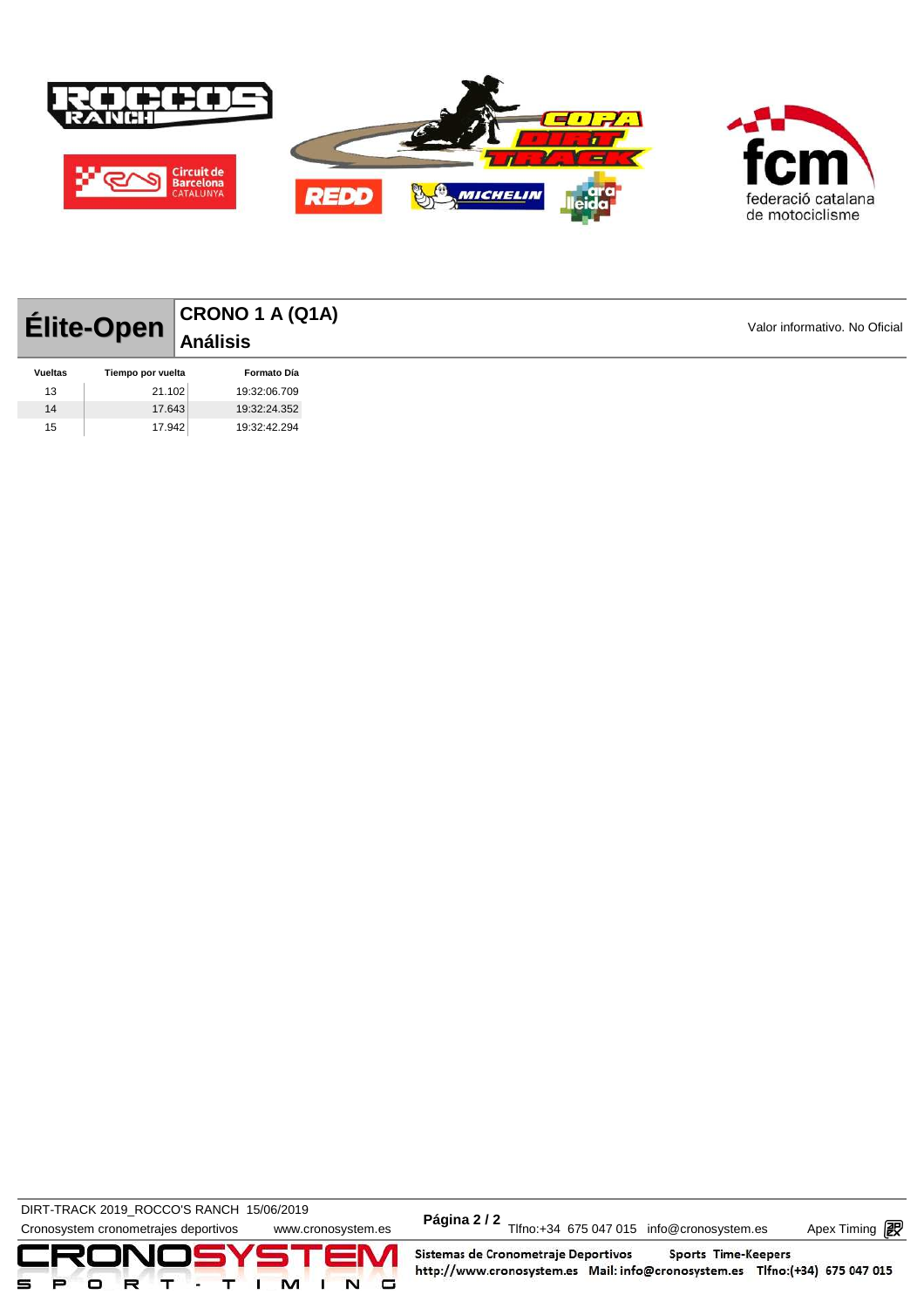

|                | Élite-Open        | CRONO 1 A (Q1A)<br>  Análisis |
|----------------|-------------------|-------------------------------|
|                |                   |                               |
| <b>Vueltas</b> | Tiempo por vuelta | <b>Formato Día</b>            |
| 13             | 21.102            | 19:32:06.709                  |
| 14             | 17.643            | 19:32:24.352                  |
| 15             | 17.942            | 19:32:42.294                  |

DIRT-TRACK 2019\_ROCCO STANCH 19/00/2019<br>Cronosystem cronometrajes deportivos www.cronosystem.es Página 2/2 Tlfno:+34 675 047 015 info@cronosystem.es Apex Timing DIRT-TRACK 2019\_ROCCO'S RANCH 15/06/2019 **Página 2 / 2**



Apex Timing - timing solutions and services http://www.apex-timing.com/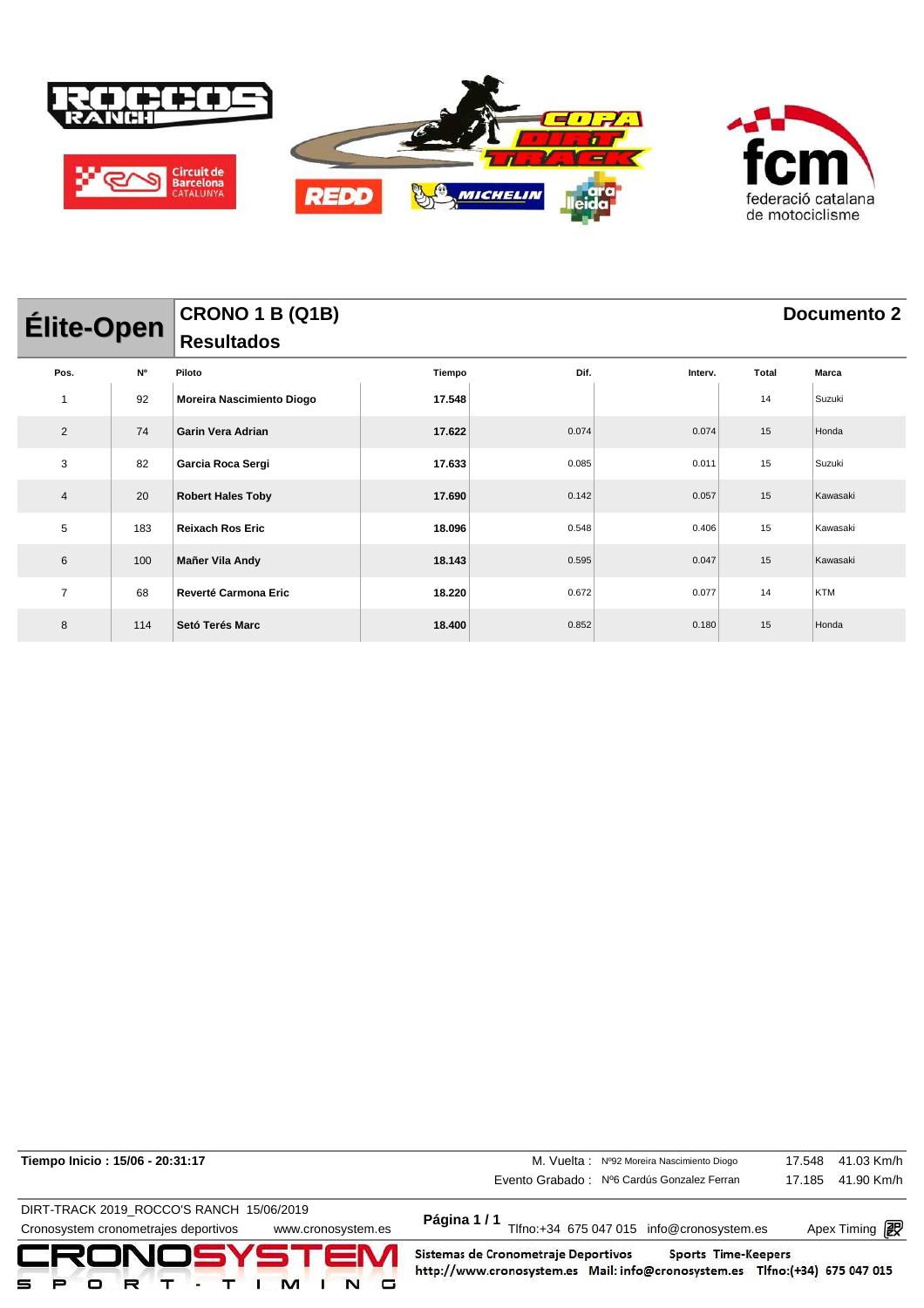

| <b>Élite-Open</b> |           | CRONO 1 B (Q1B)<br>Resultados |        | <b>Documento 2</b> |         |       |            |  |  |
|-------------------|-----------|-------------------------------|--------|--------------------|---------|-------|------------|--|--|
|                   |           |                               |        |                    |         |       |            |  |  |
| Pos.              | <b>N°</b> | Piloto                        | Tiempo | Dif.               | Interv. | Total | Marca      |  |  |
|                   | 92        | Moreira Nascimiento Diogo     | 17.548 |                    |         | 14    | Suzuki     |  |  |
| 2                 | 74        | <b>Garin Vera Adrian</b>      | 17.622 | 0.074              | 0.074   | 15    | Honda      |  |  |
| 3                 | 82        | Garcia Roca Sergi             | 17.633 | 0.085              | 0.011   | 15    | Suzuki     |  |  |
| 4                 | 20        | <b>Robert Hales Toby</b>      | 17.690 | 0.142              | 0.057   | 15    | Kawasaki   |  |  |
| 5                 | 183       | <b>Reixach Ros Eric</b>       | 18.096 | 0.548              | 0.406   | 15    | Kawasaki   |  |  |
| 6                 | 100       | Mañer Vila Andy               | 18.143 | 0.595              | 0.047   | 15    | Kawasaki   |  |  |
| $\overline{7}$    | 68        | <b>Reverté Carmona Eric</b>   | 18.220 | 0.672              | 0.077   | 14    | <b>KTM</b> |  |  |
| 8                 | 114       | Setó Terés Marc               | 18.400 | 0.852              | 0.180   | 15    | Honda      |  |  |

| Tiempo Inicio: 15/06 - 20:31:17          |                    |                                     | M. Vuelta: Nº92 Moreira Nascimiento Diogo                                                                 | 17.548 | 41.03 Km/h    |
|------------------------------------------|--------------------|-------------------------------------|-----------------------------------------------------------------------------------------------------------|--------|---------------|
|                                          |                    |                                     | Evento Grabado: Nº6 Cardús Gonzalez Ferran                                                                | 17.185 | 41.90 Km/h    |
| DIRT-TRACK 2019 ROCCO'S RANCH 15/06/2019 |                    |                                     |                                                                                                           |        |               |
| Cronosystem cronometrajes deportivos     | www.cronosystem.es |                                     | Página 1 / 1<br>Tlfno:+34 675 047 015 info@cronosystem.es                                                 |        | Apex Timing 图 |
| CRONOSYSTEM<br>=                         |                    | Sistemas de Cronometraje Deportivos | <b>Sports Time-Keepers</b><br>http://www.cronosystem.es Mail: info@cronosystem.es Tlfno:(+34) 675 047 015 |        |               |

Apex Timing - timing solutions and services http://www.apex-timing.com/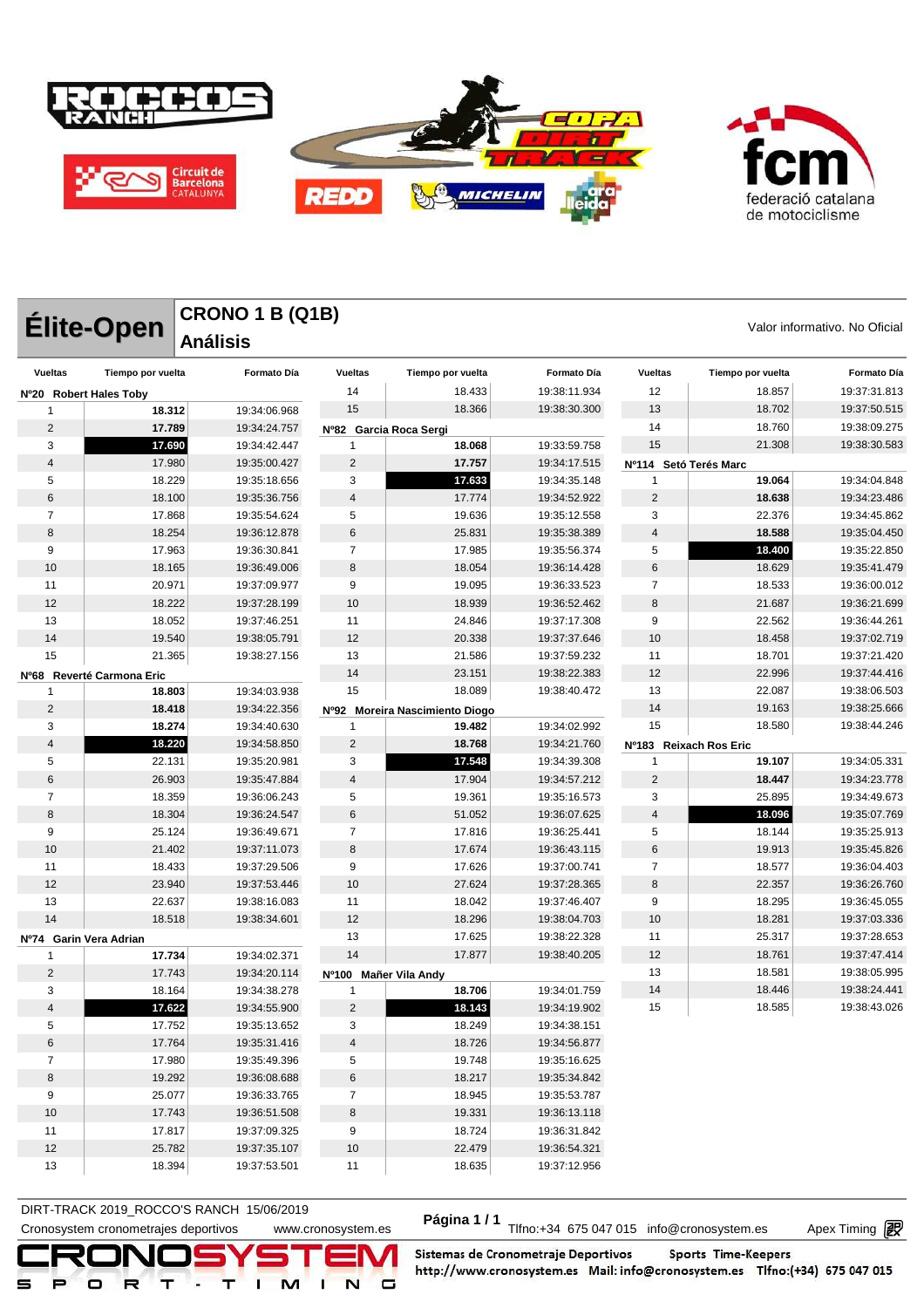

|                |                           | <b>CRONO 1 B (Q1B)</b> |                        |                                |              |                        |                   |                               |
|----------------|---------------------------|------------------------|------------------------|--------------------------------|--------------|------------------------|-------------------|-------------------------------|
|                | Élite-Open                | <b>Análisis</b>        |                        |                                |              |                        |                   | Valor informativo. No Oficial |
| <b>Vueltas</b> | Tiempo por vuelta         | <b>Formato Día</b>     | <b>Vueltas</b>         | Tiempo por vuelta              | Formato Día  | <b>Vueltas</b>         | Tiempo por vuelta | <b>Formato Día</b>            |
|                | Nº20 Robert Hales Toby    |                        | 14                     | 18.433                         | 19:38:11.934 | 12                     | 18.857            | 19:37:31.813                  |
| 1              | 18.312                    | 19:34:06.968           | 15                     | 18.366                         | 19:38:30.300 | 13                     | 18.702            | 19:37:50.515                  |
| 2              | 17.789                    | 19:34:24.757           | Nº82 Garcia Roca Sergi |                                |              | 14                     | 18.760            | 19:38:09.275                  |
| 3              | 17.690                    | 19:34:42.447           | 1                      | 18.068                         | 19:33:59.758 | 15                     | 21.308            | 19:38:30.583                  |
| $\overline{4}$ | 17.980                    | 19:35:00.427           | 2                      | 17.757                         | 19:34:17.515 | Nº114                  | Setó Terés Marc   |                               |
| 5              | 18.229                    | 19:35:18.656           | 3                      | 17.633                         | 19:34:35.148 | 1                      | 19.064            | 19:34:04.848                  |
| 6              | 18.100                    | 19:35:36.756           | 4                      | 17.774                         | 19:34:52.922 | $\overline{2}$         | 18.638            | 19:34:23.486                  |
| $\overline{7}$ | 17.868                    | 19:35:54.624           | 5                      | 19.636                         | 19:35:12.558 | 3                      | 22.376            | 19:34:45.862                  |
| 8              | 18.254                    | 19:36:12.878           | 6                      | 25.831                         | 19:35:38.389 | 4                      | 18.588            | 19:35:04.450                  |
| 9              | 17.963                    | 19:36:30.841           | $\overline{7}$         | 17.985                         | 19:35:56.374 | 5                      | 18.400            | 19:35:22.850                  |
| 10             | 18.165                    | 19:36:49.006           | 8                      | 18.054                         | 19:36:14.428 | 6                      | 18.629            | 19:35:41.479                  |
| 11             | 20.971                    | 19:37:09.977           | 9                      | 19.095                         | 19:36:33.523 | $\overline{7}$         | 18.533            | 19:36:00.012                  |
| 12             | 18.222                    | 19:37:28.199           | 10                     | 18.939                         | 19:36:52.462 | 8                      | 21.687            | 19:36:21.699                  |
| 13             | 18.052                    | 19:37:46.251           | 11                     | 24.846                         | 19:37:17.308 | 9                      | 22.562            | 19:36:44.261                  |
| 14             | 19.540                    | 19:38:05.791           | 12                     | 20.338                         | 19:37:37.646 | 10                     | 18.458            | 19:37:02.719                  |
| 15             | 21.365                    | 19:38:27.156           | 13                     | 21.586                         | 19:37:59.232 | 11                     | 18.701            | 19:37:21.420                  |
|                | Nº68 Reverté Carmona Eric |                        | 14                     | 23.151                         | 19:38:22.383 | 12                     | 22.996            | 19:37:44.416                  |
| 1              | 18.803                    | 19:34:03.938           | 15                     | 18.089                         | 19:38:40.472 | 13                     | 22.087            | 19:38:06.503                  |
| 2              | 18.418                    | 19:34:22.356           |                        | Nº92 Moreira Nascimiento Diogo |              | 14                     | 19.163            | 19:38:25.666                  |
| 3              | 18.274                    | 19:34:40.630           | 1                      | 19.482                         | 19:34:02.992 | 15                     | 18.580            | 19:38:44.246                  |
| 4              | 18.220                    | 19:34:58.850           | $\overline{2}$         | 18.768                         | 19:34:21.760 | Nº183 Reixach Ros Eric |                   |                               |
| 5              | 22.131                    | 19:35:20.981           | 3                      | 17.548                         | 19:34:39.308 | 1                      | 19.107            | 19:34:05.331                  |
| 6              | 26.903                    | 19:35:47.884           | 4                      | 17.904                         | 19:34:57.212 | $\overline{2}$         | 18.447            | 19:34:23.778                  |
| $\overline{7}$ | 18.359                    | 19:36:06.243           | 5                      | 19.361                         | 19:35:16.573 | 3                      | 25.895            | 19:34:49.673                  |
| 8              | 18.304                    | 19:36:24.547           | 6                      | 51.052                         | 19:36:07.625 | $\overline{4}$         | 18.096            | 19:35:07.769                  |
| 9              | 25.124                    | 19:36:49.671           | 7                      | 17.816                         | 19:36:25.441 | 5                      | 18.144            | 19:35:25.913                  |
| 10             | 21.402                    | 19:37:11.073           | 8                      | 17.674                         | 19:36:43.115 | 6                      | 19.913            | 19:35:45.826                  |
| 11             | 18.433                    | 19:37:29.506           | 9                      | 17.626                         | 19:37:00.741 | $\overline{7}$         | 18.577            | 19:36:04.403                  |
| 12             | 23.940                    | 19:37:53.446           | 10                     | 27.624                         | 19:37:28.365 | 8                      | 22.357            | 19:36:26.760                  |
| 13             | 22.637                    | 19:38:16.083           | 11                     | 18.042                         | 19:37:46.407 | 9                      | 18.295            | 19:36:45.055                  |
| 14             | 18.518                    | 19:38:34.601           | 12                     | 18.296                         | 19:38:04.703 | 10                     | 18.281            | 19:37:03.336                  |
| Nº74           | Garin Vera Adrian         |                        | 13                     | 17.625                         | 19:38:22.328 | 11                     | 25.317            | 19:37:28.653                  |
| -1             | 17.734                    | 19:34:02.371           | 14                     | 17.877                         | 19:38:40.205 | 12                     | 18.761            | 19:37:47.414                  |
| $\overline{2}$ | 17.743                    | 19:34:20.114           | Nº100 Mañer Vila Andy  |                                |              | 13                     | 18.581            | 19:38:05.995                  |
| 3              | 18.164                    | 19:34:38.278           | 1                      | 18.706                         | 19:34:01.759 | 14                     | 18.446            | 19:38:24.441                  |
| 4              | 17.622                    | 19:34:55.900           | $\overline{c}$         | 18.143                         | 19:34:19.902 | 15                     | 18.585            | 19:38:43.026                  |
| 5              | 17.752                    | 19:35:13.652           | 3                      | 18.249                         | 19:34:38.151 |                        |                   |                               |
| 6              | 17.764                    | 19:35:31.416           | 4                      | 18.726                         | 19:34:56.877 |                        |                   |                               |
| $\overline{7}$ | 17.980                    | 19:35:49.396           | 5                      | 19.748                         | 19:35:16.625 |                        |                   |                               |
| 8              | 19.292                    | 19:36:08.688           | 6                      | 18.217                         | 19:35:34.842 |                        |                   |                               |
| 9              | 25.077                    | 19:36:33.765           | $\overline{7}$         | 18.945                         | 19:35:53.787 |                        |                   |                               |
| 10             | 17.743                    | 19:36:51.508           | 8                      | 19.331                         | 19:36:13.118 |                        |                   |                               |
| 11             | 17.817                    | 19:37:09.325           | 9                      | 18.724                         | 19:36:31.842 |                        |                   |                               |
| 12             | 25.782                    | 19:37:35.107           | 10                     | 22.479                         | 19:36:54.321 |                        |                   |                               |
| 13             | 18.394                    | 19:37:53.501           | 11                     | 18.635                         | 19:37:12.956 |                        |                   |                               |

DIRT-TRACK 2019\_ROCCO STANCH 19/00/2019<br>Cronosystem cronometrajes deportivos www.cronosystem.es Página 1/1 Tlfno:+34 675 047 015 info@cronosystem.es Apex Timing **DIRT-TRACK 2019\_ROCCO'S RANCH 15/06/2019** 

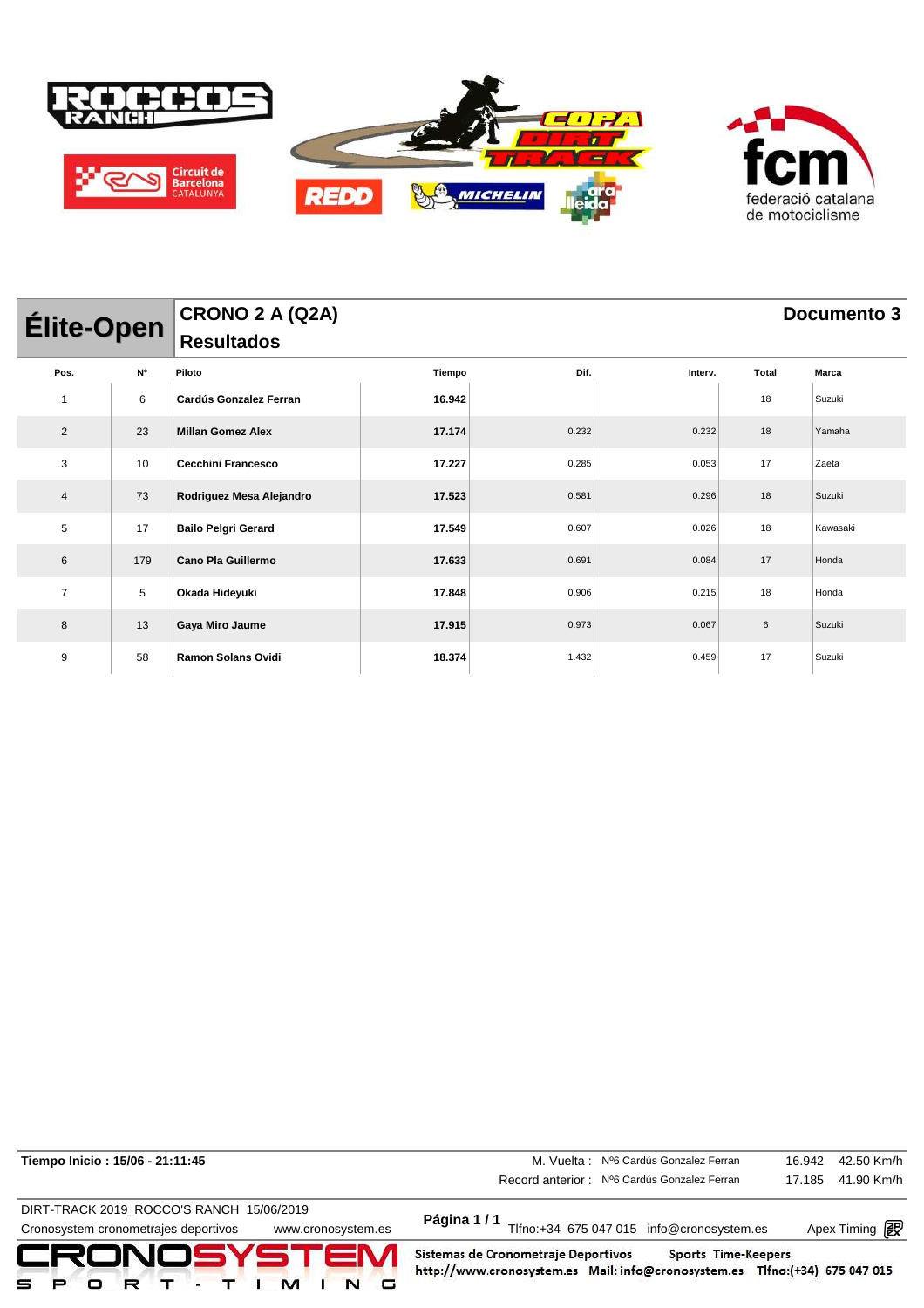

| Élite-Open     |     | CRONO 2 A (Q2A)            |        | Documento 3 |         |       |              |  |  |
|----------------|-----|----------------------------|--------|-------------|---------|-------|--------------|--|--|
|                |     | <b>Resultados</b>          |        |             |         |       |              |  |  |
| Pos.           | N°  | Piloto                     | Tiempo | Dif.        | Interv. | Total | <b>Marca</b> |  |  |
|                | 6   | Cardús Gonzalez Ferran     | 16.942 |             |         | 18    | Suzuki       |  |  |
| $\overline{2}$ | 23  | <b>Millan Gomez Alex</b>   | 17.174 | 0.232       | 0.232   | 18    | Yamaha       |  |  |
| 3              | 10  | <b>Cecchini Francesco</b>  | 17.227 | 0.285       | 0.053   | 17    | Zaeta        |  |  |
| 4              | 73  | Rodriguez Mesa Alejandro   | 17.523 | 0.581       | 0.296   | 18    | Suzuki       |  |  |
| 5              | 17  | <b>Bailo Pelgri Gerard</b> | 17.549 | 0.607       | 0.026   | 18    | Kawasaki     |  |  |
| 6              | 179 | Cano Pla Guillermo         | 17.633 | 0.691       | 0.084   | 17    | Honda        |  |  |
| $\overline{7}$ | 5   | Okada Hideyuki             | 17.848 | 0.906       | 0.215   | 18    | Honda        |  |  |
| 8              | 13  | Gaya Miro Jaume            | 17.915 | 0.973       | 0.067   | 6     | Suzuki       |  |  |
| 9              | 58  | <b>Ramon Solans Ovidi</b>  | 18.374 | 1.432       | 0.459   | 17    | Suzuki       |  |  |

| Tiempo Inicio: 15/06 - 21:11:45                            | M. Vuelta: Nº6 Cardús Gonzalez Ferran                                                                              | 16.942              | 42.50 Km/h           |
|------------------------------------------------------------|--------------------------------------------------------------------------------------------------------------------|---------------------|----------------------|
|                                                            | Record anterior: Nº6 Cardús Gonzalez Ferran                                                                        | 17.185              | 41.90 Km/h           |
| DIRT-TRACK 2019 ROCCO'S RANCH 15/06/2019                   |                                                                                                                    |                     |                      |
| Cronosystem cronometrajes deportivos<br>www.cronosystem.es | Página 1 / 1<br>Tlfno:+34 675 047 015 info@cronosystem.es                                                          |                     | Apex Timing <b>i</b> |
| CRONOSYSTEM                                                | Sistemas de Cronometraje Deportivos<br>http://www.cronosystem.es Mail: info@cronosystem.es Tlfno:(+34) 675 047 015 | Sports Time-Keepers |                      |

Apex Timing - timing solutions and services http://www.apex-timing.com/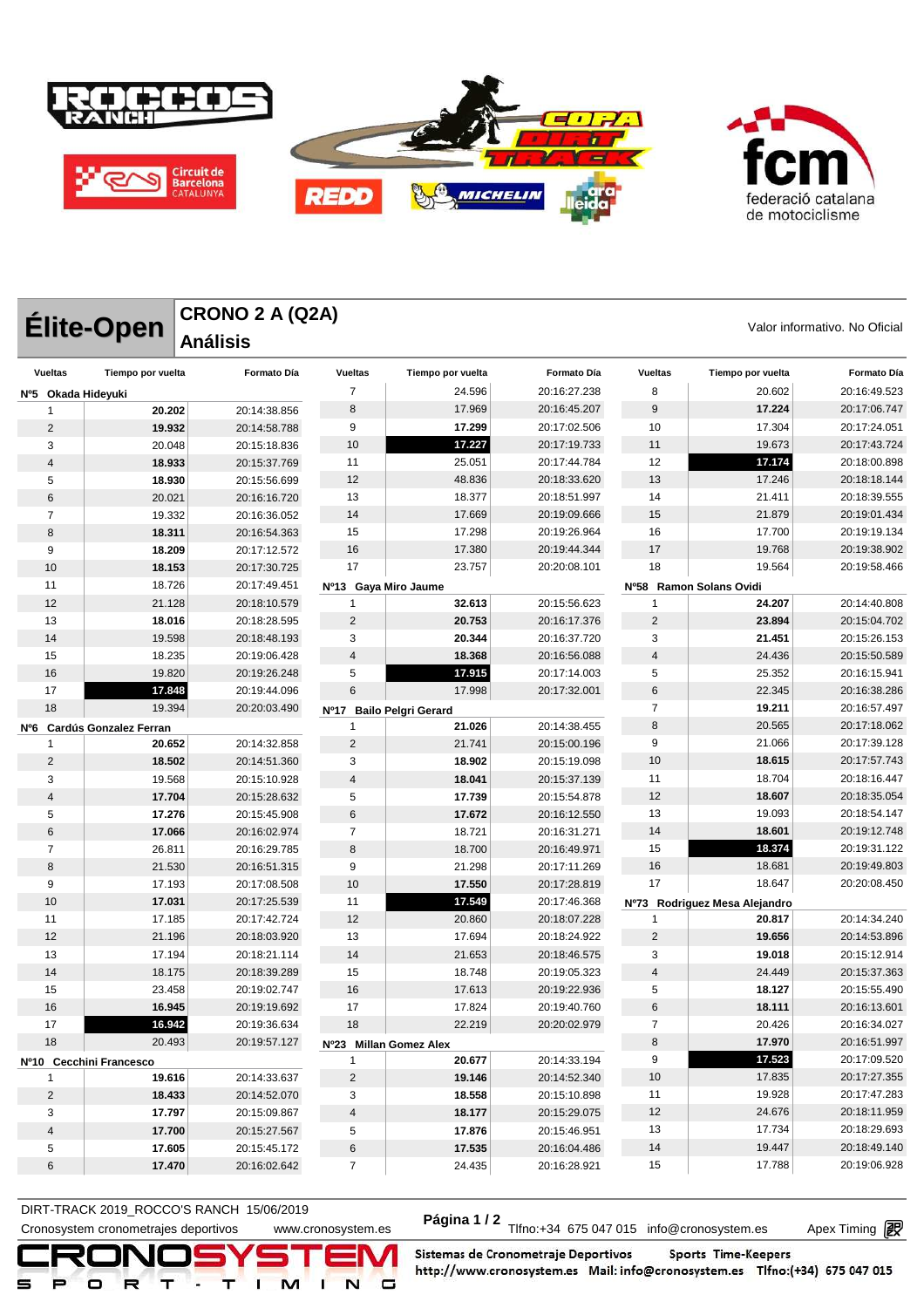



|                         | <b>CRONO 2 A (Q2A)</b><br><b>Élite-Open</b><br><b>Análisis</b> |                    |                        |                            |                    |                |                               | Valor informativo. No Oficial |
|-------------------------|----------------------------------------------------------------|--------------------|------------------------|----------------------------|--------------------|----------------|-------------------------------|-------------------------------|
| <b>Vueltas</b>          | Tiempo por vuelta                                              | <b>Formato Día</b> | <b>Vueltas</b>         | Tiempo por vuelta          | <b>Formato Día</b> | <b>Vueltas</b> | Tiempo por vuelta             | Formato Día                   |
|                         | Nº5 Okada Hideyuki                                             |                    | $\overline{7}$         | 24.596                     | 20:16:27.238       | 8              | 20.602                        | 20:16:49.523                  |
|                         | 20.202<br>20:14:38.856<br>1                                    |                    | 8                      | 17.969                     | 20:16:45.207       | 9              | 17.224                        | 20:17:06.747                  |
| $\overline{2}$          | 19.932                                                         | 20:14:58.788       | 9                      | 17.299                     | 20:17:02.506       | 10             | 17.304                        | 20:17:24.051                  |
| 3                       | 20.048                                                         | 20:15:18.836       | 10                     | 17.227                     | 20:17:19.733       | 11             | 19.673                        | 20:17:43.724                  |
| 4                       | 18.933                                                         | 20:15:37.769       | 11                     | 25.051                     | 20:17:44.784       | 12             | 17.174                        | 20:18:00.898                  |
| 5                       | 18.930                                                         | 20:15:56.699       | 12                     | 48.836                     | 20:18:33.620       | 13             | 17.246                        | 20:18:18.144                  |
| 6                       | 20.021                                                         | 20:16:16.720       | 13                     | 18.377                     | 20:18:51.997       | 14             | 21.411                        | 20:18:39.555                  |
| 7                       | 19.332                                                         | 20:16:36.052       | 14                     | 17.669                     | 20:19:09.666       | 15             | 21.879                        | 20:19:01.434                  |
| 8                       | 18.311                                                         | 20:16:54.363       | 15                     | 17.298                     | 20:19:26.964       | 16             | 17.700                        | 20:19:19.134                  |
| 9                       | 18.209                                                         | 20:17:12.572       | 16                     | 17.380                     | 20:19:44.344       | 17             | 19.768                        | 20:19:38.902                  |
| 10                      | 18.153                                                         | 20:17:30.725       | 17                     | 23.757                     | 20:20:08.101       | 18             | 19.564                        | 20:19:58.466                  |
| 11                      | 18.726                                                         | 20:17:49.451       | Nº13 Gaya Miro Jaume   |                            |                    |                | Nº58 Ramon Solans Ovidi       |                               |
| 12                      | 21.128                                                         | 20:18:10.579       | 1                      | 32.613                     | 20:15:56.623       | -1             | 24.207                        | 20:14:40.808                  |
| 13                      | 18.016                                                         | 20:18:28.595       | $\overline{2}$         | 20.753                     | 20:16:17.376       | $\overline{2}$ | 23.894                        | 20:15:04.702                  |
| 14                      | 19.598                                                         | 20:18:48.193       | 3                      | 20.344                     | 20:16:37.720       | 3              | 21.451                        | 20:15:26.153                  |
| 15                      | 18.235                                                         | 20:19:06.428       | $\overline{4}$         | 18.368                     | 20:16:56.088       | $\overline{4}$ | 24.436                        | 20:15:50.589                  |
| 16                      | 19.820                                                         | 20:19:26.248       | 5                      | 17.915                     | 20:17:14.003       | 5              | 25.352                        | 20:16:15.941                  |
| 17                      | 17.848                                                         | 20:19:44.096       | 6                      | 17.998                     | 20:17:32.001       | 6              | 22.345                        | 20:16:38.286                  |
| 18                      | 19.394                                                         | 20:20:03.490       | Nº17                   | <b>Bailo Pelgri Gerard</b> |                    | $\overline{7}$ | 19.211                        | 20:16:57.497                  |
|                         | Nº6 Cardús Gonzalez Ferran                                     |                    | 1                      | 21.026                     | 20:14:38.455       | 8              | 20.565                        | 20:17:18.062                  |
| 1                       | 20.652                                                         | 20:14:32.858       | $\overline{2}$         | 21.741                     | 20:15:00.196       | 9              | 21.066                        | 20:17:39.128                  |
| 2                       | 18.502                                                         | 20:14:51.360       | 3                      | 18.902                     | 20:15:19.098       | 10             | 18.615                        | 20:17:57.743                  |
| 3                       | 19.568                                                         | 20:15:10.928       | $\overline{4}$         | 18.041                     | 20:15:37.139       | 11             | 18.704                        | 20:18:16.447                  |
| 4                       | 17.704                                                         | 20:15:28.632       | 5                      | 17.739                     | 20:15:54.878       | 12             | 18.607                        | 20:18:35.054                  |
| 5                       | 17.276                                                         | 20:15:45.908       | 6                      | 17.672                     | 20:16:12.550       | 13             | 19.093                        | 20:18:54.147                  |
| 6                       | 17.066                                                         | 20:16:02.974       | $\overline{7}$         | 18.721                     | 20:16:31.271       | 14             | 18.601                        | 20:19:12.748                  |
| $\overline{7}$          | 26.811                                                         | 20:16:29.785       | 8                      | 18.700                     | 20:16:49.971       | 15             | 18.374                        | 20:19:31.122                  |
| 8                       | 21.530                                                         | 20:16:51.315       | 9                      | 21.298                     | 20:17:11.269       | 16             | 18.681                        | 20:19:49.803                  |
| 9                       | 17.193                                                         | 20:17:08.508       | 10                     | 17.550                     | 20:17:28.819       | 17             | 18.647                        | 20:20:08.450                  |
| 10                      | 17.031                                                         | 20:17:25.539       | 11                     | 17.549                     | 20:17:46.368       |                | Nº73 Rodriguez Mesa Alejandro |                               |
| 11                      | 17.185                                                         | 20:17:42.724       | 12                     | 20.860                     | 20:18:07.228       | 1              | 20.817                        | 20:14:34.240                  |
| 12                      | 21.196                                                         | 20:18:03.920       | 13                     | 17.694                     | 20:18:24.922       | $\overline{2}$ | 19.656                        | 20:14:53.896                  |
| 13                      | 17.194                                                         | 20:18:21.114       | 14                     | 21.653                     | 20:18:46.575       | 3              | 19.018                        | 20:15:12.914                  |
| 14                      | 18.175                                                         | 20:18:39.289       | 15                     | 18.748                     | 20:19:05.323       | $\overline{4}$ | 24.449                        | 20:15:37.363                  |
| 15                      | 23.458                                                         | 20:19:02.747       | 16                     | 17.613                     | 20:19:22.936       | 5              | 18.127                        | 20:15:55.490                  |
| 16                      | 16.945                                                         | 20:19:19.692       | 17                     | 17.824                     | 20:19:40.760       | $\,6$          | 18.111                        | 20:16:13.601                  |
| 17                      | 16.942                                                         | 20:19:36.634       | 18                     | 22.219                     | 20:20:02.979       | $\overline{7}$ | 20.426                        | 20:16:34.027                  |
| 18                      | 20.493                                                         | 20:19:57.127       | Nº23 Millan Gomez Alex |                            |                    | 8              | 17.970                        | 20:16:51.997                  |
| Nº10 Cecchini Francesco |                                                                | 1                  | 20.677                 | 20:14:33.194               | 9                  | 17.523         | 20:17:09.520                  |                               |
| 1                       | 19.616                                                         | 20:14:33.637       | $\sqrt{2}$             | 19.146                     | 20:14:52.340       | 10             | 17.835                        | 20:17:27.355                  |
| $\overline{2}$          | 18.433                                                         | 20:14:52.070       | 3                      | 18.558                     | 20:15:10.898       | 11             | 19.928                        | 20:17:47.283                  |
| 3                       | 17.797                                                         | 20:15:09.867       | 4                      | 18.177                     | 20:15:29.075       | 12             | 24.676                        | 20:18:11.959                  |
| 4                       | 17.700                                                         | 20:15:27.567       | 5                      | 17.876                     | 20:15:46.951       | 13             | 17.734                        | 20:18:29.693                  |
| 5                       | 17.605                                                         | 20:15:45.172       | 6                      | 17.535                     | 20:16:04.486       | 14             | 19.447                        | 20:18:49.140                  |
| 6                       | 17.470                                                         | 20:16:02.642       | $\overline{7}$         | 24.435                     | 20:16:28.921       | 15             | 17.788                        | 20:19:06.928                  |

DIRT-TRACK 2019\_ROCCO STANCH 19/00/2019<br>Cronosystem cronometrajes deportivos www.cronosystem.es Página 1/2 Tlfno:+34 675 047 015 info@cronosystem.es Apex Timing **DIRT-TRACK 2019\_ROCCO'S RANCH 15/06/2019** 

Apex Timing - timing solutions and services http://www.apex-timing.com/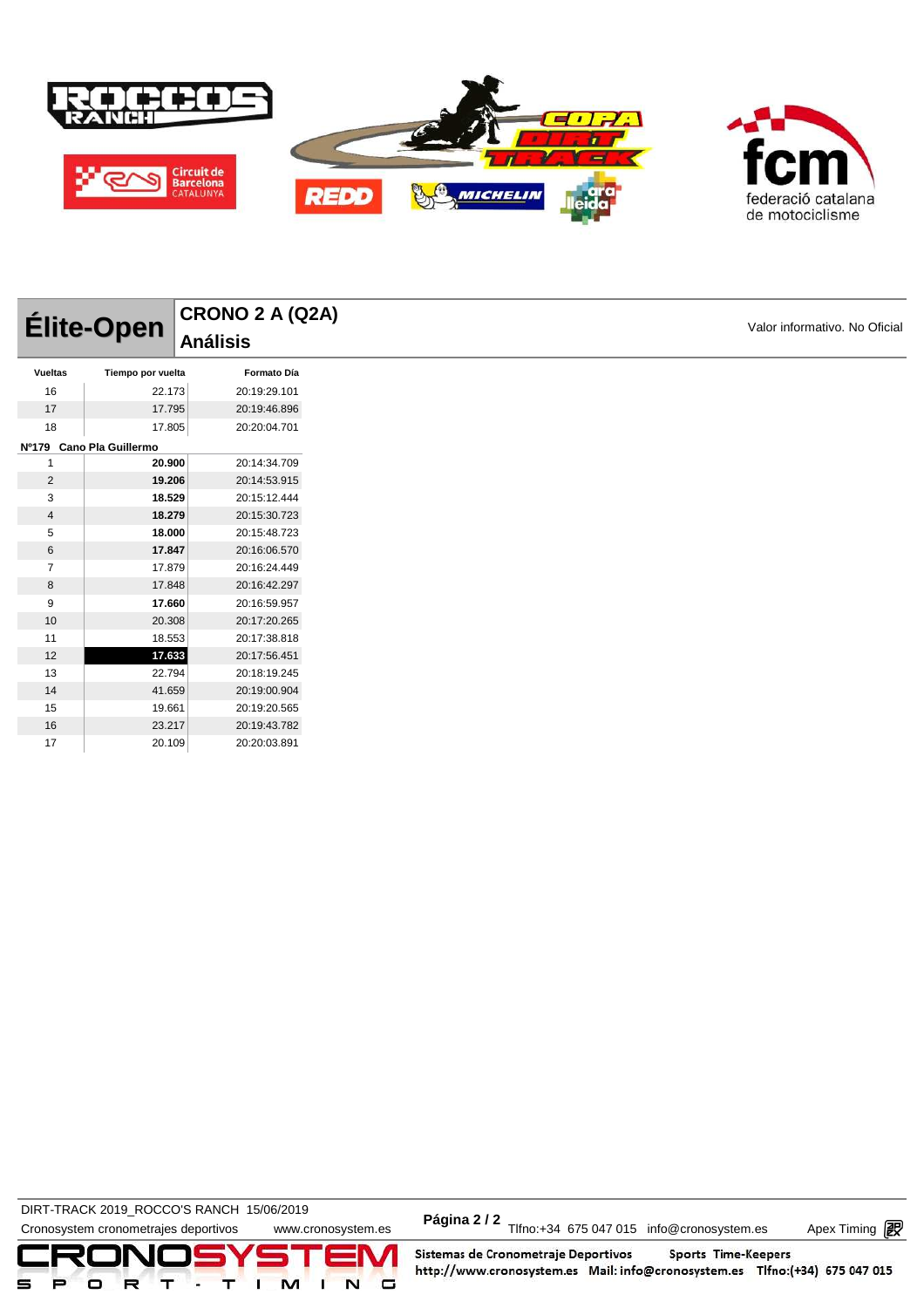

|                | Élite-Open               | CRONO 2 A (Q2A) |  |
|----------------|--------------------------|-----------------|--|
|                |                          | <b>Análisis</b> |  |
| Vueltas        | Tiempo por vuelta        | Formato Día     |  |
| 16             | 22.173                   | 20:19:29.101    |  |
| 17             | 17.795                   | 20:19:46.896    |  |
| 18             | 17.805                   | 20:20:04.701    |  |
|                | Nº179 Cano Pla Guillermo |                 |  |
|                | 20.900                   | 20:14:34.709    |  |
| $\overline{2}$ | 19.206                   | 20:14:53.915    |  |
| 3              | 18.529                   | 20:15:12.444    |  |
| $\overline{4}$ | 18.279                   | 20:15:30.723    |  |
| 5              | 18.000                   | 20:15:48.723    |  |
| 6              | 17.847                   | 20:16:06.570    |  |
| 7              | 17.879                   | 20:16:24.449    |  |
| 8              | 17.848                   | 20:16:42.297    |  |
| 9              | 17.660                   | 20:16:59.957    |  |
| 10             | 20.308                   | 20:17:20.265    |  |
| 11             | 18.553                   | 20:17:38.818    |  |
| 12             | 17.633                   | 20:17:56.451    |  |
| 13             | 22.794                   | 20:18:19.245    |  |
| 14             | 41.659                   | 20:19:00.904    |  |
| 15             | 19.661                   | 20:19:20.565    |  |
| 16             | 23.217                   | 20:19:43.782    |  |

DIRT-TRACK 2019\_ROCCO'S RANCH 15/06/2019 **Página 2 / 2**

20.109 20:20:03.891

DIRT-TRACK 2019\_ROCCO STANCH 19/00/2019<br>Cronosystem cronometrajes deportivos www.cronosystem.es Página 2/2 Tlfno:+34 675 047 015 info@cronosystem.es Apex Timing

Apex Timing - timing solutions and services http://www.apex-timing.com/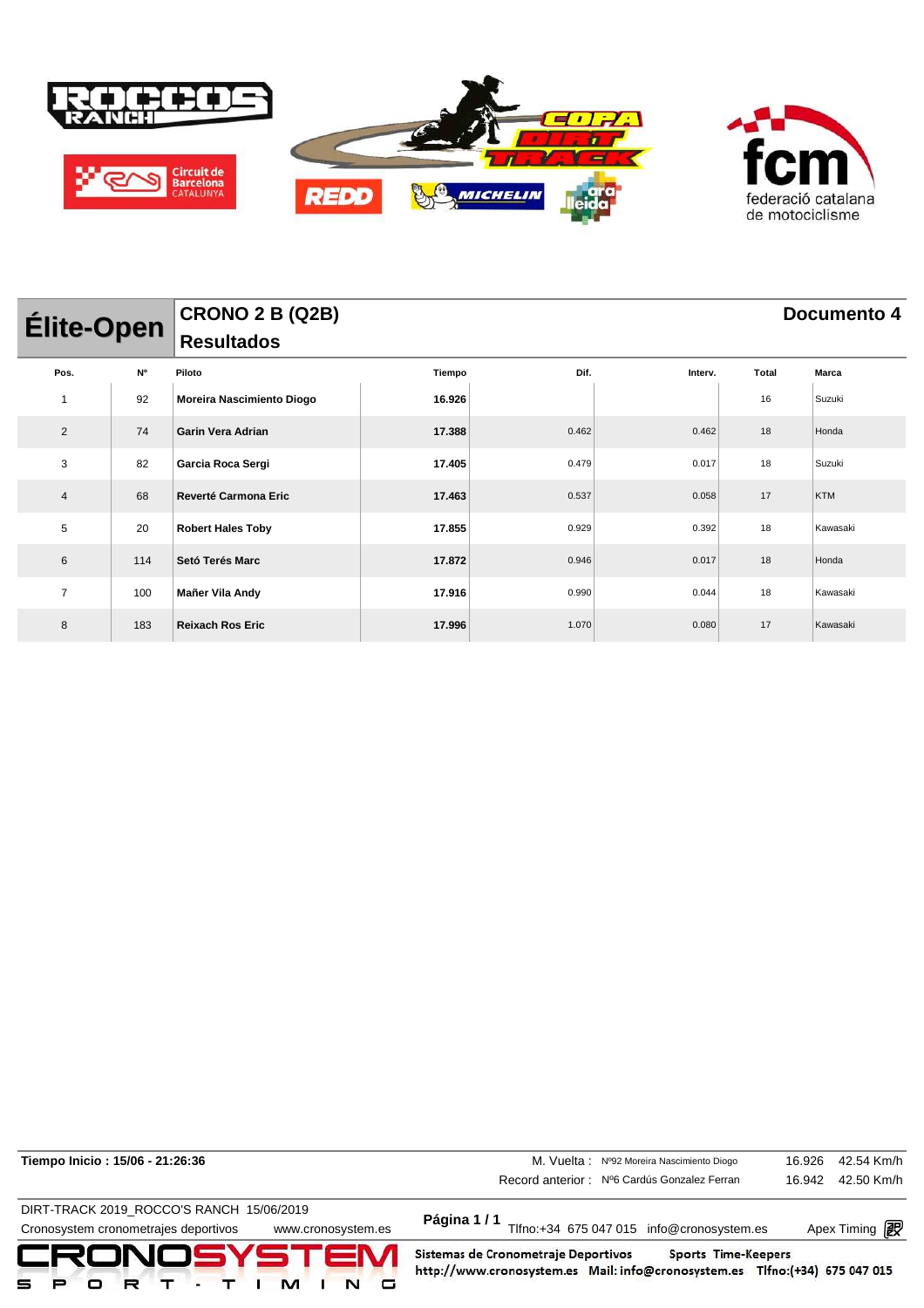

| <b>Élite-Open</b> |     | <b>CRONO 2 B (Q2B)</b><br>Resultados |        | Documento 4 |         |       |            |  |  |
|-------------------|-----|--------------------------------------|--------|-------------|---------|-------|------------|--|--|
|                   |     |                                      |        |             |         |       |            |  |  |
| Pos.              | N°  | Piloto                               | Tiempo | Dif.        | Interv. | Total | Marca      |  |  |
|                   | 92  | Moreira Nascimiento Diogo            | 16.926 |             |         | 16    | Suzuki     |  |  |
| $\overline{2}$    | 74  | <b>Garin Vera Adrian</b>             | 17.388 | 0.462       | 0.462   | 18    | Honda      |  |  |
| 3                 | 82  | Garcia Roca Sergi                    | 17.405 | 0.479       | 0.017   | 18    | Suzuki     |  |  |
| 4                 | 68  | <b>Reverté Carmona Eric</b>          | 17.463 | 0.537       | 0.058   | 17    | <b>KTM</b> |  |  |
| 5                 | 20  | <b>Robert Hales Toby</b>             | 17.855 | 0.929       | 0.392   | 18    | Kawasaki   |  |  |
| 6                 | 114 | Setó Terés Marc                      | 17.872 | 0.946       | 0.017   | 18    | Honda      |  |  |
| $\overline{7}$    | 100 | Mañer Vila Andy                      | 17.916 | 0.990       | 0.044   | 18    | Kawasaki   |  |  |
| 8                 | 183 | <b>Reixach Ros Eric</b>              | 17.996 | 1.070       | 0.080   | 17    | Kawasaki   |  |  |

| Tiempo Inicio: 15/06 - 21:26:36                            | M. Vuelta: Nº92 Moreira Nascimiento Diogo                                                                                                 | 16.926 | 42.54 Km/h                   |
|------------------------------------------------------------|-------------------------------------------------------------------------------------------------------------------------------------------|--------|------------------------------|
|                                                            | Record anterior: Nº6 Cardús Gonzalez Ferran                                                                                               | 16.942 | 42.50 Km/h                   |
| DIRT-TRACK 2019 ROCCO'S RANCH 15/06/2019                   |                                                                                                                                           |        |                              |
| Cronosystem cronometrajes deportivos<br>www.cronosystem.es | Página 1/1<br>Tlfno:+34 675 047 015 info@cronosystem.es                                                                                   |        | Apex Timing <b>interally</b> |
| CRONOSYSTEM                                                | Sistemas de Cronometraje Deportivos<br>Sports Time-Keepers<br>http://www.cronosystem.es Mail: info@cronosystem.es Tlfno:(+34) 675 047 015 |        |                              |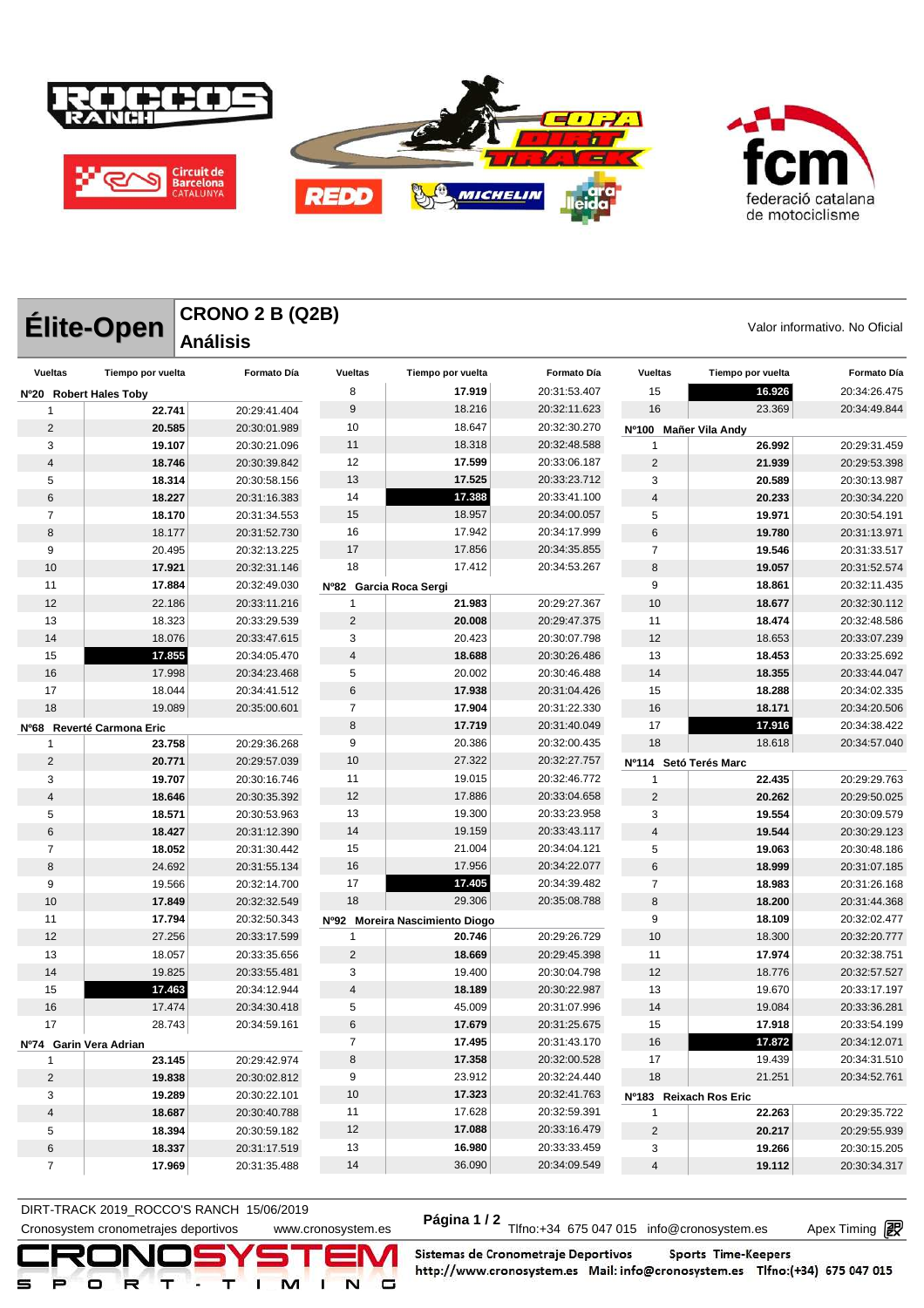

|                 | Élite-Open             | <b>CRONO 2 B (Q2B)</b><br><b>Análisis</b> |                        |                                |                              |                        |                   | Valor informativo. No Oficial |
|-----------------|------------------------|-------------------------------------------|------------------------|--------------------------------|------------------------------|------------------------|-------------------|-------------------------------|
| <b>Vueltas</b>  | Tiempo por vuelta      | <b>Formato Día</b>                        | <b>Vueltas</b>         | Tiempo por vuelta              | Formato Día                  | <b>Vueltas</b>         | Tiempo por vuelta | <b>Formato Día</b>            |
|                 | Nº20 Robert Hales Toby |                                           | 8                      | 17.919                         | 20:31:53.407                 | 15                     | 16.926            | 20:34:26.475                  |
| -1              | 22.741                 | 20:29:41.404                              | 9                      | 18.216                         | 20:32:11.623                 | 16                     | 23.369            | 20:34:49.844                  |
| $\overline{2}$  | 20.585                 | 20:30:01.989                              | 10                     | 18.647                         | 20:32:30.270                 | Nº100                  | Mañer Vila Andy   |                               |
| 3               | 19.107                 | 20:30:21.096                              | 11                     | 18.318                         | 20:32:48.588                 | 1                      | 26.992            | 20:29:31.459                  |
| 4               | 18.746                 | 20:30:39.842                              | 12                     | 17.599                         | 20:33:06.187                 | $\overline{2}$         | 21.939            | 20:29:53.398                  |
| 5               | 18.314                 | 20:30:58.156                              | 13                     | 17.525                         | 20:33:23.712                 | 3                      | 20.589            | 20:30:13.987                  |
| 6               | 18.227                 | 20:31:16.383                              | 14                     | 17.388                         | 20:33:41.100                 | $\overline{4}$         | 20.233            | 20:30:34.220                  |
| $\overline{7}$  | 18.170                 | 20:31:34.553                              | 15                     | 18.957                         | 20:34:00.057                 | 5                      | 19.971            | 20:30:54.191                  |
| 8               | 18.177                 | 20:31:52.730                              | 16                     | 17.942                         | 20:34:17.999                 | 6                      | 19.780            | 20:31:13.971                  |
| 9               | 20.495                 | 20:32:13.225                              | 17                     | 17.856                         | 20:34:35.855                 | $\overline{7}$         | 19.546            | 20:31:33.517                  |
| 10              | 17.921                 | 20:32:31.146                              | 18                     | 17.412                         | 20:34:53.267                 | 8                      | 19.057            | 20:31:52.574                  |
| 11              | 17.884                 | 20:32:49.030                              | Nº82 Garcia Roca Sergi |                                |                              | 9                      | 18.861            | 20:32:11.435                  |
| 12              | 22.186                 | 20:33:11.216                              | 1                      | 21.983                         | 20:29:27.367                 | 10                     | 18.677            | 20:32:30.112                  |
| 13              | 18.323                 | 20:33:29.539                              | 2                      | 20.008                         | 20:29:47.375                 | 11                     | 18.474            | 20:32:48.586                  |
| 14              | 18.076                 | 20:33:47.615                              | 3                      | 20.423                         | 20:30:07.798                 | 12                     | 18.653            | 20:33:07.239                  |
| 15              | 17.855                 | 20:34:05.470                              | 4                      | 18.688                         | 20:30:26.486                 | 13                     | 18.453            | 20:33:25.692                  |
| 16              | 17.998                 | 20:34:23.468                              | 5                      | 20.002                         | 20:30:46.488                 | 14                     | 18.355            | 20:33:44.047                  |
| 17              | 18.044                 | 20:34:41.512                              | 6                      | 17.938                         | 20:31:04.426                 | 15                     | 18.288            | 20:34:02.335                  |
| 18              | 19.089                 | 20:35:00.601                              | $\overline{7}$         | 17.904                         | 20:31:22.330                 | 16                     | 18.171            | 20:34:20.506                  |
| Nº68            | Reverté Carmona Eric   |                                           | 8                      | 17.719                         | 20:31:40.049                 | 17                     | 17.916            | 20:34:38.422                  |
| -1              | 23.758                 | 20:29:36.268                              | 9                      | 20.386                         | 20:32:00.435                 | 18                     | 18.618            | 20:34:57.040                  |
| $\overline{2}$  | 20.771                 | 20:29:57.039                              | 10                     | 27.322                         | 20:32:27.757                 | Nº114                  | Setó Terés Marc   |                               |
| 3               | 19.707                 | 20:30:16.746                              | 11                     | 19.015                         | 20:32:46.772                 | 1                      | 22.435            | 20:29:29.763                  |
| $\overline{4}$  | 18.646                 | 20:30:35.392                              | 12                     | 17.886                         | 20:33:04.658                 | $\overline{2}$         | 20.262            | 20:29:50.025                  |
| 5               | 18.571                 | 20:30:53.963                              | 13                     | 19.300                         | 20:33:23.958                 | 3                      | 19.554            | 20:30:09.579                  |
| $6\phantom{1}6$ | 18.427                 | 20:31:12.390                              | 14                     | 19.159                         | 20:33:43.117                 | $\overline{4}$         | 19.544            | 20:30:29.123                  |
| 7               | 18.052                 | 20:31:30.442                              | 15                     | 21.004                         | 20:34:04.121                 | 5                      | 19.063            | 20:30:48.186                  |
| 8               | 24.692                 | 20:31:55.134                              | 16                     | 17.956                         | 20:34:22.077                 | 6                      | 18.999            | 20:31:07.185                  |
| 9               | 19.566                 | 20:32:14.700                              | 17                     | 17.405                         | 20:34:39.482                 | $\overline{7}$         | 18.983            | 20:31:26.168                  |
| 10              | 17.849                 | 20:32:32.549                              | 18                     | 29.306                         | 20:35:08.788                 | 8                      | 18.200            | 20:31:44.368                  |
| 11              | 17.794                 | 20:32:50.343                              |                        | Nº92 Moreira Nascimiento Diogo |                              | 9                      | 18.109            | 20:32:02.477                  |
| 12              | 27.256                 | 20:33:17.599                              | 1                      | 20.746                         | 20:29:26.729                 | 10                     | 18.300            | 20:32:20.777                  |
| 13              | 18.057                 | 20:33:35.656                              | 2                      | 18.669                         | 20:29:45.398                 | 11                     | 17.974            | 20:32:38.751                  |
| 14              | 19.825                 | 20:33:55.481                              | 3<br>$\Lambda$         | 19.400                         | 20:30:04.798                 | 12                     | 18.776            | 20:32:57.527                  |
| 15              | 17.463                 | 20:34:12.944                              |                        | 18.189                         | 20:30:22.987                 | 13                     | 19.670            | 20:33:17.197                  |
| 16              | 17.474                 | 20:34:30.418                              | 5                      | 45.009                         | 20:31:07.996                 | 14                     | 19.084            | 20:33:36.281                  |
| 17              | 28.743                 | 20:34:59.161                              | 6                      | 17.679                         | 20:31:25.675                 | 15                     | 17.918            | 20:33:54.199                  |
|                 | Nº74 Garin Vera Adrian |                                           | $\overline{7}$         | 17.495                         | 20:31:43.170                 | 16                     | 17.872            | 20:34:12.071                  |
| 1               | 23.145                 | 20:29:42.974                              | 8                      | 17.358                         | 20:32:00.528                 | 17                     | 19.439            | 20:34:31.510                  |
| $\overline{2}$  | 19.838                 | 20:30:02.812                              | 9                      | 23.912<br>17.323               | 20:32:24.440                 | 18                     | 21.251            | 20:34:52.761                  |
| 3               | 19.289                 | 20:30:22.101                              | 10                     | 17.628                         | 20:32:41.763                 | Nº183 Reixach Ros Eric |                   |                               |
| $\overline{4}$  | 18.687                 | 20:30:40.788                              | 11<br>12               | 17.088                         | 20:32:59.391<br>20:33:16.479 | 1                      | 22.263            | 20:29:35.722                  |
| 5               | 18.394<br>18.337       | 20:30:59.182                              | 13                     | 16.980                         | 20:33:33.459                 | $\sqrt{2}$<br>3        | 20.217<br>19.266  | 20:29:55.939                  |
| 6<br>7          | 17.969                 | 20:31:17.519<br>20:31:35.488              | 14                     | 36.090                         | 20:34:09.549                 | 4                      | 19.112            | 20:30:15.205<br>20:30:34.317  |
|                 |                        |                                           |                        |                                |                              |                        |                   |                               |

DIRT-TRACK 2019\_ROCCO STANCH 19/00/2019<br>Cronosystem cronometrajes deportivos www.cronosystem.es Página 1/2 Tlfno:+34 675 047 015 info@cronosystem.es Apex Timing **DIRT-TRACK 2019\_ROCCO'S RANCH 15/06/2019** 

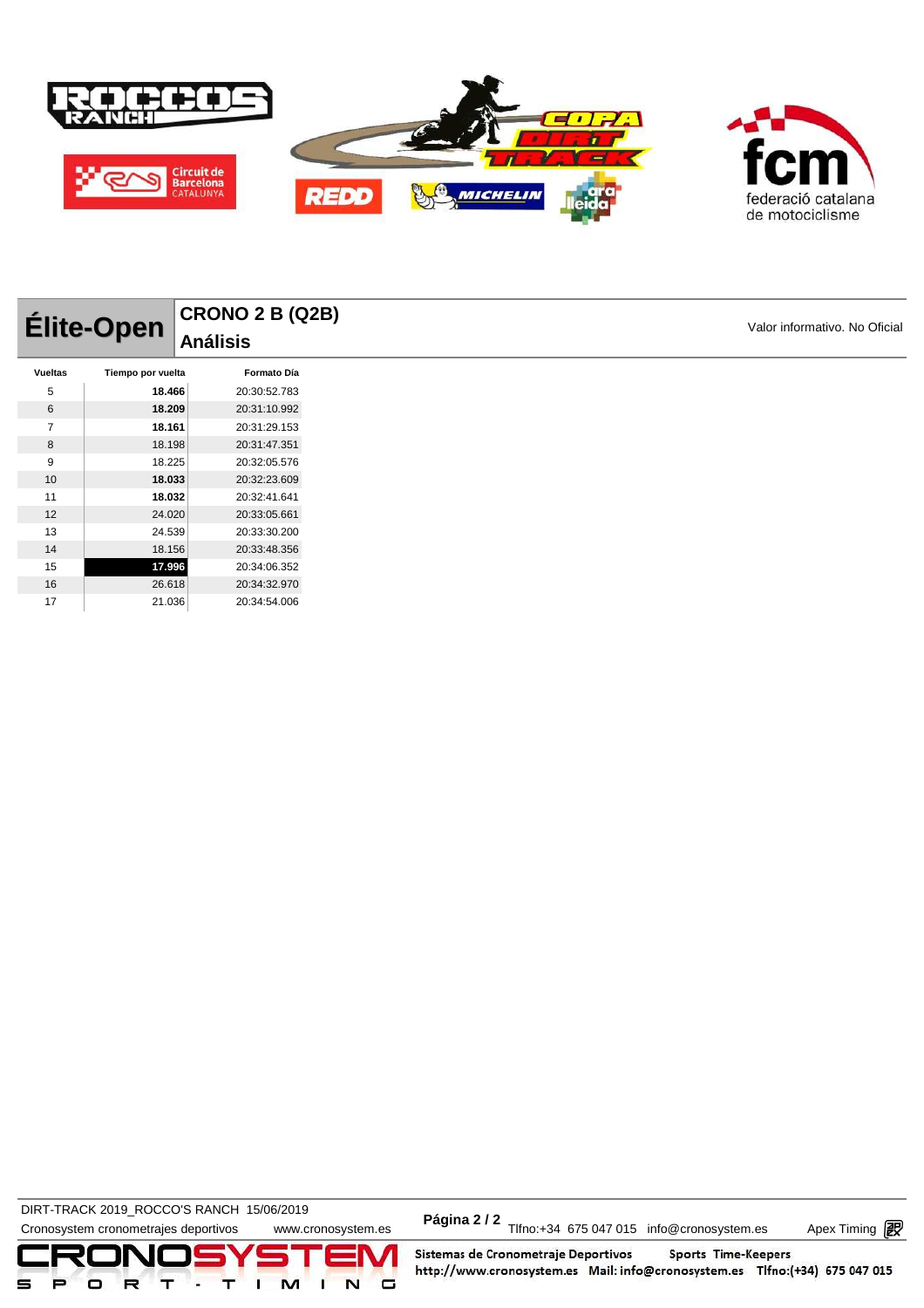

|                | Élite-Open        | <b>CRONO 2 B (Q2B)</b><br><b>Análisis</b> |
|----------------|-------------------|-------------------------------------------|
| <b>Vueltas</b> | Tiempo por vuelta | Formato Día                               |
| 5              | 18.466            | 20:30:52.783                              |
| 6              | 18.209            | 20:31:10.992                              |
| $\overline{7}$ | 18.161            | 20:31:29.153                              |
| 8              | 18.198            | 20:31:47.351                              |
| 9              | 18.225            | 20:32:05.576                              |
| 10             | 18.033            | 20:32:23.609                              |
| 11             | 18.032            | 20:32:41.641                              |
| 12             | 24.020            | 20:33:05.661                              |
| 13             | 24.539            | 20:33:30.200                              |
| 14             | 18.156            | 20:33:48.356                              |
| 15             | 17.996            | 20:34:06.352                              |
| 16             | 26.618            | 20:34:32.970                              |
| 17             | 21.036            | 20:34:54.006                              |

DIRT-TRACK 2019\_ROCCO'S RANCH 15/06/2019 **Página 2 / 2**



Apex Timing - timing solutions and services http://www.apex-timing.com/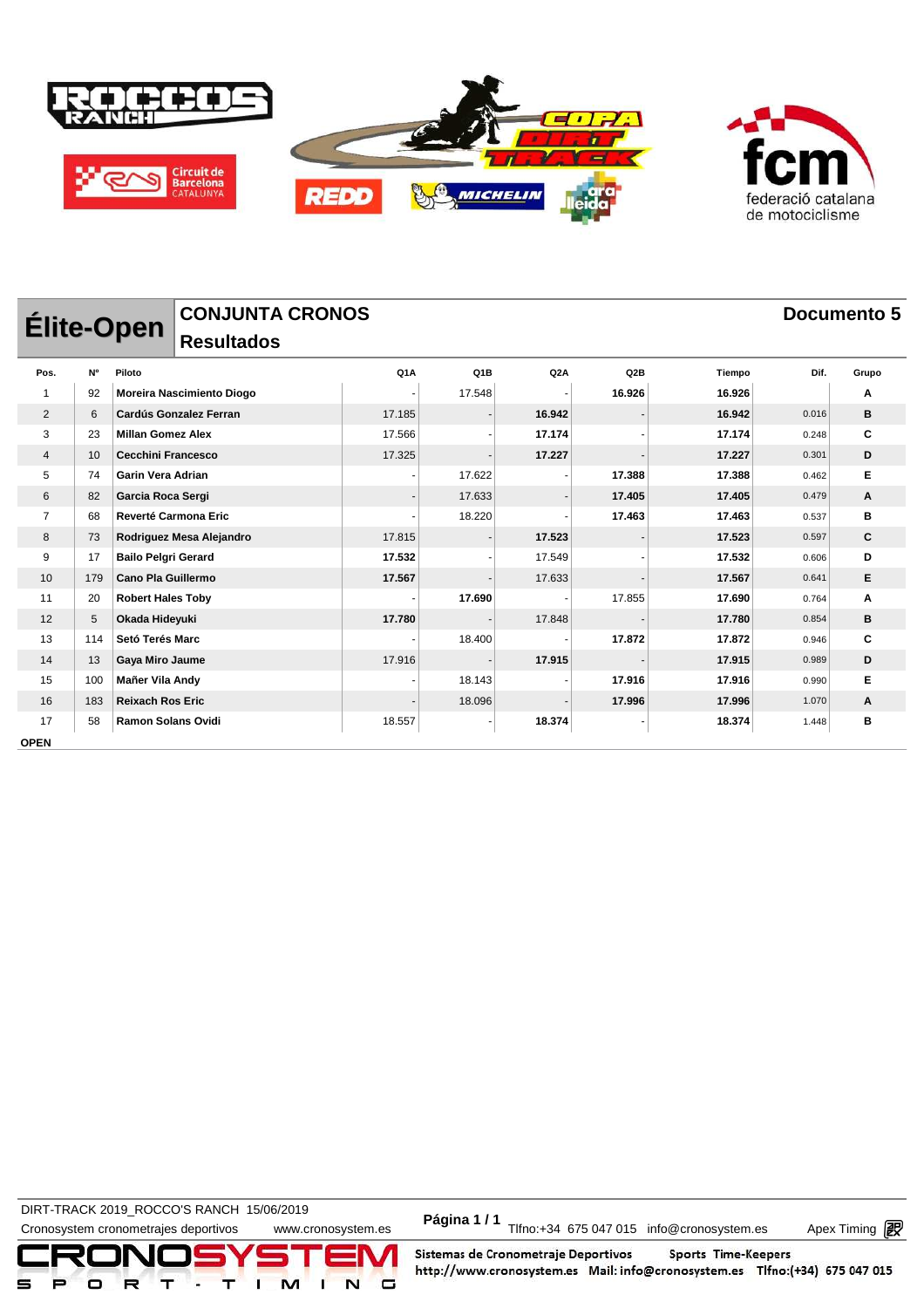

| <b>Elite-Open</b> |           |                             | <b>CONJUNTA CRONOS</b>        |        |                  |        |        |        | Documento 5 |       |  |
|-------------------|-----------|-----------------------------|-------------------------------|--------|------------------|--------|--------|--------|-------------|-------|--|
|                   |           |                             | <b>Resultados</b>             |        |                  |        |        |        |             |       |  |
| Pos.              | <b>N°</b> | Piloto                      |                               | Q1A    | Q <sub>1</sub> B | Q2A    | Q2B    | Tiempo | Dif.        | Grupo |  |
|                   | 92        |                             | Moreira Nascimiento Diogo     |        | 17.548           |        | 16.926 | 16.926 |             | Α     |  |
| $\overline{2}$    | 6         |                             | <b>Cardús Gonzalez Ferran</b> | 17.185 |                  | 16.942 |        | 16.942 | 0.016       | В     |  |
| 3                 | 23        | <b>Millan Gomez Alex</b>    |                               | 17.566 |                  | 17.174 |        | 17.174 | 0.248       | C     |  |
| 4                 | 10        | <b>Cecchini Francesco</b>   |                               | 17.325 |                  | 17.227 |        | 17.227 | 0.301       | D     |  |
| 5                 | 74        | <b>Garin Vera Adrian</b>    |                               |        | 17.622           |        | 17.388 | 17.388 | 0.462       | Е     |  |
| 6                 | 82        | Garcia Roca Sergi           |                               |        | 17.633           |        | 17.405 | 17.405 | 0.479       | A     |  |
| $\overline{7}$    | 68        | <b>Reverté Carmona Eric</b> |                               |        | 18.220           |        | 17.463 | 17.463 | 0.537       | в     |  |
| 8                 | 73        |                             | Rodriguez Mesa Alejandro      | 17.815 |                  | 17.523 |        | 17.523 | 0.597       | C     |  |
| 9                 | 17        | <b>Bailo Pelgri Gerard</b>  |                               | 17.532 |                  | 17.549 |        | 17.532 | 0.606       | D     |  |
| 10                | 179       | <b>Cano Pla Guillermo</b>   |                               | 17.567 |                  | 17.633 |        | 17.567 | 0.641       | Е     |  |
| 11                | 20        | <b>Robert Hales Toby</b>    |                               |        | 17.690           |        | 17.855 | 17.690 | 0.764       | Α     |  |
| 12                | 5         | Okada Hideyuki              |                               | 17.780 |                  | 17.848 |        | 17.780 | 0.854       | в     |  |
| 13                | 114       | Setó Terés Marc             |                               |        | 18.400           |        | 17.872 | 17.872 | 0.946       | C     |  |
| 14                | 13        | Gaya Miro Jaume             |                               | 17.916 |                  | 17.915 |        | 17.915 | 0.989       | D     |  |
| 15                | 100       | Mañer Vila Andy             |                               |        | 18.143           |        | 17.916 | 17.916 | 0.990       | E     |  |
| 16                | 183       | <b>Reixach Ros Eric</b>     |                               |        | 18.096           |        | 17.996 | 17.996 | 1.070       | A     |  |
| 17                | 58        | <b>Ramon Solans Ovidi</b>   |                               | 18.557 |                  | 18.374 |        | 18.374 | 1.448       | B     |  |
| <b>OPEN</b>       |           |                             |                               |        |                  |        |        |        |             |       |  |

**DIRT-TRACK 2019\_ROCCO'S RANCH 15/06/2019** 

DIRT-TRACK 2019\_ROCCO STANCH 19/00/2019<br>Cronosystem cronometrajes deportivos www.cronosystem.es Página 1/1 Tlfno:+34 675 047 015 info@cronosystem.es Apex Timing

Apex Timing - timing solutions and services http://www.apex-timing.com/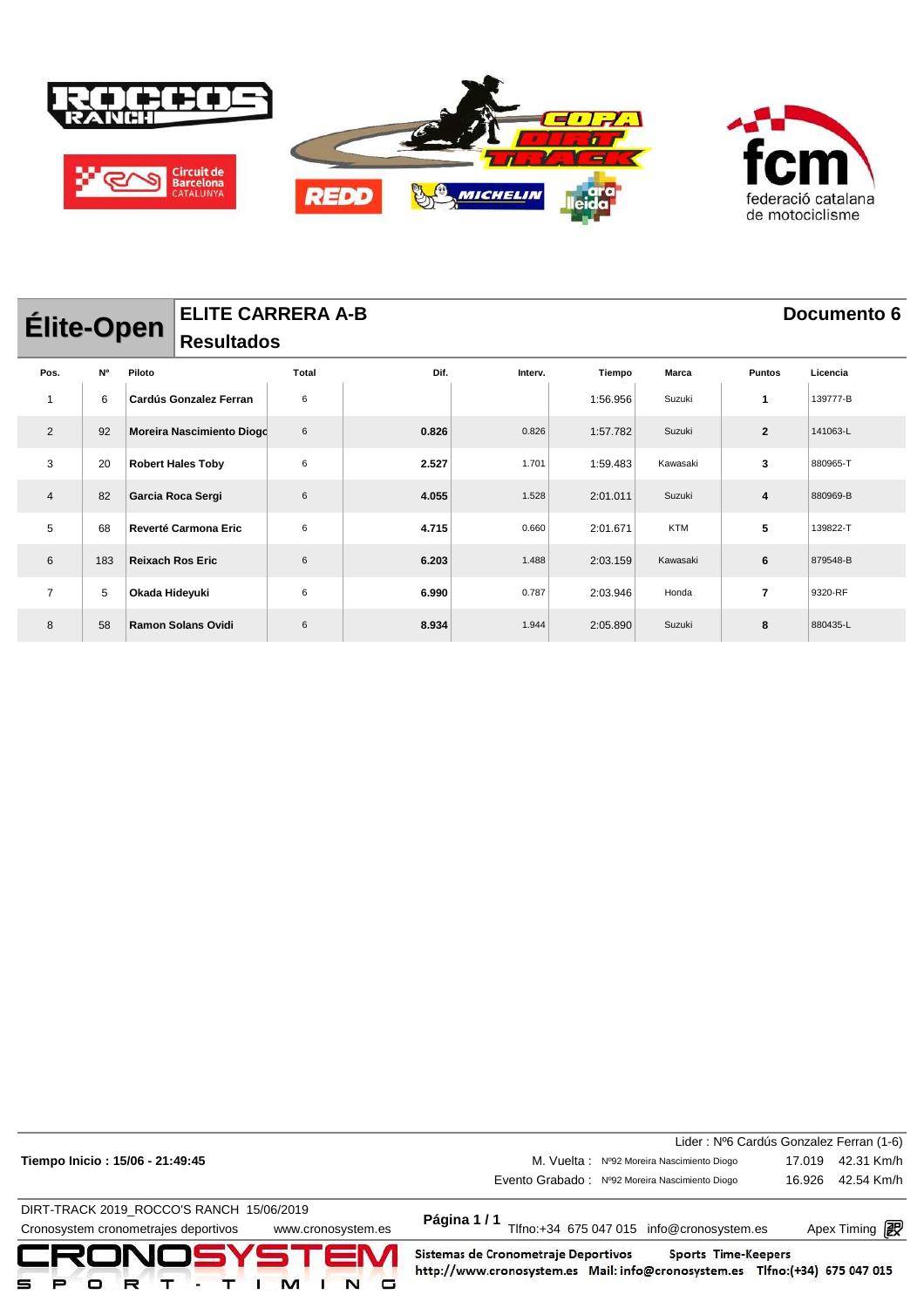

| <b>Élite-Open</b> |     | <b>ELITE CARRERA A-B</b> |                               |       | Documento 6 |         |          |            |                |          |
|-------------------|-----|--------------------------|-------------------------------|-------|-------------|---------|----------|------------|----------------|----------|
|                   |     |                          | <b>Resultados</b>             |       |             |         |          |            |                |          |
| Pos.              | N°  | Piloto                   |                               | Total | Dif.        | Interv. | Tiempo   | Marca      | <b>Puntos</b>  | Licencia |
| 1                 | 6   |                          | <b>Cardús Gonzalez Ferran</b> | 6     |             |         | 1:56.956 | Suzuki     | 1              | 139777-B |
| 2                 | 92  |                          | Moreira Nascimiento Diogo     | 6     | 0.826       | 0.826   | 1:57.782 | Suzuki     | $\mathbf{2}$   | 141063-L |
| 3                 | 20  |                          | <b>Robert Hales Toby</b>      | 6     | 2.527       | 1.701   | 1:59.483 | Kawasaki   | 3              | 880965-T |
| $\overline{4}$    | 82  |                          | Garcia Roca Sergi             | 6     | 4.055       | 1.528   | 2:01.011 | Suzuki     | 4              | 880969-B |
| 5                 | 68  |                          | Reverté Carmona Eric          | 6     | 4.715       | 0.660   | 2:01.671 | <b>KTM</b> | 5              | 139822-T |
| 6                 | 183 | <b>Reixach Ros Eric</b>  |                               | 6     | 6.203       | 1.488   | 2:03.159 | Kawasaki   | 6              | 879548-B |
| $\overline{7}$    | 5   | Okada Hideyuki           |                               | 6     | 6.990       | 0.787   | 2:03.946 | Honda      | $\overline{7}$ | 9320-RF  |
| 8                 | 58  |                          | <b>Ramon Solans Ovidi</b>     | 6     | 8.934       | 1.944   | 2:05.890 | Suzuki     | 8              | 880435-L |

|                                                            |                                                                                                                                                  | Lider: Nº6 Cardús Gonzalez Ferran (1-6) |
|------------------------------------------------------------|--------------------------------------------------------------------------------------------------------------------------------------------------|-----------------------------------------|
| Tiempo Inicio: 15/06 - 21:49:45                            | M. Vuelta: Nº92 Moreira Nascimiento Diogo                                                                                                        | 42.31 Km/h<br>17.019                    |
|                                                            | Evento Grabado: Nº92 Moreira Nascimiento Diogo                                                                                                   | 42.54 Km/h<br>16.926                    |
| DIRT-TRACK 2019 ROCCO'S RANCH 15/06/2019                   |                                                                                                                                                  |                                         |
| Cronosystem cronometrajes deportivos<br>www.cronosystem.es | Página 1/1<br>Tlfno:+34 675 047 015 info@cronosystem.es                                                                                          | Apex Timing <b>ng</b>                   |
| CRONOSYSTEM                                                | Sistemas de Cronometraje Deportivos<br><b>Sports Time-Keepers</b><br>http://www.cronosystem.es Mail: info@cronosystem.es Tlfno:(+34) 675 047 015 |                                         |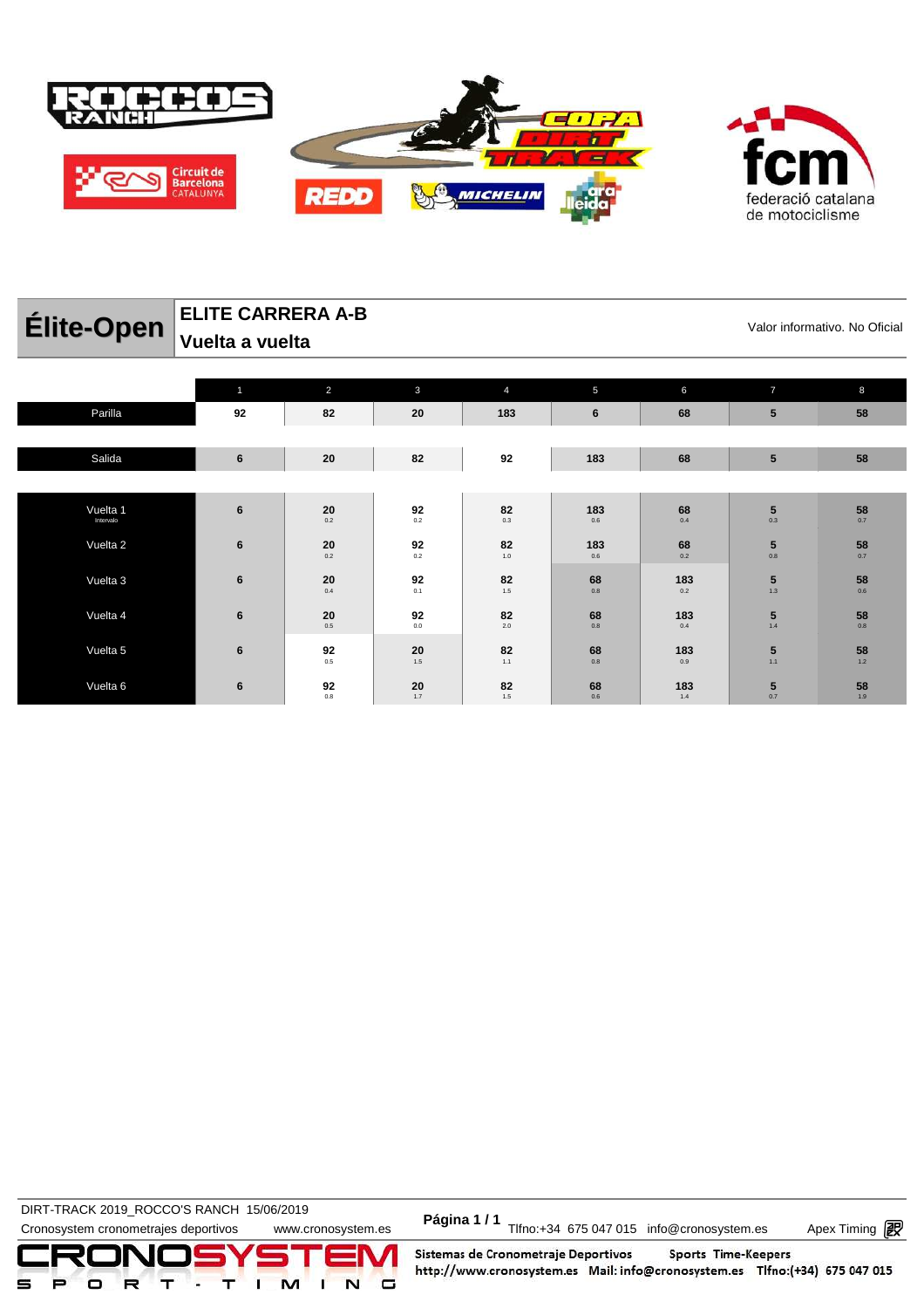

**ELITE CARRERA A-B** 

| <b>Ellie-Open</b>     |                | <b>V</b> alui IIIIuliilauvu. INU<br>Vuelta a vuelta |                                   |                |                                   |                                                 |                                         |                                               |  |  |
|-----------------------|----------------|-----------------------------------------------------|-----------------------------------|----------------|-----------------------------------|-------------------------------------------------|-----------------------------------------|-----------------------------------------------|--|--|
|                       | 1              | 2                                                   | $\mathbf{3}$                      | $\overline{4}$ | 5                                 | 6                                               | $\overline{7}$                          | 8                                             |  |  |
| Parilla               | 92             | 82                                                  | 20                                | 183            | 6                                 | 68                                              | ${\bf 5}$                               | 58                                            |  |  |
| Salida                | $\bf 6$        | 20                                                  | 82                                | 92             | 183                               | 68                                              | ${\bf 5}$                               | 58                                            |  |  |
|                       |                |                                                     |                                   |                |                                   |                                                 |                                         |                                               |  |  |
| Vuelta 1<br>Intervalo | $6\phantom{1}$ | $\mathbf{20}_{_{0.2}}$                              | 92<br>0.2                         | 82<br>0.3      | 183<br>0.6                        | $\begin{array}{c} 68 \\ \text{o.4} \end{array}$ | $\mathbf{5}_{_{0.3}}$                   | 58<br>0.7                                     |  |  |
| Vuelta 2              | $6\phantom{1}$ | 20<br>0.2                                           | 92<br>0.2                         | 82<br>$1.0$    | 183<br>0.6                        | $68$ $_{\scriptscriptstyle{0.2}}$               | $\mathbf{5}_{_{0.8}}$                   | $\begin{array}{c}\n 58 \\  0.7\n \end{array}$ |  |  |
| Vuelta 3              | $6\phantom{1}$ | 20<br>$0.4\,$                                       | 92<br>0.1                         | 82<br>$1.5\,$  | 68<br>$0.8\,$                     | 183<br>$0.2\,$                                  | $\begin{array}{c} 5 \\ 1.3 \end{array}$ | 58<br>0.6                                     |  |  |
| Vuelta 4              | $6\phantom{1}$ | 20<br>0.5                                           | $92$ $_{\scriptscriptstyle{0.0}}$ | 82<br>2.0      | 68<br>0.8                         | 183<br>0.4                                      | $\frac{5}{1.4}$                         | $\begin{array}{c}\n 58 \\  0.8\n \end{array}$ |  |  |
| Vuelta 5              | $6\phantom{1}$ | 92<br>$0.5\,$                                       | 20<br>1.5                         | 82<br>1.1      | 68<br>0.8                         | 183<br>0.9                                      | $\begin{array}{c} 5 \\ 1.1 \end{array}$ | $\begin{array}{c} 58 \\ 1.2 \end{array}$      |  |  |
| Vuelta 6              | $6\phantom{1}$ | 92<br>0.8                                           | $20$ <sub>1.7</sub>               | 82<br>1.5      | $68$ $_{\scriptscriptstyle{0.6}}$ | 183<br>1.4                                      | $\begin{array}{c} 5 \\ 0.7 \end{array}$ | $\frac{58}{1.9}$                              |  |  |

**DIRT-TRACK 2019\_ROCCO'S RANCH 15/06/2019** 

DIRT-TRACK 2019\_ROCCO STANCH 19/00/2019<br>Cronosystem cronometrajes deportivos www.cronosystem.es Página 1/1 Tlfno:+34 675 047 015 info@cronosystem.es Apex Timing

Apex Timing - timing solutions and services http://www.apex-timing.com/

Sistemas de Cronometraje Deportivos Sports Time-Keepers http://www.cronosystem.es Mail: info@cronosystem.es Tlfno:(+34) 675 047 015

Valor informativo. No Oficial

**58** 0.7

**58** 0.7

**58** 1.9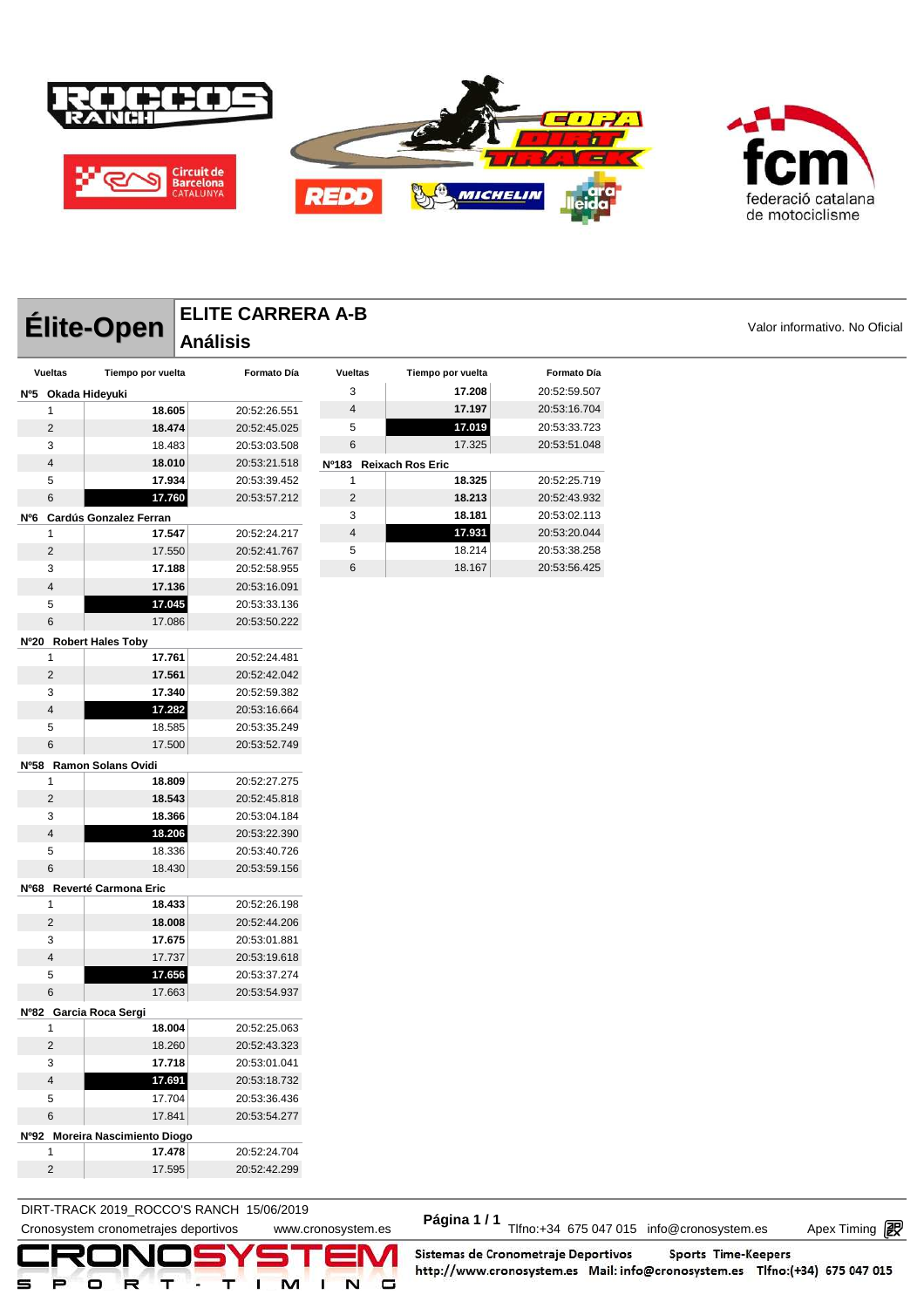



**Élite-Open** ELITE CARRERA A-B<br>
Análisis

| <b>Vueltas</b>          | Tiempo por vuelta              | Formato Día  | <b>Vueltas</b>          | Tiempo por vuelta      | Formato Día  |
|-------------------------|--------------------------------|--------------|-------------------------|------------------------|--------------|
|                         | Nº5 Okada Hideyuki             |              | 3                       | 17.208                 | 20:52:59.507 |
| 1                       | 18.605                         | 20:52:26.551 | $\overline{\mathbf{4}}$ | 17.197                 | 20:53:16.704 |
| $\overline{2}$          | 18.474                         | 20:52:45.025 | 5                       | 17.019                 | 20:53:33.723 |
| 3                       | 18.483                         | 20:53:03.508 | 6                       | 17.325                 | 20:53:51.048 |
| 4                       | 18.010                         | 20:53:21.518 |                         | Nº183 Reixach Ros Eric |              |
| 5                       | 17.934                         | 20:53:39.452 | 1                       | 18.325                 | 20:52:25.719 |
| 6                       | 17.760                         | 20:53:57.212 | 2                       | 18.213                 | 20:52:43.932 |
|                         | Nº6 Cardús Gonzalez Ferran     |              | 3                       | 18.181                 | 20:53:02.113 |
| 1                       | 17.547                         | 20:52:24.217 | $\overline{\mathbf{4}}$ | 17.931                 | 20:53:20.044 |
| $\overline{c}$          | 17.550                         | 20:52:41.767 | 5                       | 18.214                 | 20:53:38.258 |
| 3                       | 17.188                         | 20:52:58.955 | 6                       | 18.167                 | 20:53:56.425 |
| 4                       | 17.136                         | 20:53:16.091 |                         |                        |              |
| 5                       | 17.045                         | 20:53:33.136 |                         |                        |              |
| 6                       | 17.086                         | 20:53:50.222 |                         |                        |              |
|                         | Nº20 Robert Hales Toby         |              |                         |                        |              |
| 1                       | 17.761                         | 20:52:24.481 |                         |                        |              |
| $\overline{2}$          | 17.561                         | 20:52:42.042 |                         |                        |              |
| 3                       | 17.340                         | 20:52:59.382 |                         |                        |              |
| 4                       | 17.282                         | 20:53:16.664 |                         |                        |              |
| 5                       | 18.585                         | 20:53:35.249 |                         |                        |              |
| 6                       | 17.500                         | 20:53:52.749 |                         |                        |              |
|                         | Nº58 Ramon Solans Ovidi        |              |                         |                        |              |
| 1                       | 18.809                         | 20:52:27.275 |                         |                        |              |
| $\overline{2}$          | 18.543                         | 20:52:45.818 |                         |                        |              |
| 3                       | 18.366                         | 20:53:04.184 |                         |                        |              |
| 4                       | 18.206                         | 20:53:22.390 |                         |                        |              |
| 5                       | 18.336                         | 20:53:40.726 |                         |                        |              |
| 6                       | 18.430                         | 20:53:59.156 |                         |                        |              |
|                         | Nº68 Reverté Carmona Eric      |              |                         |                        |              |
| 1                       | 18.433                         | 20:52:26.198 |                         |                        |              |
| $\overline{2}$          | 18.008                         | 20:52:44.206 |                         |                        |              |
| 3                       | 17.675                         | 20:53:01.881 |                         |                        |              |
| 4                       | 17.737                         | 20:53:19.618 |                         |                        |              |
| 5                       | 17.656                         | 20:53:37.274 |                         |                        |              |
| 6                       | 17.663                         | 20:53:54.937 |                         |                        |              |
|                         | Nº82 Garcia Roca Sergi         |              |                         |                        |              |
| 1                       | 18.004                         | 20:52:25.063 |                         |                        |              |
| $\overline{2}$          | 18.260                         | 20:52:43.323 |                         |                        |              |
| 3                       | 17.718                         | 20:53:01.041 |                         |                        |              |
| $\overline{\mathbf{4}}$ | 17.691                         | 20:53:18.732 |                         |                        |              |
| 5                       | 17.704                         | 20:53:36.436 |                         |                        |              |
| $\,6$                   | 17.841                         | 20:53:54.277 |                         |                        |              |
|                         | Nº92 Moreira Nascimiento Diogo |              |                         |                        |              |
| 1                       | 17.478                         | 20:52:24.704 |                         |                        |              |
| $\overline{2}$          | 17.595                         | 20:52:42.299 |                         |                        |              |

**ELITE CARRERA A-B** 

**Análisis** 

### DIRT-TRACK 2019\_ROCCO'S RANCH 15/06/2019 **Página 1 / 1**

Cronosystem cronometrajes deportivos www.cronosystem.es Página 1/1 Tlfno:+34 675 047 015 info@cronosystem.es Apex Timing

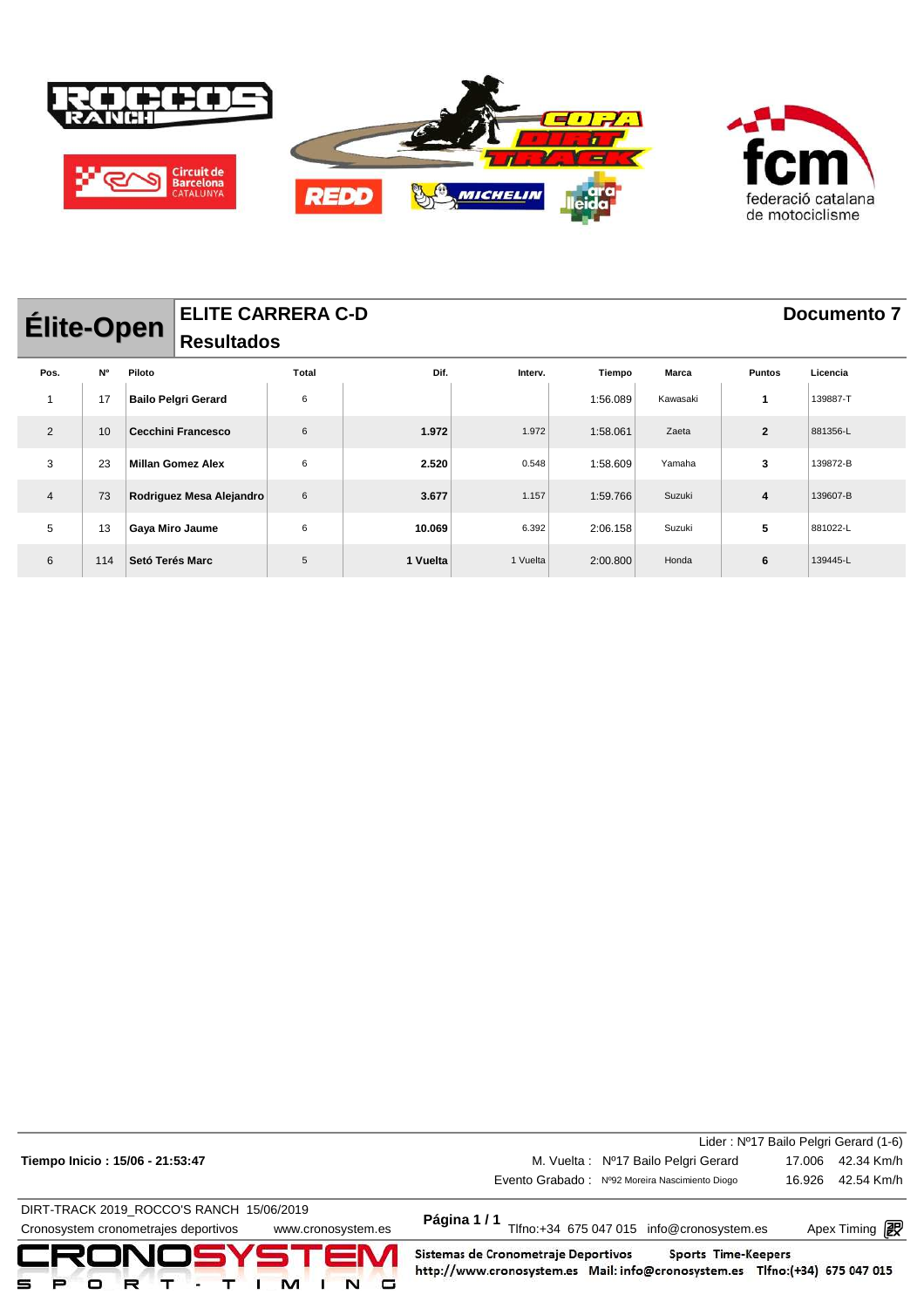

| <b>Élite-Open</b> |           |                 | <b>ELITE CARRERA C-D</b>   |       |          |          |          |              |                | Documento 7 |
|-------------------|-----------|-----------------|----------------------------|-------|----------|----------|----------|--------------|----------------|-------------|
|                   |           |                 | <b>Resultados</b>          |       |          |          |          |              |                |             |
| Pos.              | <b>N°</b> | Piloto          |                            | Total | Dif.     | Interv.  | Tiempo   | <b>Marca</b> | <b>Puntos</b>  | Licencia    |
|                   | 17        |                 | <b>Bailo Pelgri Gerard</b> | 6     |          |          | 1:56.089 | Kawasaki     |                | 139887-T    |
| 2                 | 10        |                 | Cecchini Francesco         | 6     | 1.972    | 1.972    | 1:58.061 | Zaeta        | $\overline{2}$ | 881356-L    |
| 3                 | 23        |                 | <b>Millan Gomez Alex</b>   | 6     | 2.520    | 0.548    | 1:58.609 | Yamaha       | 3              | 139872-B    |
| $\overline{4}$    | 73        |                 | Rodriguez Mesa Alejandro   | 6     | 3.677    | 1.157    | 1:59.766 | Suzuki       | 4              | 139607-B    |
| 5                 | 13        | Gaya Miro Jaume |                            | 6     | 10.069   | 6.392    | 2:06.158 | Suzuki       | 5              | 881022-L    |
| 6                 | 114       | Setó Terés Marc |                            | 5     | 1 Vuelta | 1 Vuelta | 2:00.800 | Honda        | 6              | 139445-L    |

| CRONOSYSTEM<br>□                                                                                       | Sistemas de Cronometraje Deportivos<br>Sports Time-Keepers<br>http://www.cronosystem.es Mail: info@cronosystem.es Tlfno:(+34) 675 047 015 |                                       |
|--------------------------------------------------------------------------------------------------------|-------------------------------------------------------------------------------------------------------------------------------------------|---------------------------------------|
| DIRT-TRACK 2019 ROCCO'S RANCH 15/06/2019<br>Cronosystem cronometrajes deportivos<br>www.cronosystem.es | Página 1/1<br>Tlfno:+34 675 047 015 info@cronosystem.es                                                                                   | Apex Timing <b>i</b>                  |
|                                                                                                        | Evento Grabado: Nº92 Moreira Nascimiento Diogo                                                                                            | 42.54 Km/h<br>16.926                  |
| Tiempo Inicio: 15/06 - 21:53:47                                                                        | M. Vuelta: Nº17 Bailo Pelgri Gerard                                                                                                       | 42.34 Km/h<br>17.006                  |
|                                                                                                        |                                                                                                                                           | Lider: Nº17 Bailo Pelgri Gerard (1-6) |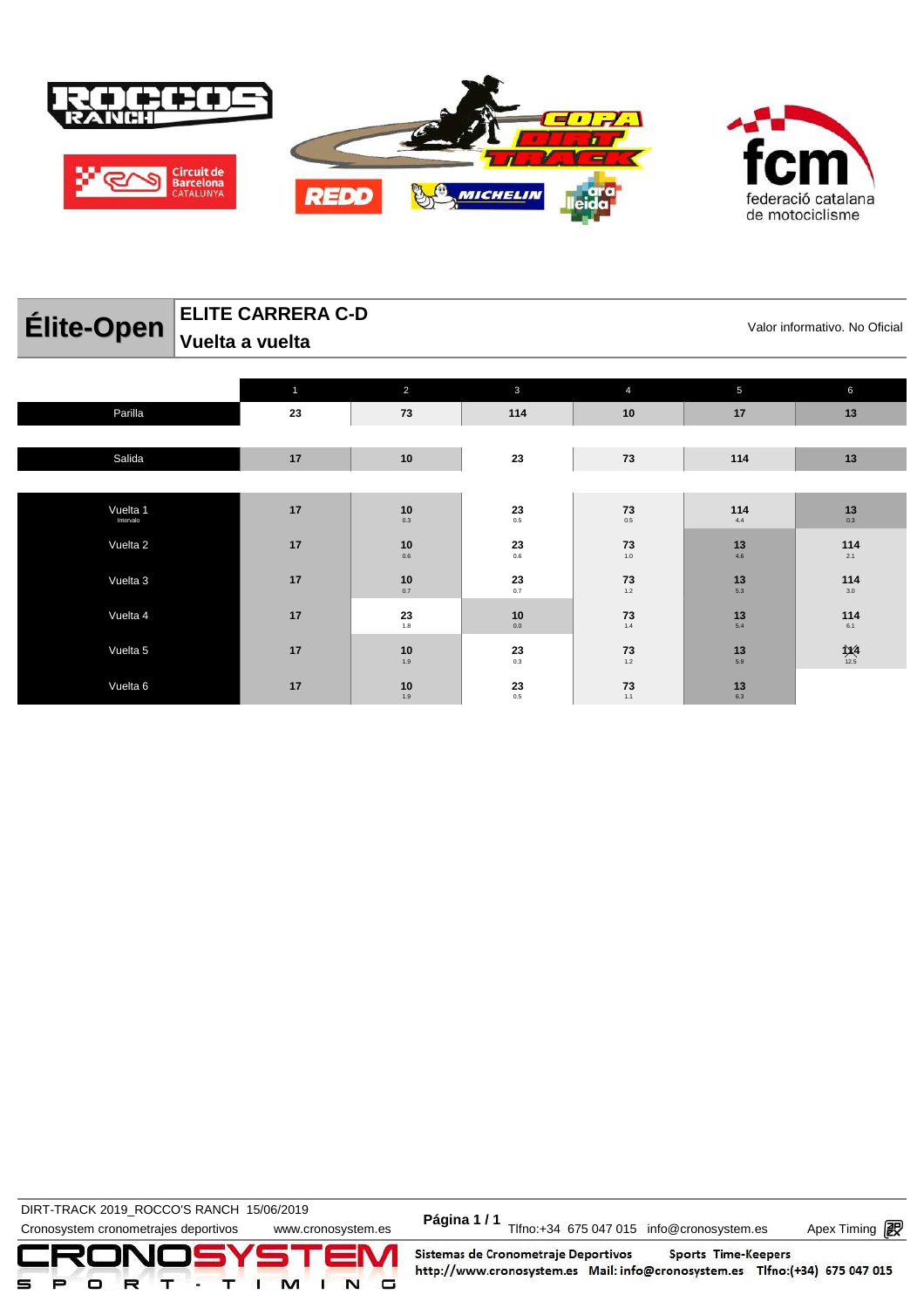

|                                   | LLIIL VAINNLINA VT<br>Valor informativo. No Oficial |                |                        |           |            |                                          |  |  |  |
|-----------------------------------|-----------------------------------------------------|----------------|------------------------|-----------|------------|------------------------------------------|--|--|--|
| <b>Elite-Open</b> Vuelta a vuelta |                                                     |                |                        |           |            |                                          |  |  |  |
|                                   |                                                     | $\overline{2}$ | 3                      |           | 5          | 6                                        |  |  |  |
| Parilla                           | 23                                                  | 73             | 114                    | 10        | 17         | 13                                       |  |  |  |
|                                   |                                                     |                |                        |           |            |                                          |  |  |  |
| Salida                            | 17                                                  | 10             | 23                     | 73        | 114        | 13                                       |  |  |  |
|                                   |                                                     |                |                        |           |            |                                          |  |  |  |
| Vuelta 1<br>Intervalo             | 17                                                  | 10<br>0.3      | $\mathbf{23}_{_{0.5}}$ | 73<br>0.5 | 114<br>4.4 | $\begin{array}{c} 13 \\ 0.3 \end{array}$ |  |  |  |

0.6

10<br> $0.7$ 

 $23$ <sub>1.8</sub>

10<br> $1.9$ 

1.9

**23** 0.6

**23** 0.7

**10** 0.0

**23** 0.3

**23** 0.5

**73** 1.0

**73** 1.2

**73** 1.4

**73** 1.2

**73** 1.1

**ELITE CARRERA C-D**

Vuelta 2 **17 10**

Vuelta 6 **17 10**

Vuelta 3 **17 10**

Vuelta 4 **17 23**

Vuelta 5 **17 10**

DIRT-TRACK 2019\_ROCCO CRANCH ISPORTS ON Página 1/1<br>Cronosystem cronometrajes deportivos www.cronosystem.es Página 1/1 Tlfno:+34 675 047 015 info@cronosystem.es Apex Timing **DIRT-TRACK 2019\_ROCCO'S RANCH 15/06/2019** 



Sistemas de Cronometraje Deportivos Sports Time-Keepers http://www.cronosystem.es Mail: info@cronosystem.es Tlfno:(+34) 675 047 015

**114** 2.1

**114** 3.0

**114** 6.1

**1X4**<br>
12.5

> **13** 4.6

> > **13** 5.3

**13** 5.4

**13** 5.9

**13** 6.3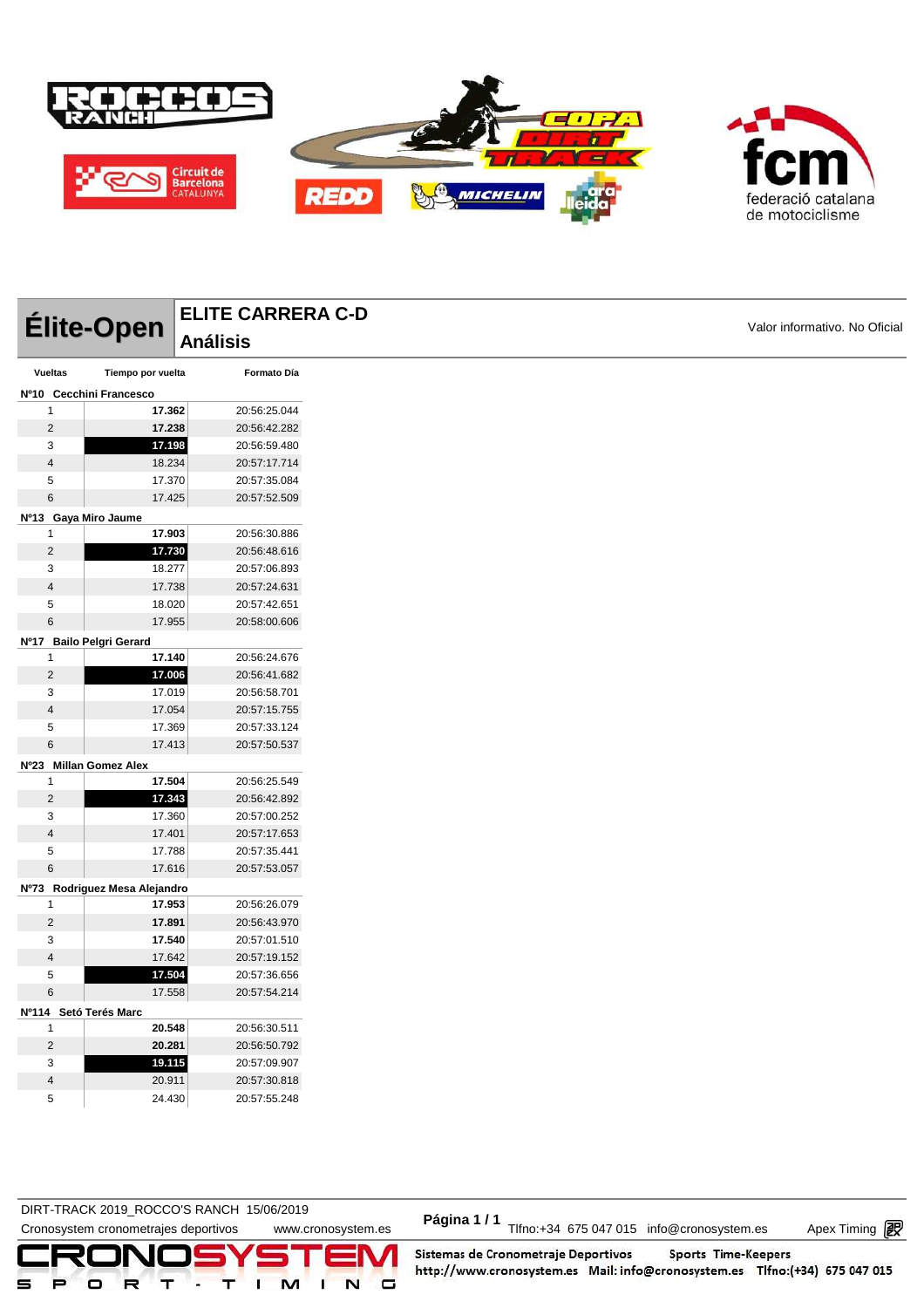



DIRT-TRACK 2019\_ROCCO'S RANCH 15/06/2019 **Página 1 / 1**

Cronosystem cronometrajes deportivos www.cronosystem.es Página 1/1 Tlfno:+34 675 047 015 info@cronosystem.es Apex Timing

Apex Timing - timing solutions and services http://www.apex-timing.com/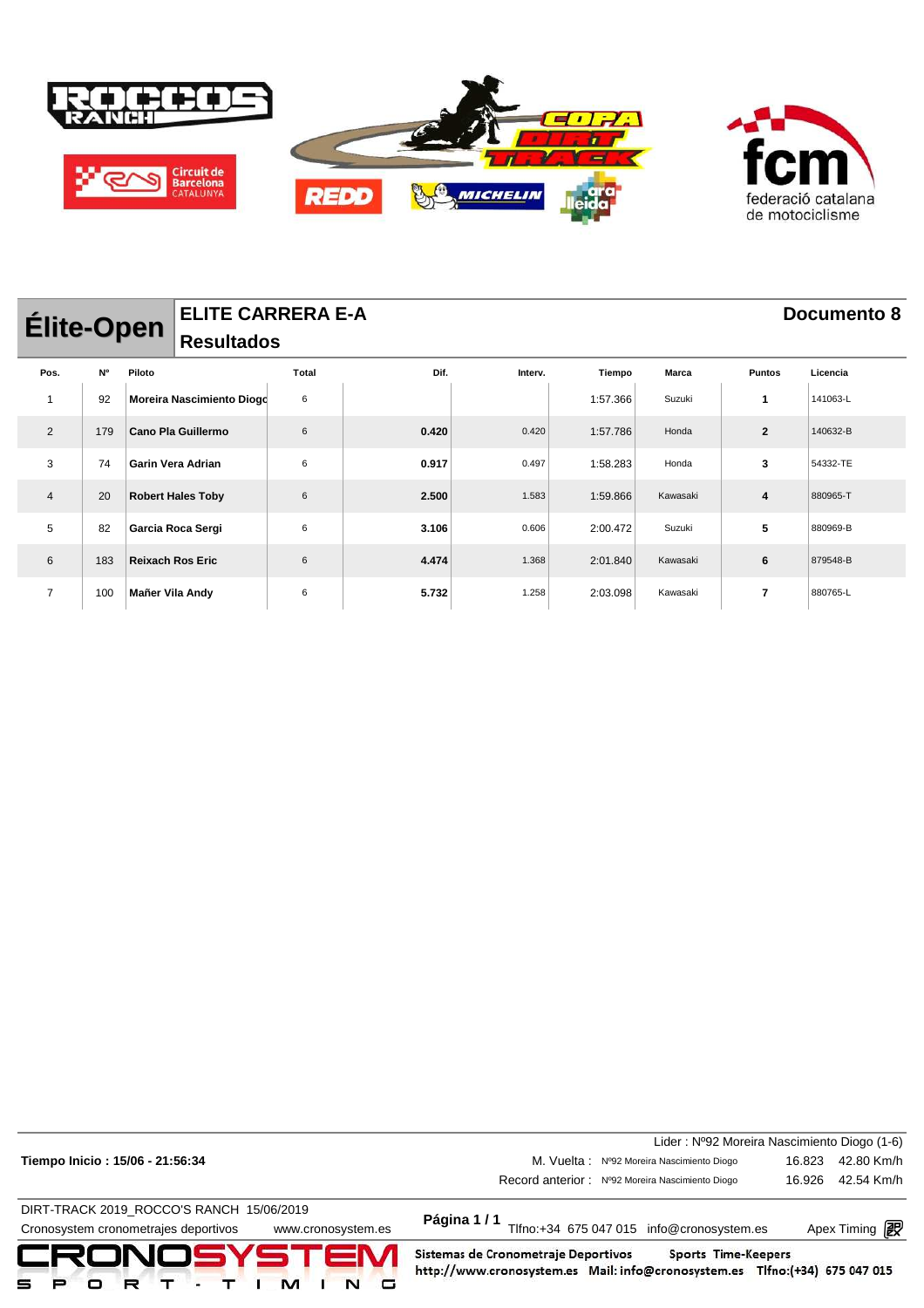

| <b>Élite-Open</b><br><b>Resultados</b> |     |                         |                           | <b>ELITE CARRERA E-A</b> |       |         |          |              |                          | Documento 8 |
|----------------------------------------|-----|-------------------------|---------------------------|--------------------------|-------|---------|----------|--------------|--------------------------|-------------|
| Pos.                                   | N°  | Piloto                  |                           | Total                    | Dif.  | Interv. | Tiempo   | <b>Marca</b> | <b>Puntos</b>            | Licencia    |
| -1                                     | 92  |                         | Moreira Nascimiento Diogo | 6                        |       |         | 1:57.366 | Suzuki       | 1                        | 141063-L    |
| 2                                      | 179 |                         | Cano Pla Guillermo        | 6                        | 0.420 | 0.420   | 1:57.786 | Honda        | $\mathbf{2}$             | 140632-B    |
| 3                                      | 74  |                         | Garin Vera Adrian         | 6                        | 0.917 | 0.497   | 1:58.283 | Honda        | 3                        | 54332-TE    |
| 4                                      | 20  |                         | <b>Robert Hales Toby</b>  | 6                        | 2.500 | 1.583   | 1:59.866 | Kawasaki     | 4                        | 880965-T    |
| 5                                      | 82  |                         | Garcia Roca Sergi         | 6                        | 3.106 | 0.606   | 2:00.472 | Suzuki       | 5                        | 880969-B    |
| 6                                      | 183 | <b>Reixach Ros Eric</b> |                           | 6                        | 4.474 | 1.368   | 2:01.840 | Kawasaki     | 6                        | 879548-B    |
| $\overline{7}$                         | 100 | Mañer Vila Andy         |                           | 6                        | 5.732 | 1.258   | 2:03.098 | Kawasaki     | $\overline{\phantom{a}}$ | 880765-L    |

| CRONOSYSTEM<br>м<br>R<br>G<br>$\blacksquare$               | Sistemas de Cronometraje Deportivos<br>Sports Time-Keepers<br>http://www.cronosystem.es Mail: info@cronosystem.es Tlfno:(+34) 675 047 015 |                                             |
|------------------------------------------------------------|-------------------------------------------------------------------------------------------------------------------------------------------|---------------------------------------------|
| Cronosystem cronometrajes deportivos<br>www.cronosystem.es | Página 1/1<br>Tlfno:+34 675 047 015 info@cronosystem.es                                                                                   | Apex Timing <b>i</b>                        |
| DIRT-TRACK 2019 ROCCO'S RANCH 15/06/2019                   |                                                                                                                                           |                                             |
|                                                            | Record anterior: Nº92 Moreira Nascimiento Diogo                                                                                           | 42.54 Km/h<br>16.926                        |
| Tiempo Inicio: 15/06 - 21:56:34                            | M. Vuelta: Nº92 Moreira Nascimiento Diogo                                                                                                 | 42.80 Km/h<br>16.823                        |
|                                                            |                                                                                                                                           | Lider: Nº92 Moreira Nascimiento Diogo (1-6) |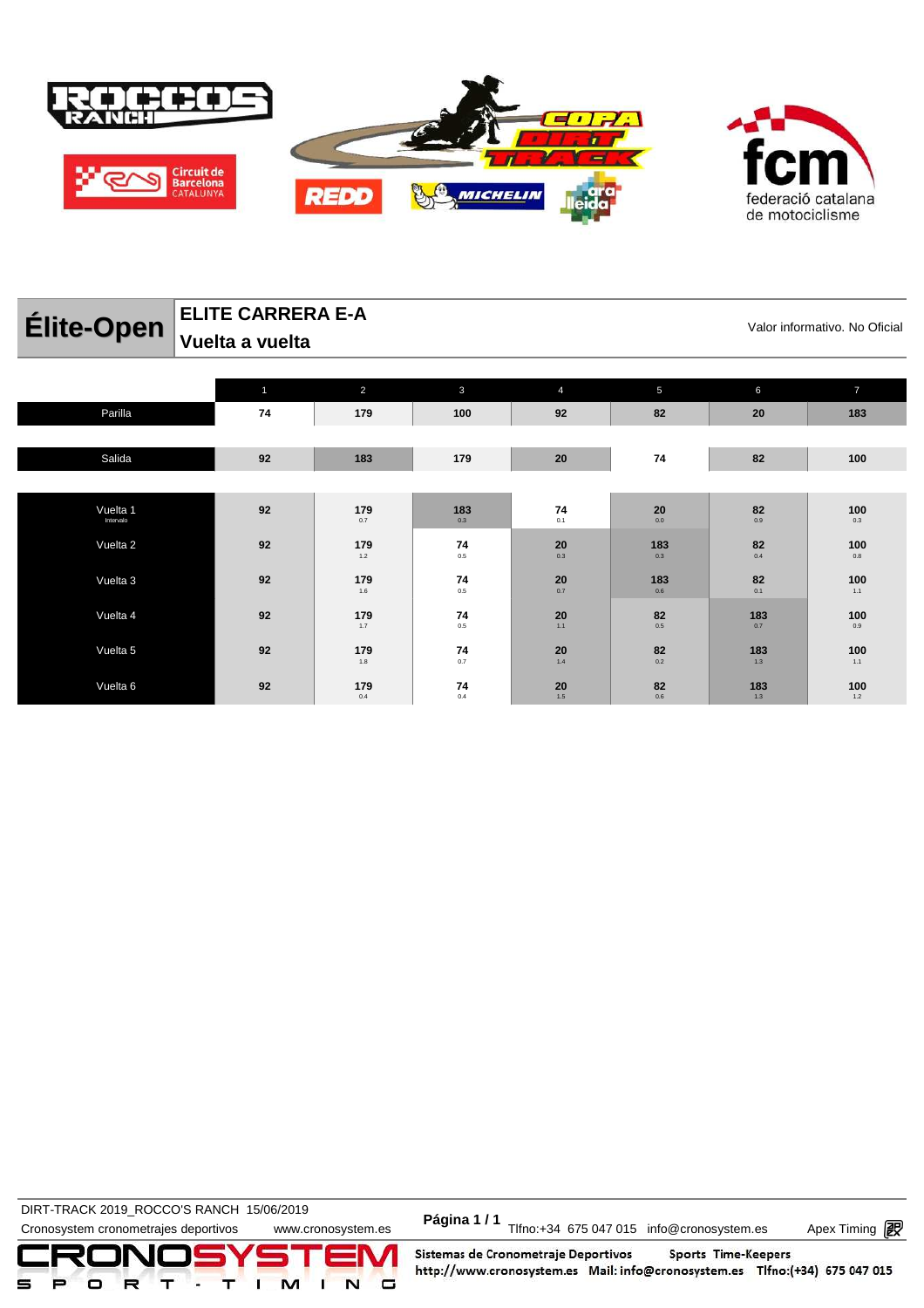



### **Élite-Open** ELITE CARRERA E-A<br>
Valor informativo. No Oficial **ELITE CARRERA E-A Vuelta a vuelta**

|           | $\mathbf{1}$ | $\overline{2}$                                       | $\mathbf{3}$                                      | $\overline{4}$                | 5                                          | 6                                 | $\overline{7}$ |
|-----------|--------------|------------------------------------------------------|---------------------------------------------------|-------------------------------|--------------------------------------------|-----------------------------------|----------------|
| Parilla   | 74           | 179                                                  | 100                                               | 92                            | 82                                         | 20                                | 183            |
|           |              |                                                      |                                                   |                               |                                            |                                   |                |
| Salida    | 92           | 183                                                  | 179                                               | 20                            | 74                                         | 82                                | 100            |
|           |              |                                                      |                                                   |                               |                                            |                                   |                |
| Vuelta 1  | 92           | 179                                                  | 183                                               | 74                            | $\mathbf{20}_{_{\mathbf{0.0}}}$            | $82$ $_{\scriptscriptstyle{0.9}}$ | 100            |
| Intervalo |              | 0.7                                                  | 0.3                                               | 0.1                           |                                            |                                   | 0.3            |
| Vuelta 2  | 92           | 179                                                  | $\mathbf{74} \atop 0.5$                           | $\mathop{20}\limits_{_{0.3}}$ | 183                                        | $\mathbf{82}_{_{\mathrm{0.4}}}$   | 100            |
|           |              | $1.2\,$                                              |                                                   |                               | 0.3                                        |                                   | $0.8\,$        |
| Vuelta 3  | 92           | 179                                                  | 74                                                | $\mathbf{20}_{_{0.7}}$        | 183                                        | $\mathbf{82}_{_{\mathrm{0.1}}}$   | 100            |
|           |              | $1.6\,$                                              | $0.5\,$                                           |                               | 0.6                                        |                                   | 1.1            |
| Vuelta 4  | 92           | 179                                                  | $\begin{array}{c} \mathbf{74} \\ 0.5 \end{array}$ | $20$ <sub>1.1</sub>           | $\mathbf{82}_{_{0.5}}$                     | 183                               | 100            |
|           |              | 1.7                                                  |                                                   |                               |                                            | 0.7                               | $0.9\,$        |
| Vuelta 5  | 92           | 179                                                  | 74                                                | $\mathbf{20}$ 1.4             |                                            | 183                               | 100            |
|           |              | 1.8                                                  | 0.7                                               |                               | $\mathbf{82}_{_{\scriptscriptstyle{0.2}}}$ | 1.3                               | 1.1            |
| Vuelta 6  | 92           |                                                      | 74                                                |                               |                                            | 183                               | 100            |
|           |              | $\begin{array}{c}\n\textbf{179} \\ 0.4\n\end{array}$ | 0.4                                               | $20$ <sub>1.5</sub>           | $\mathbf{82}_{_{\mathrm{0.6}}}$            | $1.3$                             | $1.2$          |

**DIRT-TRACK 2019\_ROCCO'S RANCH 15/06/2019** 

DIRT-TRACK 2019\_ROCCO STANCH 19/00/2019<br>Cronosystem cronometrajes deportivos www.cronosystem.es Página 1/1 Tlfno:+34 675 047 015 info@cronosystem.es Apex Timing

Apex Timing - timing solutions and services http://www.apex-timing.com/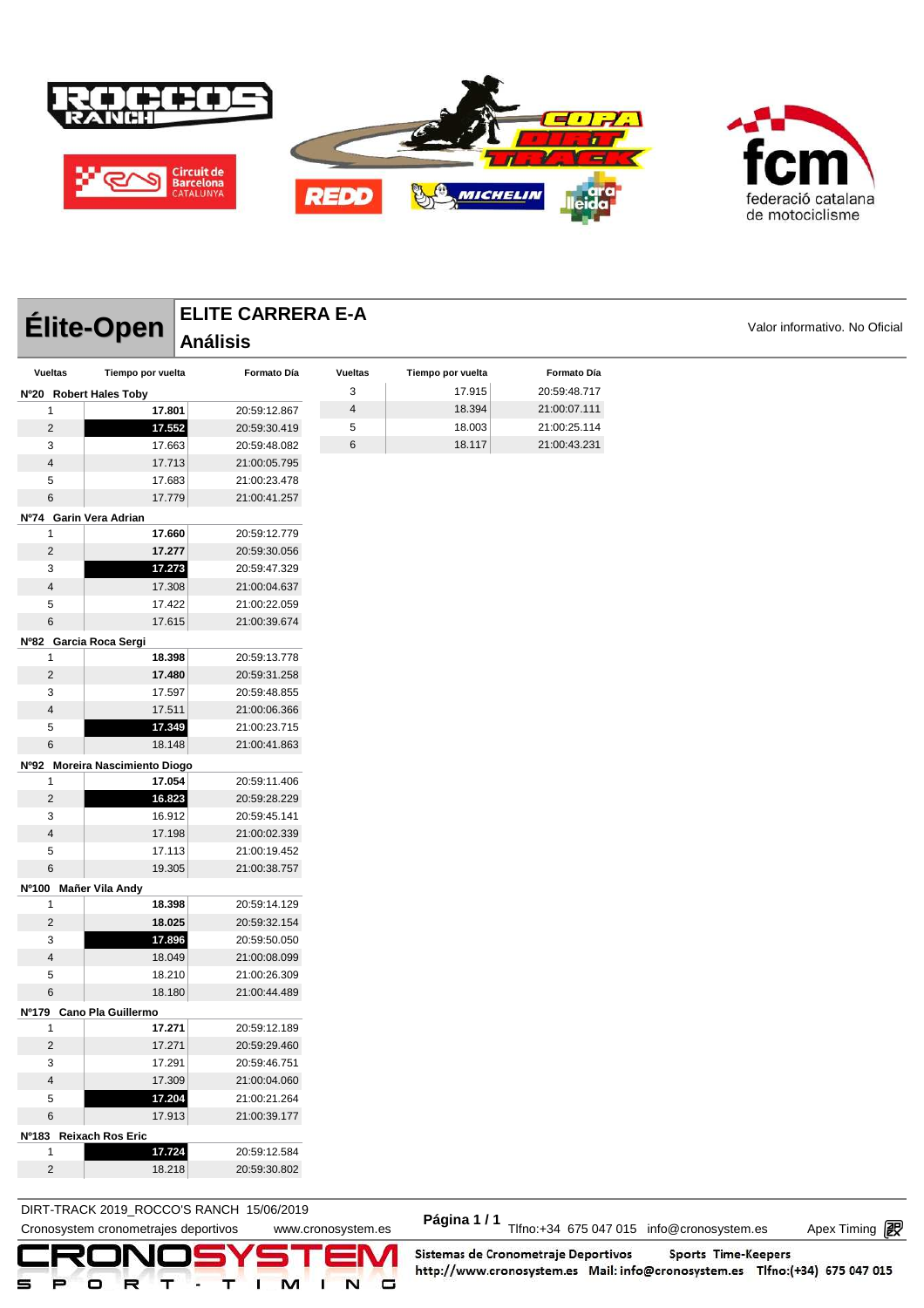



|                        | Élite-Open                     | <b>ELITE CARRERA E-A</b> |                         |                   |              |                               |
|------------------------|--------------------------------|--------------------------|-------------------------|-------------------|--------------|-------------------------------|
|                        | <b>Análisis</b>                |                          |                         |                   |              | Valor informativo. No Oficial |
| <b>Vueltas</b>         | Tiempo por vuelta              | Formato Día              | <b>Vueltas</b>          | Tiempo por vuelta | Formato Día  |                               |
| Nº20 Robert Hales Toby |                                |                          | 3                       | 17.915            | 20:59:48.717 |                               |
| 1                      | 17.801                         | 20:59:12.867             | $\overline{\mathbf{4}}$ | 18.394            | 21:00:07.111 |                               |
| $\overline{c}$         | 17.552                         | 20:59:30.419             | 5                       | 18.003            | 21:00:25.114 |                               |
| 3                      | 17.663                         | 20:59:48.082             | 6                       | 18.117            | 21:00:43.231 |                               |
| 4                      | 17.713                         | 21:00:05.795             |                         |                   |              |                               |
| 5                      | 17.683                         | 21:00:23.478             |                         |                   |              |                               |
| $\,6$                  | 17.779                         | 21:00:41.257             |                         |                   |              |                               |
| Nº74 Garin Vera Adrian |                                |                          |                         |                   |              |                               |
| 1                      | 17.660                         | 20:59:12.779             |                         |                   |              |                               |
| $\overline{c}$         | 17.277                         | 20:59:30.056             |                         |                   |              |                               |
| 3                      | 17.273                         | 20:59:47.329             |                         |                   |              |                               |
| 4                      | 17.308                         | 21:00:04.637             |                         |                   |              |                               |
| 5                      | 17.422                         | 21:00:22.059             |                         |                   |              |                               |
| 6                      | 17.615                         | 21:00:39.674             |                         |                   |              |                               |
| Nº82 Garcia Roca Sergi |                                |                          |                         |                   |              |                               |
| 1                      | 18.398                         | 20:59:13.778             |                         |                   |              |                               |
| $\overline{c}$         | 17.480                         | 20:59:31.258             |                         |                   |              |                               |
| 3                      | 17.597                         | 20:59:48.855             |                         |                   |              |                               |
| 4                      | 17.511                         | 21:00:06.366             |                         |                   |              |                               |
| 5                      | 17.349                         | 21:00:23.715             |                         |                   |              |                               |
| $\,6$                  | 18.148                         | 21:00:41.863             |                         |                   |              |                               |
|                        | Nº92 Moreira Nascimiento Diogo |                          |                         |                   |              |                               |
| 1                      | 17.054                         | 20:59:11.406             |                         |                   |              |                               |
| $\overline{c}$         | 16.823                         | 20:59:28.229             |                         |                   |              |                               |
| 3                      | 16.912                         | 20:59:45.141             |                         |                   |              |                               |
| $\overline{4}$         | 17.198                         | 21:00:02.339             |                         |                   |              |                               |
| 5                      | 17.113                         | 21:00:19.452             |                         |                   |              |                               |
| 6                      | 19.305                         | 21:00:38.757             |                         |                   |              |                               |
| Nº100 Mañer Vila Andy  |                                |                          |                         |                   |              |                               |
| 1                      | 18.398                         | 20:59:14.129             |                         |                   |              |                               |
| $\overline{c}$         | 18.025                         | 20:59:32.154             |                         |                   |              |                               |
| 3                      | 17.896                         | 20:59:50.050             |                         |                   |              |                               |
| 4                      | 18.049                         | 21:00:08.099             |                         |                   |              |                               |
| 5                      | 18.210                         | 21:00:26.309             |                         |                   |              |                               |
| 6                      | 18.180                         | 21:00:44.489             |                         |                   |              |                               |
|                        | Nº179 Cano Pla Guillermo       |                          |                         |                   |              |                               |
| 1                      | 17.271                         | 20:59:12.189             |                         |                   |              |                               |
| $\overline{2}$         | 17.271                         | 20:59:29.460             |                         |                   |              |                               |
| 3                      | 17.291                         | 20:59:46.751             |                         |                   |              |                               |
| 4                      | 17.309                         | 21:00:04.060             |                         |                   |              |                               |
| 5                      | 17.204                         | 21:00:21.264             |                         |                   |              |                               |
| 6                      | 17.913                         | 21:00:39.177             |                         |                   |              |                               |
| Nº183 Reixach Ros Eric |                                |                          |                         |                   |              |                               |
| 1                      | 17.724                         | 20:59:12.584             |                         |                   |              |                               |
| $\overline{c}$         | 18.218                         | 20:59:30.802             |                         |                   |              |                               |

**DIRT-TRACK 2019\_ROCCO'S RANCH 15/06/2019** 

DIRT-TRACK 2019\_ROCCO STANCH 19/00/2019<br>Cronosystem cronometrajes deportivos www.cronosystem.es Página 1/1 Tlfno:+34 675 047 015 info@cronosystem.es Apex Timing

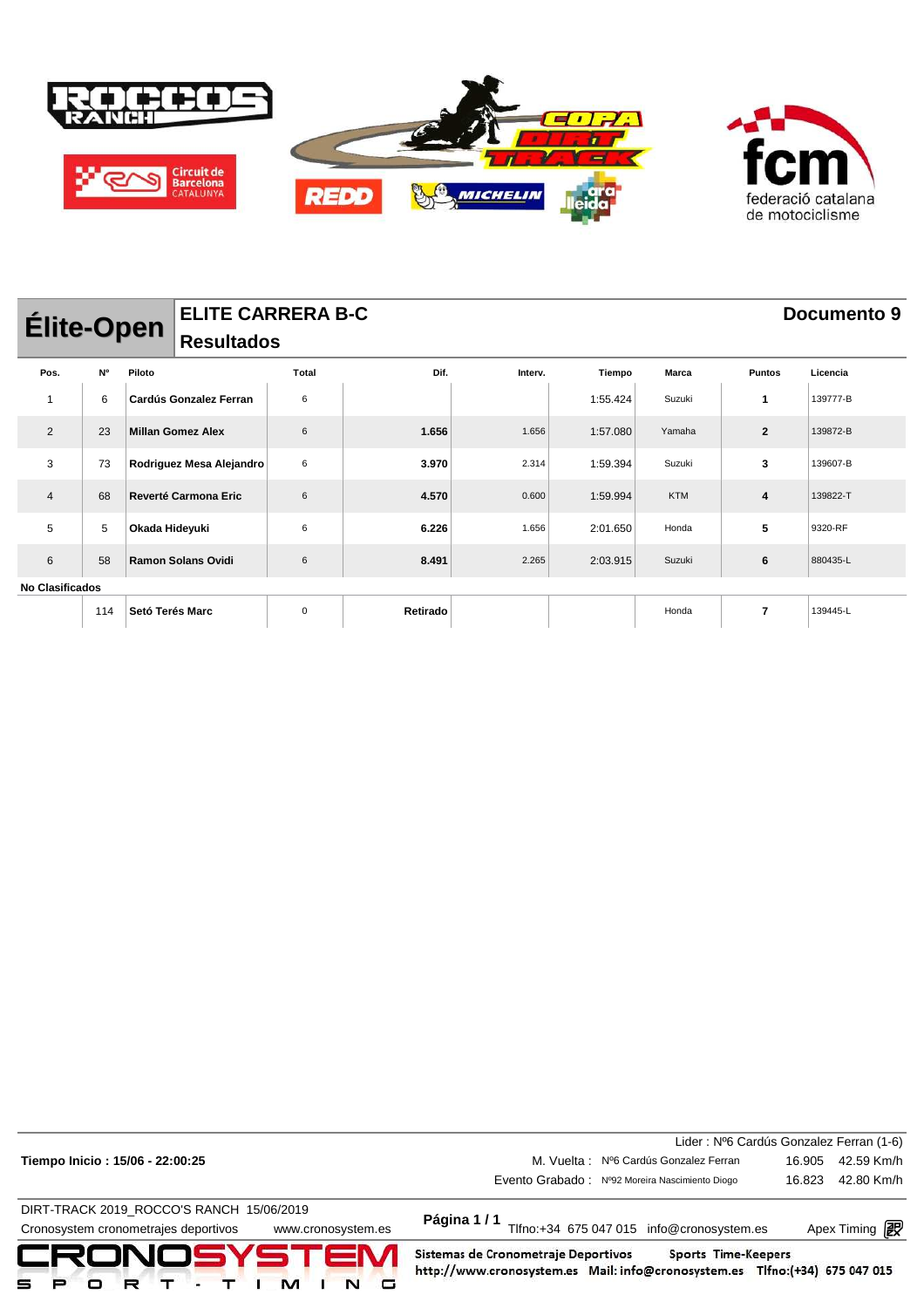

|                        | <b>ELITE CARRERA B-C</b><br>Documento 9<br><b>Élite-Open</b><br><b>Resultados</b> |                 |                           |       |          |         |          |            |                |          |
|------------------------|-----------------------------------------------------------------------------------|-----------------|---------------------------|-------|----------|---------|----------|------------|----------------|----------|
| Pos.                   | N°                                                                                | Piloto          |                           | Total | Dif.     | Interv. | Tiempo   | Marca      | <b>Puntos</b>  | Licencia |
|                        | 6                                                                                 |                 | Cardús Gonzalez Ferran    | 6     |          |         | 1:55.424 | Suzuki     | 1              | 139777-B |
| 2                      | 23                                                                                |                 | <b>Millan Gomez Alex</b>  | 6     | 1.656    | 1.656   | 1:57.080 | Yamaha     | $\overline{2}$ | 139872-B |
| 3                      | 73                                                                                |                 | Rodriguez Mesa Alejandro  | 6     | 3.970    | 2.314   | 1:59.394 | Suzuki     | 3              | 139607-B |
| $\overline{4}$         | 68                                                                                |                 | Reverté Carmona Eric      | 6     | 4.570    | 0.600   | 1:59.994 | <b>KTM</b> | 4              | 139822-T |
| 5                      | 5                                                                                 | Okada Hideyuki  |                           | 6     | 6.226    | 1.656   | 2:01.650 | Honda      | 5              | 9320-RF  |
| 6                      | 58                                                                                |                 | <b>Ramon Solans Ovidi</b> | 6     | 8.491    | 2.265   | 2:03.915 | Suzuki     | 6              | 880435-L |
| <b>No Clasificados</b> |                                                                                   |                 |                           |       |          |         |          |            |                |          |
|                        | 114                                                                               | Setó Terés Marc |                           | 0     | Retirado |         |          | Honda      | 7              | 139445-L |

|                                                            |                                                                                                                                           | Lider: Nº6 Cardús Gonzalez Ferran (1-6) |
|------------------------------------------------------------|-------------------------------------------------------------------------------------------------------------------------------------------|-----------------------------------------|
| Tiempo Inicio: 15/06 - 22:00:25                            | M. Vuelta: Nº6 Cardús Gonzalez Ferran                                                                                                     | 42.59 Km/h<br>16.905                    |
|                                                            | Evento Grabado: Nº92 Moreira Nascimiento Diogo                                                                                            | 42.80 Km/h<br>16.823                    |
| DIRT-TRACK 2019 ROCCO'S RANCH 15/06/2019                   |                                                                                                                                           |                                         |
| Cronosystem cronometrajes deportivos<br>www.cronosystem.es | Página 1/1<br>Tlfno:+34 675 047 015 info@cronosystem.es                                                                                   | Apex Timing <b>ng</b>                   |
| CRONOSYSTEM<br>⋼<br>□                                      | Sistemas de Cronometraje Deportivos<br>Sports Time-Keepers<br>http://www.cronosystem.es Mail: info@cronosystem.es Tlfno:(+34) 675 047 015 |                                         |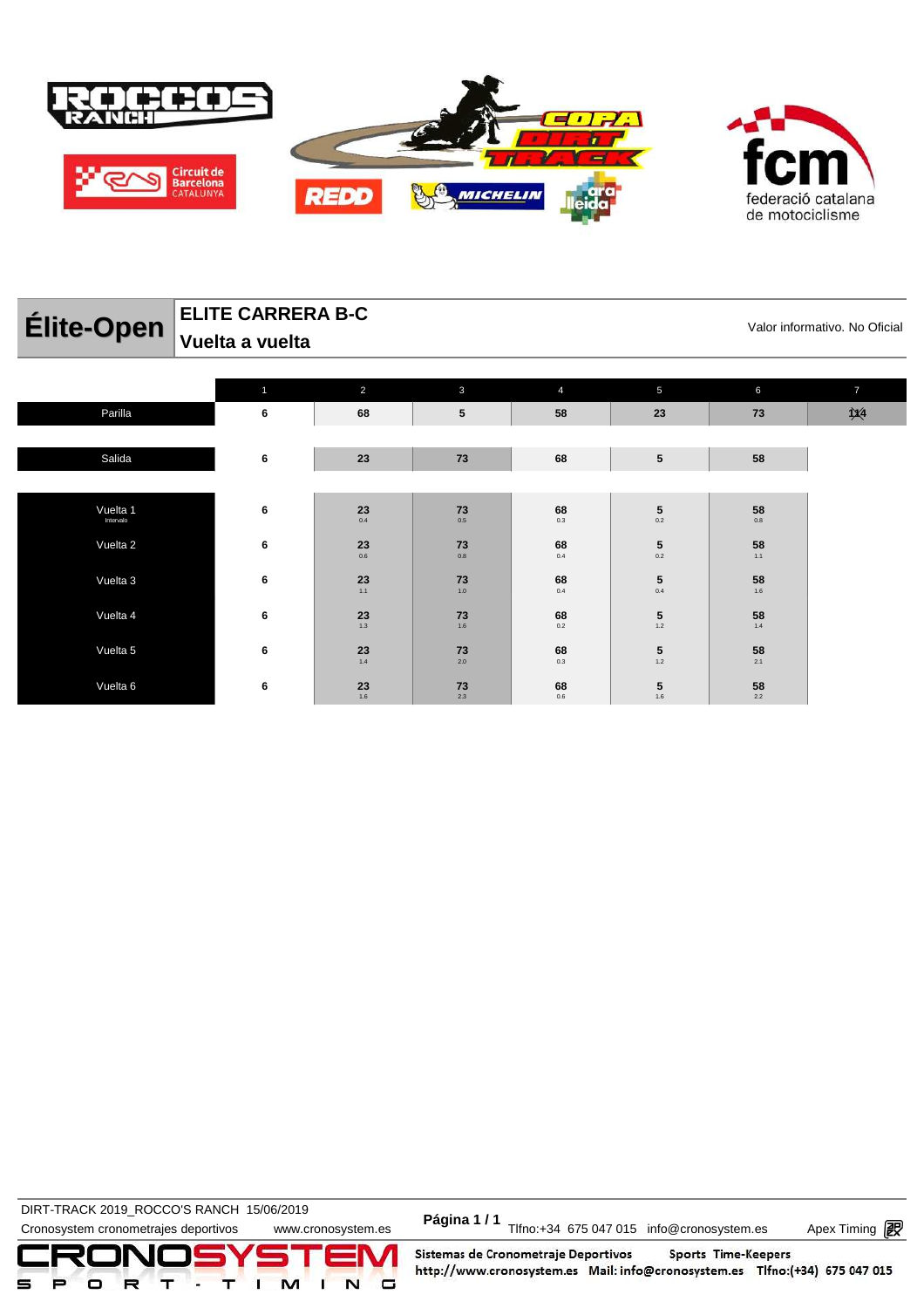

| Élite-Open            | Vuelta a vuelta | <b>ELITE CARRERA B-C</b><br>Valor informativo. No Oficial |                  |                  |                                                           |                                                   |                |  |  |  |  |
|-----------------------|-----------------|-----------------------------------------------------------|------------------|------------------|-----------------------------------------------------------|---------------------------------------------------|----------------|--|--|--|--|
|                       | 1               | 2                                                         | $\mathbf{3}$     | $\overline{4}$   | 5                                                         | $6\phantom{a}$                                    | $\overline{I}$ |  |  |  |  |
| Parilla               | 6               | 68                                                        | $5\phantom{.0}$  | 58               | 23                                                        | 73                                                | $\chi$         |  |  |  |  |
| Salida                | 6               | 23                                                        | 73               | 68               | ${\bf 5}$                                                 | 58                                                |                |  |  |  |  |
| Vuelta 1<br>Intervalo | 6               | 23<br>0.4                                                 | 73<br>0.5        | 68<br>0.3        | 5<br>0.2                                                  | 58<br>0.8                                         |                |  |  |  |  |
| Vuelta 2              | 6               | $\mathbf{23}_{_{0.6}}$                                    | 73<br>0.8        | 68<br>0.4        | $\mathbf{5}_{_{0.2}}$                                     | $\begin{array}{c} \mathbf{58} \\ 1.1 \end{array}$ |                |  |  |  |  |
| Vuelta 3              | 6               | 23<br>1.1                                                 | 73<br>1.0        | 68<br>0.4        | 5<br>0.4                                                  | 58<br>1.6                                         |                |  |  |  |  |
| Vuelta 4              | 6               | $23$<br>$1.3$                                             | 73<br>1.6        | 68<br>0.2        | 5<br>$1.2$                                                | 58<br>1.4                                         |                |  |  |  |  |
| Vuelta 5              | 6               | 23                                                        | 73               | 68               | ${\bf 5}$                                                 | 58                                                |                |  |  |  |  |
| Vuelta 6              | 6               | 1.4<br>$23$<br>1.6                                        | 2.0<br>73<br>2.3 | 0.3<br>68<br>0.6 | $1.2$<br>$\begin{array}{c} \mathbf{5} \\ 1.6 \end{array}$ | 2.1<br>58<br>2.2                                  |                |  |  |  |  |

**DIRT-TRACK 2019\_ROCCO'S RANCH 15/06/2019** 

DIRT-TRACK 2019\_ROCCO STANCH 19/00/2019<br>Cronosystem cronometrajes deportivos www.cronosystem.es Página 1/1 Tlfno:+34 675 047 015 info@cronosystem.es Apex Timing

Apex Timing - timing solutions and services http://www.apex-timing.com/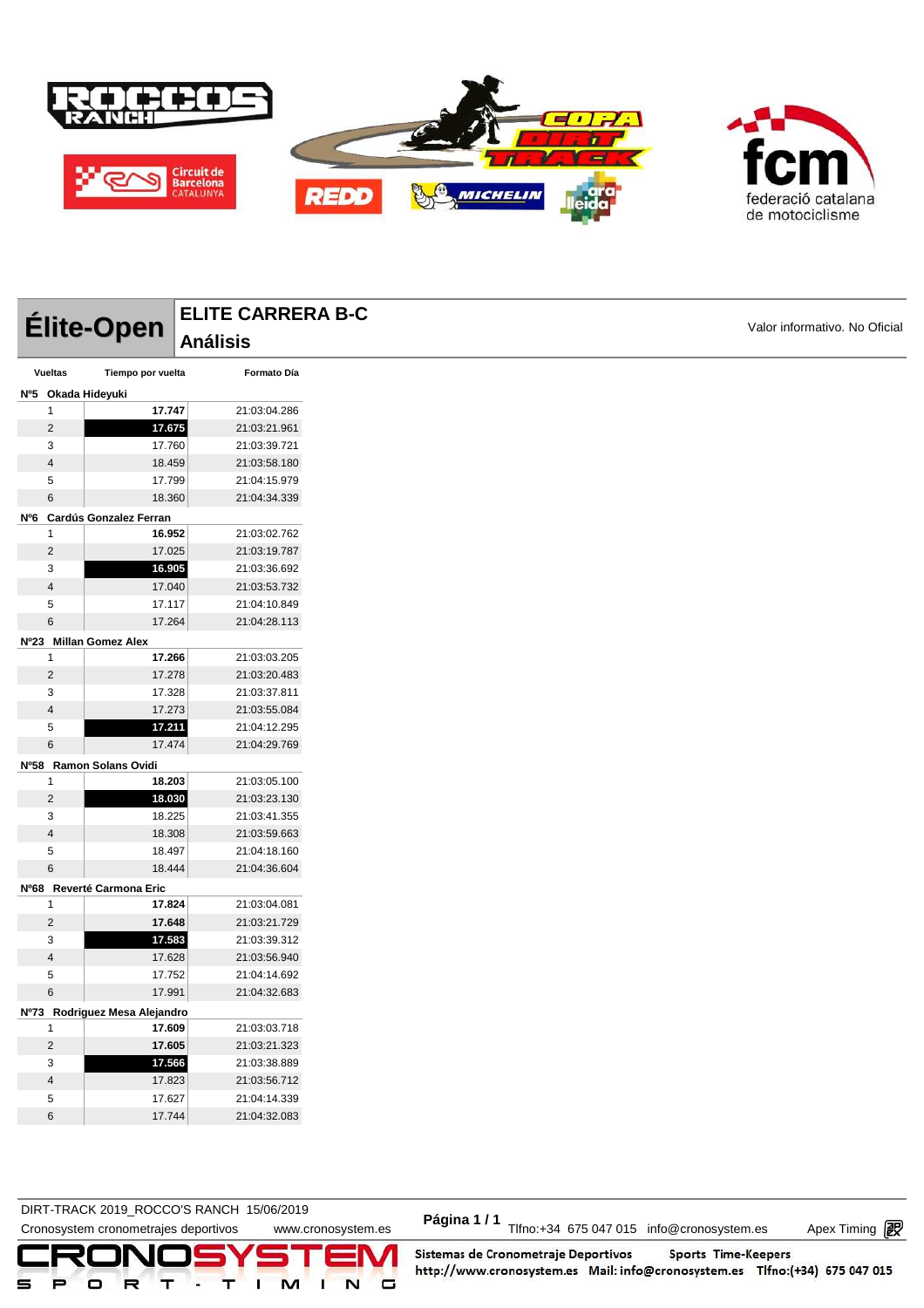

|                         |                               | <b>ELITE CARRERA B-C</b>     |                               |  |
|-------------------------|-------------------------------|------------------------------|-------------------------------|--|
|                         | Élite-Open                    | <b>Análisis</b>              | Valor informativo. No Oficial |  |
| <b>Vueltas</b>          | Tiempo por vuelta             | Formato Día                  |                               |  |
| Nº5 Okada Hideyuki      |                               |                              |                               |  |
| 1                       | 17.747                        | 21:03:04.286                 |                               |  |
| $\overline{2}$          | 17.675                        | 21:03:21.961                 |                               |  |
| 3                       | 17.760                        | 21:03:39.721                 |                               |  |
| $\sqrt{4}$              | 18.459                        | 21:03:58.180                 |                               |  |
| 5                       | 17.799                        | 21:04:15.979                 |                               |  |
| 6                       | 18.360                        | 21:04:34.339                 |                               |  |
|                         | Nº6 Cardús Gonzalez Ferran    |                              |                               |  |
| 1                       | 16.952                        | 21:03:02.762                 |                               |  |
| $\overline{2}$          | 17.025                        | 21:03:19.787                 |                               |  |
| 3                       | 16.905                        | 21:03:36.692                 |                               |  |
| $\overline{4}$          | 17.040                        | 21:03:53.732                 |                               |  |
| 5                       | 17.117                        | 21:04:10.849                 |                               |  |
| $\,6\,$                 | 17.264                        | 21:04:28.113                 |                               |  |
|                         | Nº23 Millan Gomez Alex        |                              |                               |  |
| $\mathbf{1}$            | 17.266                        | 21:03:03.205                 |                               |  |
| $\overline{2}$          | 17.278                        | 21:03:20.483                 |                               |  |
| 3                       | 17.328                        | 21:03:37.811                 |                               |  |
| $\overline{4}$          | 17.273                        | 21:03:55.084                 |                               |  |
| 5                       | 17.211                        | 21:04:12.295                 |                               |  |
| 6                       | 17.474                        | 21:04:29.769                 |                               |  |
|                         | Nº58 Ramon Solans Ovidi       |                              |                               |  |
| $\mathbf{1}$            | 18.203                        | 21:03:05.100                 |                               |  |
| $\overline{2}$          | 18.030                        | 21:03:23.130                 |                               |  |
| 3                       | 18.225                        | 21:03:41.355                 |                               |  |
| $\overline{4}$          | 18.308                        | 21:03:59.663                 |                               |  |
| 5                       | 18.497                        | 21:04:18.160                 |                               |  |
| $\,6$                   | 18.444                        | 21:04:36.604                 |                               |  |
|                         | Nº68 Reverté Carmona Eric     |                              |                               |  |
| 1                       | 17.824                        | 21:03:04.081                 |                               |  |
| $\overline{2}$          | 17.648                        | 21:03:21.729                 |                               |  |
| 3                       | 17.583                        | 21:03:39.312                 |                               |  |
| $\overline{\mathbf{4}}$ | 17.628                        | 21:03:56.940                 |                               |  |
| 5                       | 17.752                        | 21:04:14.692                 |                               |  |
| 6                       | 17.991                        | 21:04:32.683                 |                               |  |
|                         | Nº73 Rodriguez Mesa Alejandro |                              |                               |  |
| 1                       | 17.609                        | 21:03:03.718                 |                               |  |
| $\overline{\mathbf{c}}$ | 17.605                        | 21:03:21.323                 |                               |  |
| 3                       | 17.566                        | 21:03:38.889                 |                               |  |
| $\overline{4}$<br>5     | 17.823<br>17.627              | 21:03:56.712<br>21:04:14.339 |                               |  |
|                         |                               |                              |                               |  |

DIRT-TRACK 2019\_ROCCO STANCH 19/00/2019<br>Cronosystem cronometrajes deportivos www.cronosystem.es Página 1/1 Tlfno:+34 675 047 015 info@cronosystem.es Apex Timing **DIRT-TRACK 2019\_ROCCO'S RANCH 15/06/2019** 

17.744 21:04:32.083

Apex Timing - timing solutions and services http://www.apex-timing.com/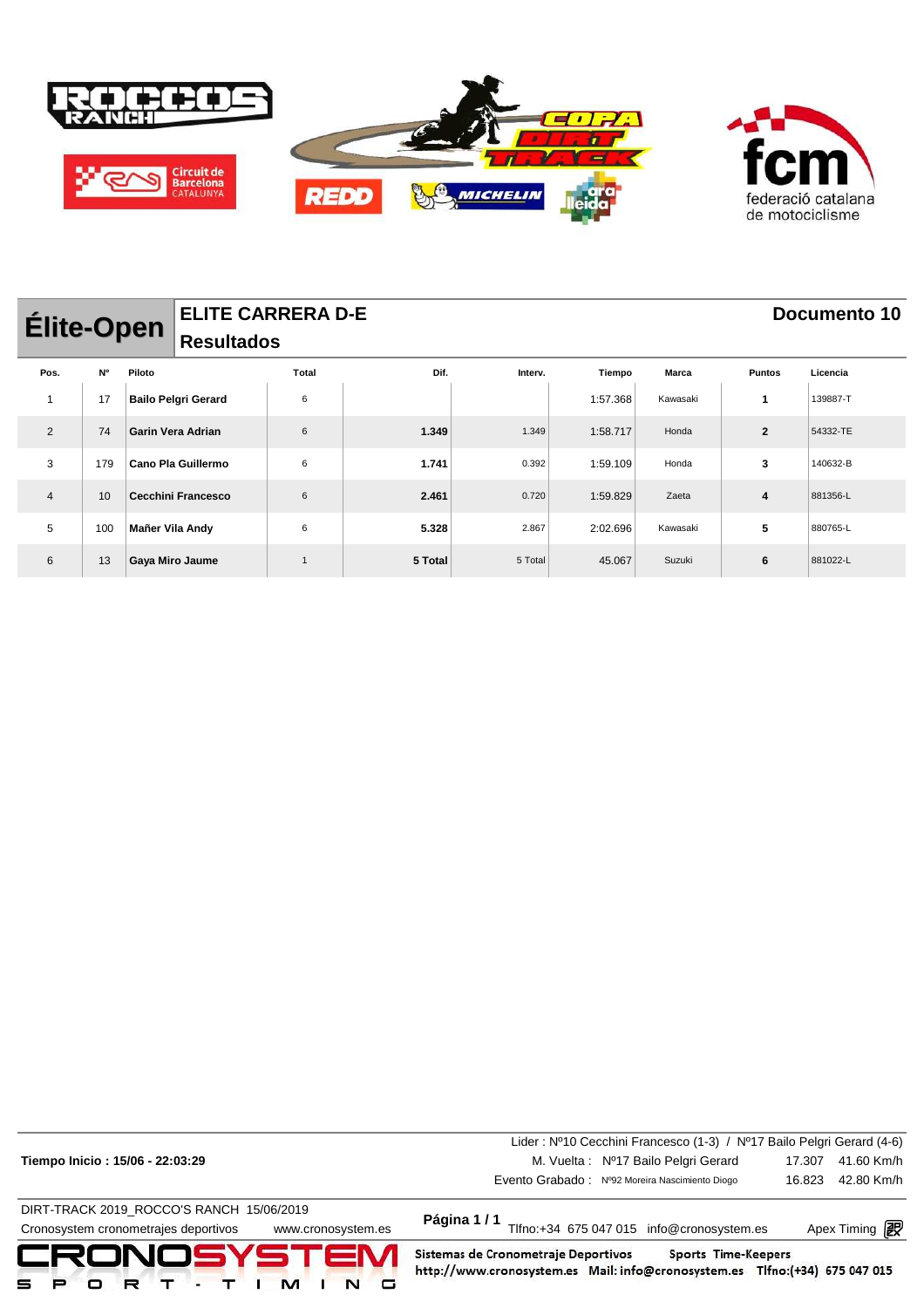

|                | <b>ELITE CARRERA D-E</b><br><b>Élite-Open</b><br><b>Resultados</b> |                        |                            |       |         |         |          |              |                | Documento 10 |  |
|----------------|--------------------------------------------------------------------|------------------------|----------------------------|-------|---------|---------|----------|--------------|----------------|--------------|--|
| Pos.           | N°                                                                 | Piloto                 |                            | Total | Dif.    | Interv. | Tiempo   | <b>Marca</b> | <b>Puntos</b>  | Licencia     |  |
| 1              | 17                                                                 |                        | <b>Bailo Pelgri Gerard</b> | 6     |         |         | 1:57.368 | Kawasaki     | 1              | 139887-T     |  |
| 2              | 74                                                                 |                        | <b>Garin Vera Adrian</b>   | 6     | 1.349   | 1.349   | 1:58.717 | Honda        | $\overline{2}$ | 54332-TE     |  |
| 3              | 179                                                                |                        | Cano Pla Guillermo         | 6     | 1.741   | 0.392   | 1:59.109 | Honda        | 3              | 140632-B     |  |
| $\overline{4}$ | 10                                                                 |                        | <b>Cecchini Francesco</b>  | 6     | 2.461   | 0.720   | 1:59.829 | Zaeta        | 4              | 881356-L     |  |
| 5              | 100                                                                | Mañer Vila Andy        |                            | 6     | 5.328   | 2.867   | 2:02.696 | Kawasaki     | 5              | 880765-L     |  |
| 6              | 13                                                                 | <b>Gaya Miro Jaume</b> |                            |       | 5 Total | 5 Total | 45.067   | Suzuki       | 6              | 881022-L     |  |

| Cronosystem cronometrajes deportivos<br>www.cronosystem.es<br>CRONOSYSTEM<br>⋼ | Sistemas de Cronometraje Deportivos<br>Sports Time-Keepers<br>http://www.cronosystem.es Mail: info@cronosystem.es Tlfno:(+34) 675 047 015<br>G | Apex Timing <b>i</b> |
|--------------------------------------------------------------------------------|------------------------------------------------------------------------------------------------------------------------------------------------|----------------------|
| DIRT-TRACK 2019 ROCCO'S RANCH 15/06/2019                                       | Página 1/1<br>Tlfno:+34 675 047 015 info@cronosystem.es                                                                                        |                      |
|                                                                                | Evento Grabado: Nº92 Moreira Nascimiento Diogo                                                                                                 | 42.80 Km/h<br>16.823 |
| Tiempo Inicio: 15/06 - 22:03:29                                                | M. Vuelta: Nº17 Bailo Pelgri Gerard                                                                                                            | 41.60 Km/h<br>17.307 |
|                                                                                | Lider: Nº10 Cecchini Francesco (1-3) / Nº17 Bailo Pelgri Gerard (4-6)                                                                          |                      |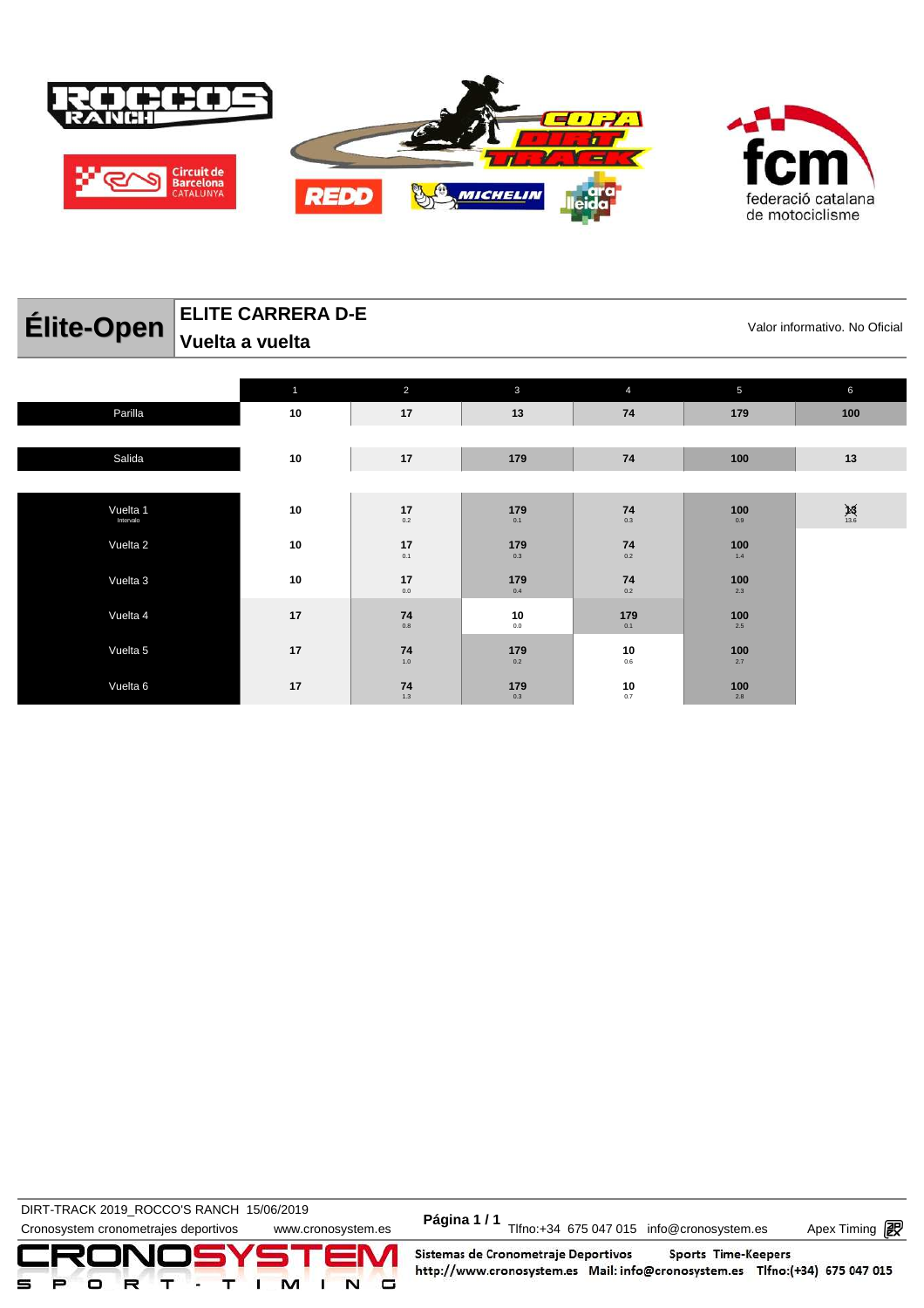

| Élite-Open | <b>ELITE CARRERA D-E</b><br>$^{\parallel}$ Vuelta a vuelta |               |     |    |     | Valor informativo. No Oficial |
|------------|------------------------------------------------------------|---------------|-----|----|-----|-------------------------------|
|            |                                                            |               |     |    |     |                               |
|            |                                                            | $\mathcal{P}$ | 3   |    | 5   | 6                             |
| Parilla    | 10                                                         | 17            | 13  | 74 | 179 | 100                           |
|            |                                                            |               |     |    |     |                               |
| Salida     | 10                                                         | 17            | 179 | 74 | 100 | 13                            |

Vuelta 1 Intervalo **10 17** 0.2 **179** 0.1 **74** 0.3 **100** 0.9 **13** 13.6 Vuelta 2 **10 17** 0.1 **179** 0.3 **74** 0.2 **100** 1.4 Vuelta 3 **10 17**  $17_{0.0}$ **179** 0.4 **74** 0.2 **100** 2.3 **17 17 17**  $74$ <br> $0.8$ **10** 0.0 **179** 0.1 **100** 2.5 **17 17 17**  $74$ <br>1.0 **179** 0.2 **10** 0.6 **100** 2.7 Vuelta 6 **17 74** 1.3 **179** 0.3 **10** 0.7 **100** 2.8

DIRT-TRACK 2019\_ROCCO 6 NANCLE 19/00/2019<br>Cronosystem cronometrajes deportivos www.cronosystem.es Página 1 / 1<br>Cronosystem.es Apex Timing P **DIRT-TRACK 2019\_ROCCO'S RANCH 15/06/2019** 

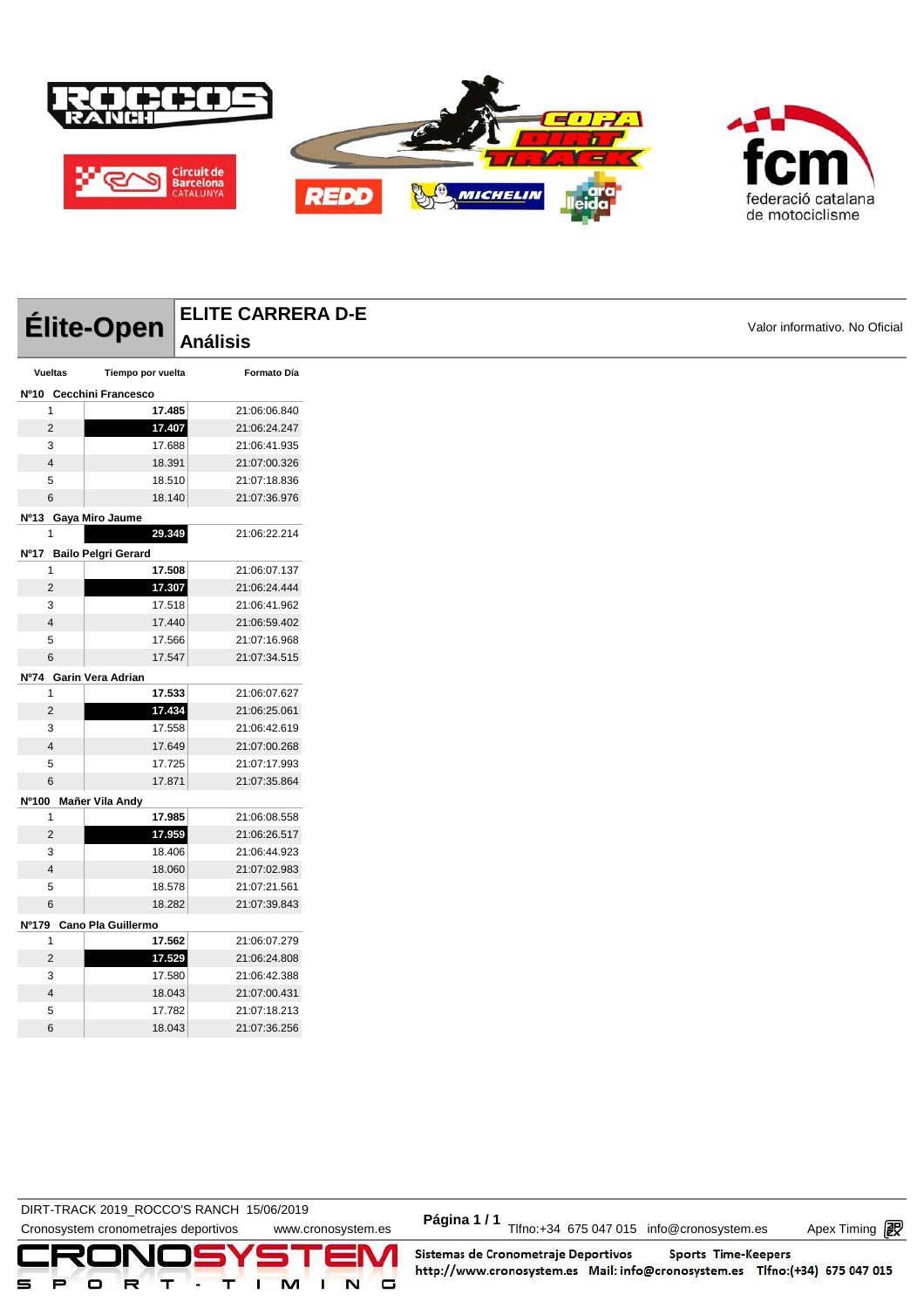

|                          |                   | <b>ELITE CARRERA D-E</b> |                               |
|--------------------------|-------------------|--------------------------|-------------------------------|
| Élite-Open               |                   | <b>Análisis</b>          | Valor informativo. No Oficial |
|                          |                   |                          |                               |
| Vueltas                  | Tiempo por vuelta | Formato Día              |                               |
| Nº10 Cecchini Francesco  |                   |                          |                               |
| 1                        | 17.485            | 21:06:06.840             |                               |
| $\overline{2}$           | 17.407            | 21:06:24.247             |                               |
| 3                        | 17.688            | 21:06:41.935             |                               |
| $\overline{4}$           | 18.391            | 21:07:00.326             |                               |
| 5                        | 18.510            | 21:07:18.836             |                               |
| 6                        | 18.140            | 21:07:36.976             |                               |
| Nº13 Gaya Miro Jaume     |                   |                          |                               |
| 1                        | 29.349            | 21:06:22.214             |                               |
| Nº17 Bailo Pelgri Gerard |                   |                          |                               |
| 1                        | 17.508            | 21:06:07.137             |                               |
| $\overline{2}$           | 17.307            | 21:06:24.444             |                               |
| 3                        | 17.518            | 21:06:41.962             |                               |
| $\overline{4}$           | 17.440            | 21:06:59.402             |                               |
| 5                        | 17.566            | 21:07:16.968             |                               |
| 6                        | 17.547            | 21:07:34.515             |                               |
| Nº74 Garin Vera Adrian   |                   |                          |                               |
| 1                        | 17.533            | 21:06:07.627             |                               |
| $\overline{2}$           | 17.434            | 21:06:25.061             |                               |
| 3                        | 17.558            | 21:06:42.619             |                               |
| $\overline{4}$           | 17.649            | 21:07:00.268             |                               |
| 5                        | 17.725            | 21:07:17.993             |                               |
| $\,6$                    | 17.871            | 21:07:35.864             |                               |
| Nº100 Mañer Vila Andy    |                   |                          |                               |
| $\mathbf{1}$             | 17.985            | 21:06:08.558             |                               |
| $\overline{2}$           | 17.959            | 21:06:26.517             |                               |
| 3                        | 18.406            | 21:06:44.923             |                               |
| $\overline{4}$           | 18.060            | 21:07:02.983             |                               |
| 5                        | 18.578            | 21:07:21.561             |                               |
| $\,6$                    | 18.282            | 21:07:39.843             |                               |
| Nº179 Cano Pla Guillermo |                   |                          |                               |
| 1                        | 17.562            | 21:06:07.279             |                               |
| $\overline{2}$           | 17.529            | 21:06:24.808             |                               |
| 3                        | 17.580            | 21:06:42.388             |                               |
| $\overline{4}$           | 18.043            | 21:07:00.431             |                               |

**DIRT-TRACK 2019\_ROCCO'S RANCH 15/06/2019** 

 17.782 21:07:18.213 18.043 21:07:36.256

DIRT-TRACK 2019\_ROCCO STANCH 19/00/2019<br>Cronosystem cronometrajes deportivos www.cronosystem.es Página 1/1 Tlfno:+34 675 047 015 info@cronosystem.es Apex Timing

Apex Timing - timing solutions and services http://www.apex-timing.com/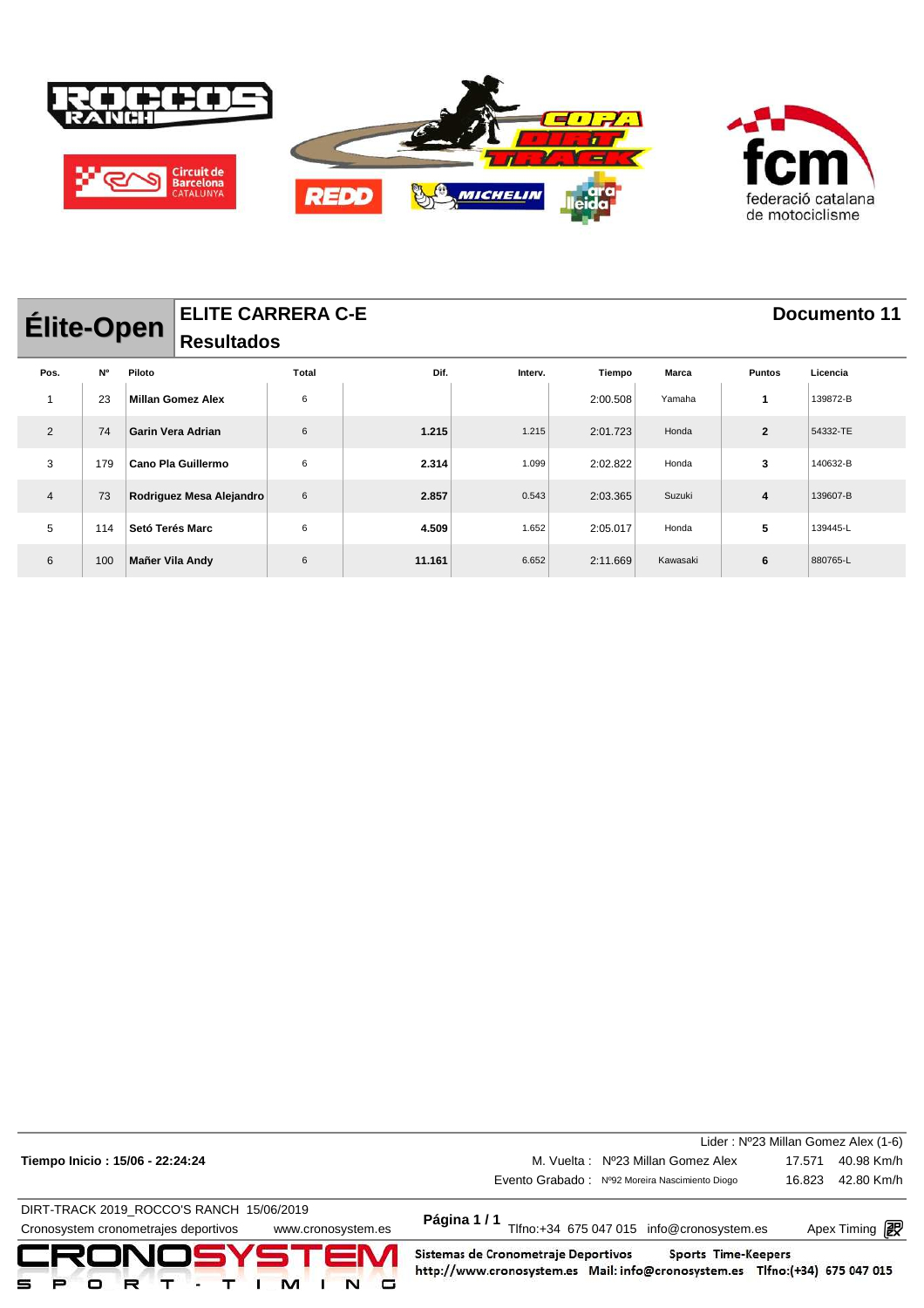

| <b>ELITE CARRERA C-E</b><br><b>Élite-Open</b><br><b>Resultados</b> |     |                          |       |        |         |          |              | Documento 11   |          |
|--------------------------------------------------------------------|-----|--------------------------|-------|--------|---------|----------|--------------|----------------|----------|
| Pos.                                                               | N°  | Piloto                   | Total | Dif.   | Interv. | Tiempo   | <b>Marca</b> | <b>Puntos</b>  | Licencia |
|                                                                    | 23  | <b>Millan Gomez Alex</b> | 6     |        |         | 2:00.508 | Yamaha       | 1              | 139872-B |
| $\overline{2}$                                                     | 74  | Garin Vera Adrian        | 6     | 1.215  | 1.215   | 2:01.723 | Honda        | $\overline{2}$ | 54332-TE |
| 3                                                                  | 179 | Cano Pla Guillermo       | 6     | 2.314  | 1.099   | 2:02.822 | Honda        | 3              | 140632-B |
| $\overline{4}$                                                     | 73  | Rodriguez Mesa Alejandro | 6     | 2.857  | 0.543   | 2:03.365 | Suzuki       | 4              | 139607-B |
| 5                                                                  | 114 | Setó Terés Marc          | 6     | 4.509  | 1.652   | 2:05.017 | Honda        | 5              | 139445-L |
| 6                                                                  | 100 | Mañer Vila Andy          | 6     | 11.161 | 6.652   | 2:11.669 | Kawasaki     | 6              | 880765-L |

|                                                            |                                                                                                                                           | Lider: Nº23 Millan Gomez Alex (1-6) |  |  |  |
|------------------------------------------------------------|-------------------------------------------------------------------------------------------------------------------------------------------|-------------------------------------|--|--|--|
| Tiempo Inicio: 15/06 - 22:24:24                            | M. Vuelta: Nº23 Millan Gomez Alex                                                                                                         | 40.98 Km/h<br>17.571                |  |  |  |
|                                                            | Evento Grabado: Nº92 Moreira Nascimiento Diogo                                                                                            | 42.80 Km/h<br>16.823                |  |  |  |
| DIRT-TRACK 2019_ROCCO'S RANCH 15/06/2019                   |                                                                                                                                           |                                     |  |  |  |
| Cronosystem cronometrajes deportivos<br>www.cronosystem.es | Página 1/1<br>Tlfno:+34 675 047 015 info@cronosystem.es<br>Apex Timing <b>interal</b>                                                     |                                     |  |  |  |
| CRONOSYSTEM<br>м                                           | Sistemas de Cronometraje Deportivos<br>Sports Time-Keepers<br>http://www.cronosystem.es Mail: info@cronosystem.es Tlfno:(+34) 675 047 015 |                                     |  |  |  |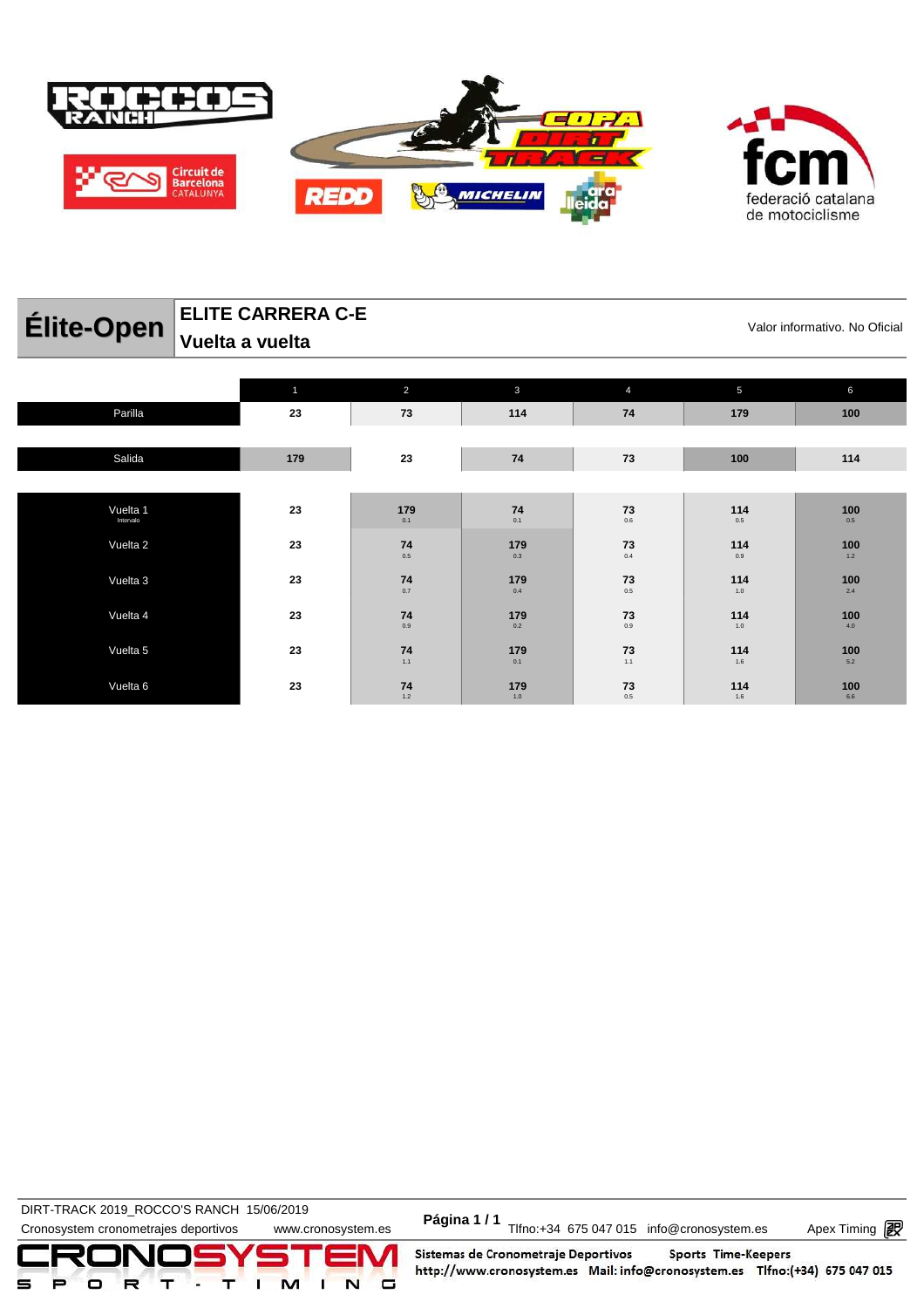

| Élite-Open            | <b>ELITE CARRERA C-E</b><br>Valor informativo. No Oficial |                |              |                         |            |              |  |  |  |
|-----------------------|-----------------------------------------------------------|----------------|--------------|-------------------------|------------|--------------|--|--|--|
|                       | Vuelta a vuelta                                           |                |              |                         |            |              |  |  |  |
|                       | $\mathbf{1}$                                              | $\overline{2}$ | $\mathbf{3}$ | $\overline{4}$          | 5          | 6            |  |  |  |
| Parilla               | 23                                                        | 73             | 114          | 74                      | 179        | 100          |  |  |  |
| Salida                | 179                                                       | 23             | 74           | 73                      | 100        | 114          |  |  |  |
| Vuelta 1<br>Intervalo | 23                                                        | 179<br>0.1     | 74<br>0.1    | 73<br>0.6               | 114<br>0.5 | 100<br>0.5   |  |  |  |
| Vuelta 2              | 23                                                        | 74<br>0.5      | 179<br>0.3   | 73<br>0.4               | 114<br>0.9 | 100<br>$1.2$ |  |  |  |
| Vuelta 3              | 23                                                        | 74<br>0.7      | 179<br>0.4   | 73<br>0.5               | 114<br>1.0 | 100<br>2.4   |  |  |  |
| Vuelta 4              | 23                                                        | 74<br>0.9      | 179<br>0.2   | $\mathbf{73} \atop 0.9$ | 114<br>1.0 | 100<br>4.0   |  |  |  |

**179** 0.1

**179** 1.0

**73** 1.1

**73** 0.5

**114** 1.6

**114** 1.6

**100** 5.2

**100** 6.6

 $74$ <br>1.1

1.2

DIRT-TRACK 2019\_ROCCO STANCH 19/00/2019<br>Cronosystem cronometrajes deportivos www.cronosystem.es Página 1/1 Tlfno:+34 675 047 015 info@cronosystem.es Apex Timing **DIRT-TRACK 2019\_ROCCO'S RANCH 15/06/2019** 

Apex Timing - timing solutions and services http://www.apex-timing.com/

Vuelta 5 **23 74**

Vuelta 6 **23 74**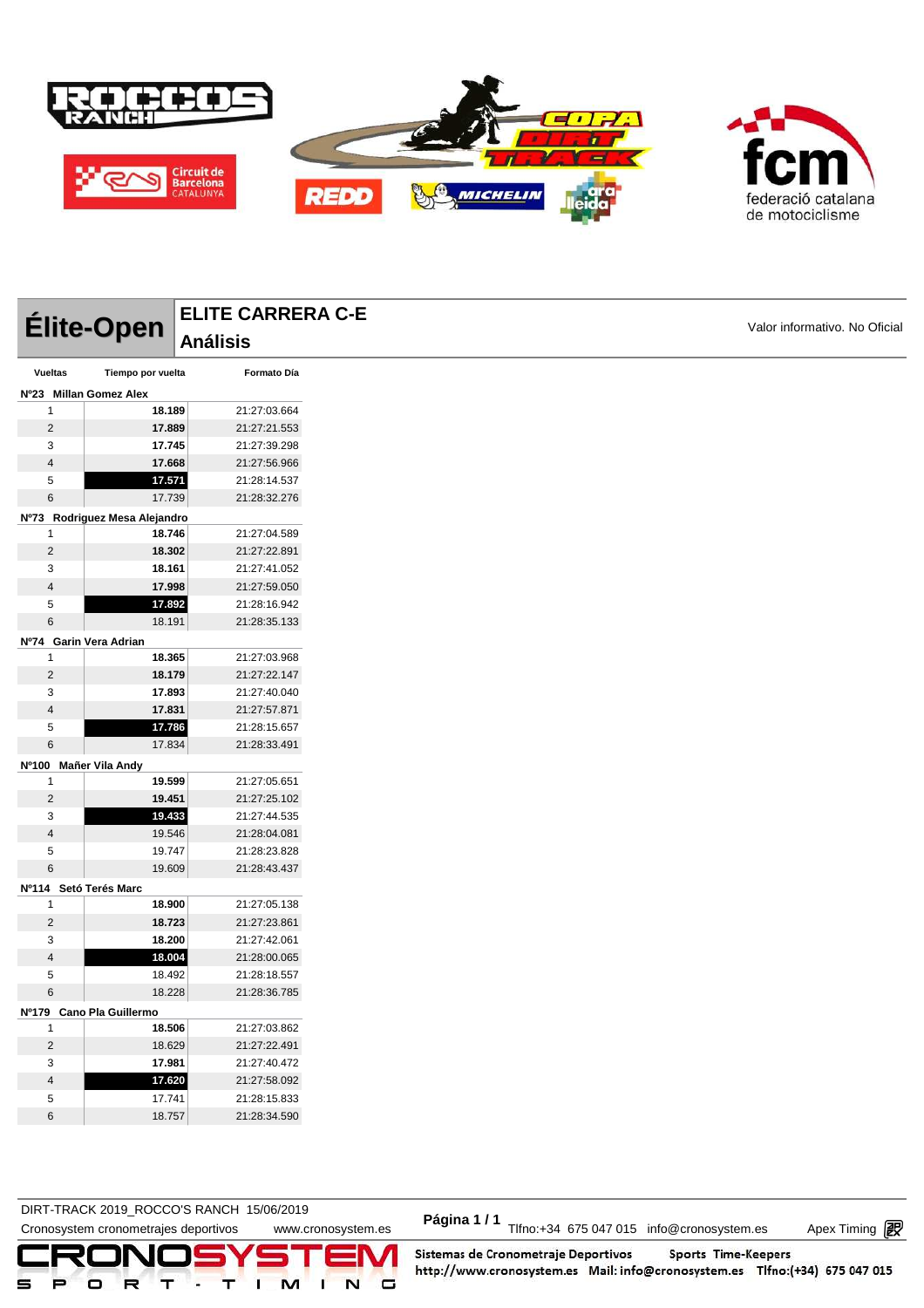

|                |                               | <b>ELITE CARRERA C-E</b> |                               |
|----------------|-------------------------------|--------------------------|-------------------------------|
|                | Élite-Open                    | <b>Análisis</b>          | Valor informativo. No Oficial |
| <b>Vueltas</b> | Tiempo por vuelta             | Formato Día              |                               |
|                | Nº23 Millan Gomez Alex        |                          |                               |
| 1              | 18.189                        | 21:27:03.664             |                               |
| $\overline{2}$ | 17.889                        | 21:27:21.553             |                               |
| 3              | 17.745                        | 21:27:39.298             |                               |
| $\overline{4}$ | 17.668                        | 21:27:56.966             |                               |
| 5              | 17.571                        | 21:28:14.537             |                               |
| 6              | 17.739                        | 21:28:32.276             |                               |
|                | Nº73 Rodriguez Mesa Alejandro |                          |                               |
| 1              | 18.746                        | 21:27:04.589             |                               |
| $\overline{2}$ | 18.302                        | 21:27:22.891             |                               |
| 3              | 18.161                        | 21:27:41.052             |                               |
| $\overline{4}$ | 17.998                        | 21:27:59.050             |                               |
| 5              | 17.892                        | 21:28:16.942             |                               |
| 6              | 18.191                        | 21:28:35.133             |                               |
|                | Nº74 Garin Vera Adrian        |                          |                               |
| 1              | 18.365                        | 21:27:03.968             |                               |
| $\overline{2}$ | 18.179                        | 21:27:22.147             |                               |
| 3              | 17.893                        | 21:27:40.040             |                               |
| $\overline{4}$ | 17.831                        | 21:27:57.871             |                               |
| 5              | 17.786                        | 21:28:15.657             |                               |
| 6              | 17.834                        | 21:28:33.491             |                               |
|                | Nº100 Mañer Vila Andy         |                          |                               |
| 1              | 19.599                        | 21:27:05.651             |                               |
| $\overline{2}$ | 19.451                        | 21:27:25.102             |                               |
| 3              | 19.433                        | 21:27:44.535             |                               |
| $\overline{4}$ | 19.546                        | 21:28:04.081             |                               |
| 5              | 19.747                        | 21:28:23.828             |                               |
| 6              | 19.609                        | 21:28:43.437             |                               |
|                | Nº114 Setó Terés Marc         |                          |                               |
| 1              | 18.900                        | 21:27:05.138             |                               |
| $\overline{2}$ | 18.723                        | 21:27:23.861             |                               |
| 3              | 18.200                        | 21:27:42.061             |                               |
| 4              | 18.004                        | 21:28:00.065             |                               |
| 5              | 18.492                        | 21:28:18.557             |                               |
| 6              | 18.228                        | 21:28:36.785             |                               |
|                | Nº179 Cano Pla Guillermo      |                          |                               |
| 1              | 18.506                        | 21:27:03.862             |                               |
| $\overline{c}$ | 18.629                        | 21:27:22.491             |                               |
| 3              | 17.981                        | 21:27:40.472             |                               |
| $\overline{4}$ | 17.620                        | 21:27:58.092             |                               |
| 5              | 17.741                        | 21:28:15.833             |                               |

DIRT-TRACK 2019\_ROCCO STANCH 19/00/2019<br>Cronosystem cronometrajes deportivos www.cronosystem.es Página 1/1 Tlfno:+34 675 047 015 info@cronosystem.es Apex Timing **DIRT-TRACK 2019\_ROCCO'S RANCH 15/06/2019** 

18.757 21:28:34.590

Apex Timing - timing solutions and services http://www.apex-timing.com/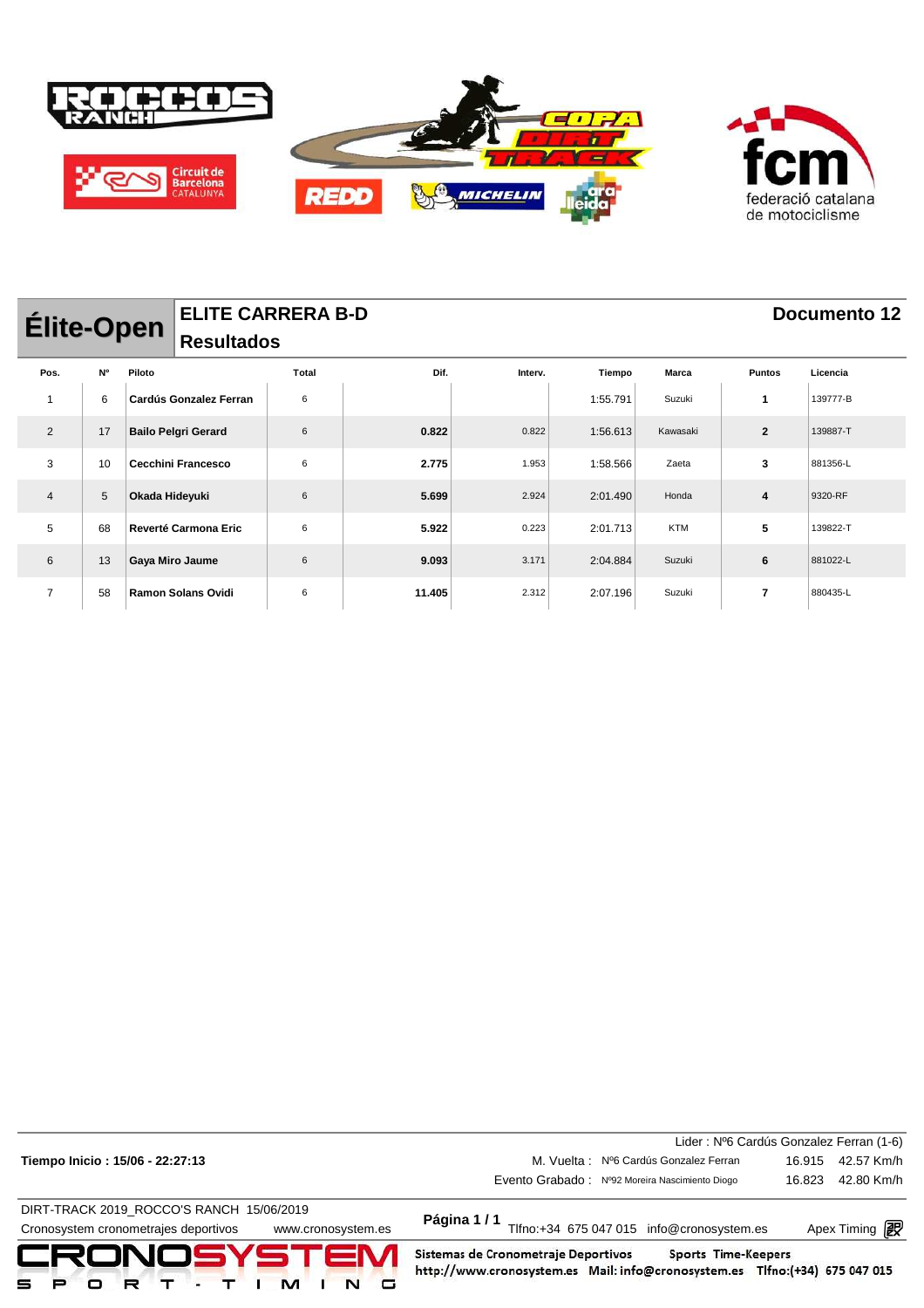

| <b>Élite-Open</b> |    |                | <b>Resultados</b>             | <b>ELITE CARRERA B-D</b> |        |         |          |              | Documento 12  |          |
|-------------------|----|----------------|-------------------------------|--------------------------|--------|---------|----------|--------------|---------------|----------|
| Pos.              | N° | Piloto         |                               | Total                    | Dif.   | Interv. | Tiempo   | <b>Marca</b> | <b>Puntos</b> | Licencia |
| 1                 | 6  |                | <b>Cardús Gonzalez Ferran</b> | 6                        |        |         | 1:55.791 | Suzuki       | 1             | 139777-B |
| 2                 | 17 |                | <b>Bailo Pelgri Gerard</b>    | 6                        | 0.822  | 0.822   | 1:56.613 | Kawasaki     | $\mathbf{2}$  | 139887-T |
| 3                 | 10 |                | <b>Cecchini Francesco</b>     | 6                        | 2.775  | 1.953   | 1:58.566 | Zaeta        | 3             | 881356-L |
| 4                 | 5  | Okada Hideyuki |                               | 6                        | 5.699  | 2.924   | 2:01.490 | Honda        | 4             | 9320-RF  |
| 5                 | 68 |                | <b>Reverté Carmona Eric</b>   | 6                        | 5.922  | 0.223   | 2:01.713 | <b>KTM</b>   | 5             | 139822-T |
| 6                 | 13 |                | Gaya Miro Jaume               | 6                        | 9.093  | 3.171   | 2:04.884 | Suzuki       | 6             | 881022-L |
| $\overline{7}$    | 58 |                | <b>Ramon Solans Ovidi</b>     | 6                        | 11.405 | 2.312   | 2:07.196 | Suzuki       | 7             | 880435-L |

| CRONOSYSTEM<br>м<br>٠                                      | Sistemas de Cronometraje Deportivos<br>Sports Time-Keepers<br>http://www.cronosystem.es Mail: info@cronosystem.es Tlfno:(+34) 675 047 015 |                       |            |
|------------------------------------------------------------|-------------------------------------------------------------------------------------------------------------------------------------------|-----------------------|------------|
| Cronosystem cronometrajes deportivos<br>www.cronosystem.es | Página 1/1<br>Tlfno:+34 675 047 015 info@cronosystem.es                                                                                   | Apex Timing <b>ng</b> |            |
| DIRT-TRACK 2019 ROCCO'S RANCH 15/06/2019                   |                                                                                                                                           |                       |            |
|                                                            | Evento Grabado: Nº92 Moreira Nascimiento Diogo                                                                                            | 16.823                | 42.80 Km/h |
| Tiempo Inicio: 15/06 - 22:27:13                            | M. Vuelta: Nº6 Cardús Gonzalez Ferran                                                                                                     | 16.915                | 42.57 Km/h |
|                                                            | Lider: Nº6 Cardús Gonzalez Ferran (1-6)                                                                                                   |                       |            |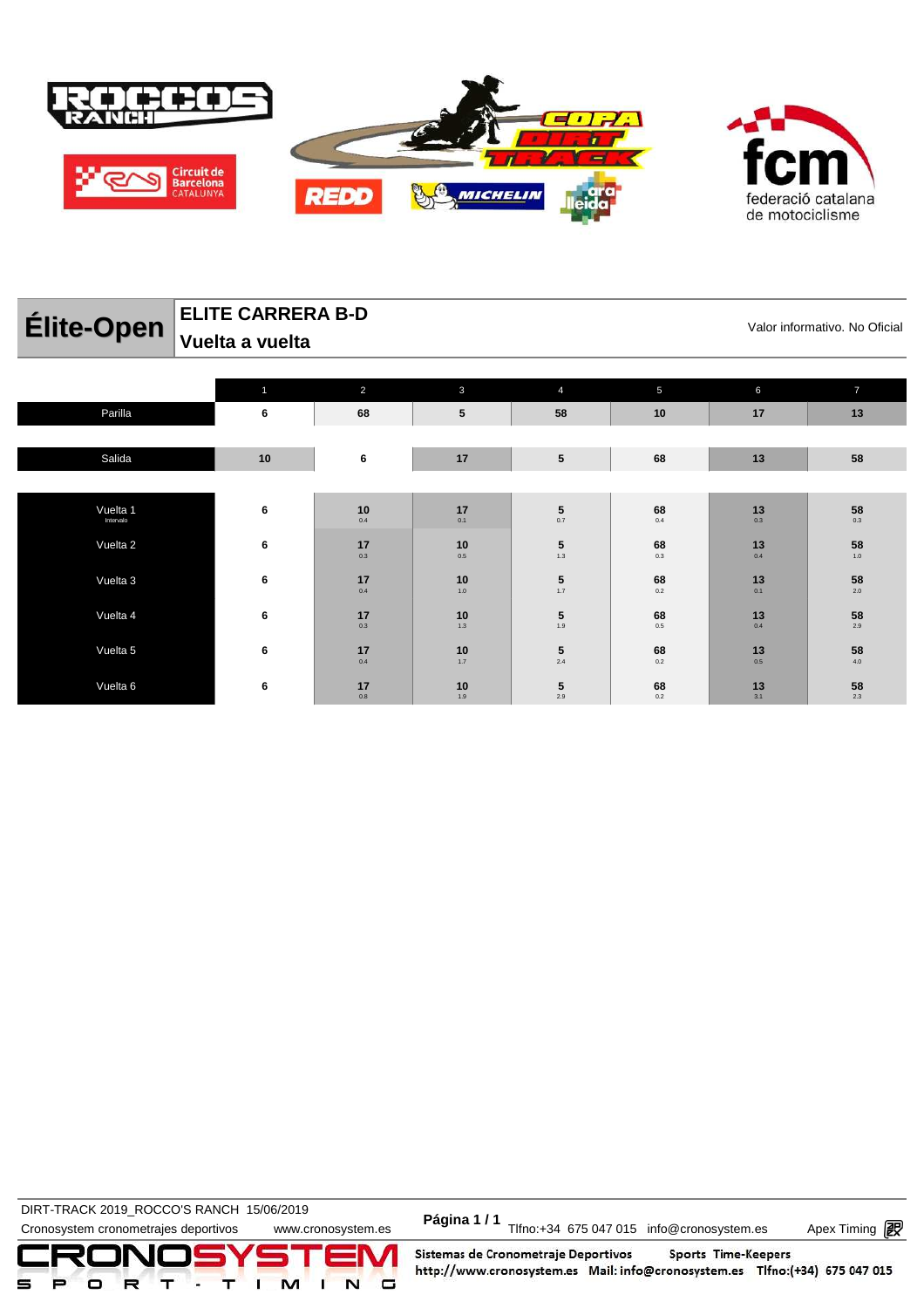

| п                  |
|--------------------|
| federació catalana |
| de motociclisme    |

| Élite-Open     | <b>ELITE CARRERA B-D</b>    |              | Valor informativo. No Oficial |                |    |  |
|----------------|-----------------------------|--------------|-------------------------------|----------------|----|--|
|                | $^\text{!}$ Vuelta a vuelta |              |                               |                |    |  |
|                |                             |              |                               |                |    |  |
|                |                             |              |                               |                |    |  |
| <b>Doville</b> |                             | $\mathbf{e}$ | E0.                           | $\overline{A}$ | 47 |  |

| Parilla               | 6    | 68                                                    | 5                                                            | 58                                               | 10                                | 17                                                        | 13                                      |
|-----------------------|------|-------------------------------------------------------|--------------------------------------------------------------|--------------------------------------------------|-----------------------------------|-----------------------------------------------------------|-----------------------------------------|
|                       |      |                                                       |                                                              |                                                  |                                   |                                                           |                                         |
| Salida                | $10$ | 6                                                     | 17                                                           | $5\phantom{.0}$                                  | 68                                | 13                                                        | 58                                      |
|                       |      |                                                       |                                                              |                                                  |                                   |                                                           |                                         |
| Vuelta 1<br>Intervalo | 6    | $\begin{array}{c} 10 \\ \hline 0.4 \end{array}$       | $\begin{array}{c} 17 \\ \scriptscriptstyle{0.1} \end{array}$ | $\mathbf{5}_{_{0.7}}$                            | $68$ $_{\scriptscriptstyle{0.4}}$ | $\begin{array}{c} \mathbf{13}\\ \mathbf{0.3} \end{array}$ | $\mathbf{58}_{_{\mathbf{0.3}}}$         |
| Vuelta 2              | 6    | $\begin{array}{c} 17 \\ \scriptstyle 0.3 \end{array}$ | $\mathbf{10}_{_{0.5}}$                                       | $\begin{array}{c} \mathbf{5} \\ 1.3 \end{array}$ | $68$ $_{\scriptscriptstyle{0.3}}$ | $\begin{array}{c} 13 \\ \hline 0.4 \end{array}$           | $\mathbf{58}_{\mathbf{1.0}}$            |
| Vuelta 3              | 6    | $\begin{array}{c} 17 \\ \hline 0.4 \end{array}$       | $\begin{array}{c} \mathbf{10} \\ \mathbf{1.0} \end{array}$   | $\begin{array}{c} 5 \\ 1.7 \end{array}$          | 68<br>$0.2\,$                     | $\begin{array}{c} \mathbf{13}\\ \mathbf{0.1} \end{array}$ | $\mathbf{58}_{\scriptscriptstyle{2.0}}$ |
| Vuelta 4              | 6    | $\begin{array}{c} 17 \\ \scriptstyle 0.3 \end{array}$ | $\underset{1.3}{\textbf{10}}$                                | $\begin{array}{c} 5 \\ 1.9 \end{array}$          | $\mathbf{68}_{_{\mathbf{0.5}}}$   | $\begin{array}{c} 13 \\ \hline 0.4 \end{array}$           | $\mathbf{58}_{\scriptscriptstyle{2.9}}$ |
| Vuelta 5              | 6    | $\begin{array}{c} 17 \\ \hline 0.4 \end{array}$       | $10$<br>$1.7$                                                | $\begin{array}{c} \mathbf{5} \\ 2.4 \end{array}$ | 68<br>$0.2\,$                     | $\begin{array}{c} \mathbf{13}\\ \mathbf{0.5} \end{array}$ | 58<br>$4.0\,$                           |
| Vuelta 6              | 6    | 17<br>0.8                                             | $10$ <sub>1.9</sub>                                          | $\frac{5}{2.9}$                                  | $68$ $_{\scriptscriptstyle{0.2}}$ | $\begin{array}{c} \mathbf{13}\\ \mathbf{3.1} \end{array}$ | $\mathbf{58}_{\scriptscriptstyle{2.3}}$ |

DIRT-TRACK 2019\_ROCCO STANCH 19/00/2019<br>Cronosystem cronometrajes deportivos www.cronosystem.es Página 1/1 Tlfno:+34 675 047 015 info@cronosystem.es Apex Timing **DIRT-TRACK 2019\_ROCCO'S RANCH 15/06/2019** 

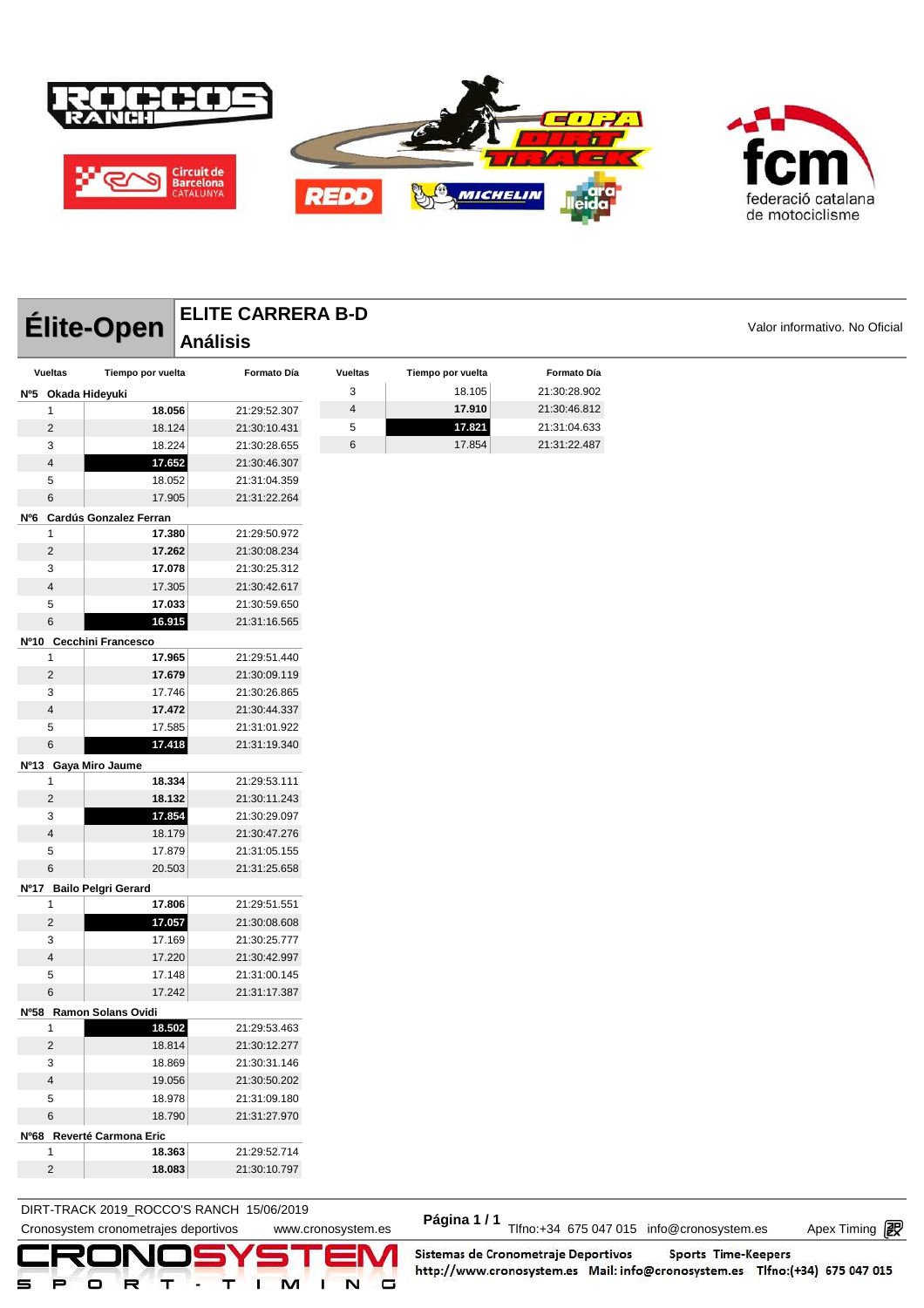



|                      | <b>Élite-Open</b>          | <b>ELITE CARRERA B-D</b> |                |                   |              | Valor informativo. No Oficial |
|----------------------|----------------------------|--------------------------|----------------|-------------------|--------------|-------------------------------|
|                      |                            | <b>Análisis</b>          |                |                   |              |                               |
| <b>Vueltas</b>       | Tiempo por vuelta          | Formato Día              | <b>Vueltas</b> | Tiempo por vuelta | Formato Día  |                               |
| Nº5 Okada Hideyuki   |                            |                          | 3              | 18.105            | 21:30:28.902 |                               |
| 1                    | 18.056                     | 21:29:52.307             | 4              | 17.910            | 21:30:46.812 |                               |
| $\overline{2}$       | 18.124                     | 21:30:10.431             | 5              | 17.821            | 21:31:04.633 |                               |
| 3                    | 18.224                     | 21:30:28.655             | 6              | 17.854            | 21:31:22.487 |                               |
| $\overline{4}$       | 17.652                     | 21:30:46.307             |                |                   |              |                               |
| 5                    | 18.052                     | 21:31:04.359             |                |                   |              |                               |
| 6                    | 17.905                     | 21:31:22.264             |                |                   |              |                               |
|                      | Nº6 Cardús Gonzalez Ferran |                          |                |                   |              |                               |
| $\mathbf{1}$         | 17.380                     | 21:29:50.972             |                |                   |              |                               |
| $\overline{c}$       | 17.262                     | 21:30:08.234             |                |                   |              |                               |
| 3                    | 17.078                     | 21:30:25.312             |                |                   |              |                               |
| $\overline{4}$       | 17.305                     | 21:30:42.617             |                |                   |              |                               |
| 5                    | 17.033                     | 21:30:59.650             |                |                   |              |                               |
| 6                    | 16.915                     | 21:31:16.565             |                |                   |              |                               |
|                      | Nº10 Cecchini Francesco    |                          |                |                   |              |                               |
| 1                    | 17.965                     | 21:29:51.440             |                |                   |              |                               |
| $\overline{2}$       | 17.679                     | 21:30:09.119             |                |                   |              |                               |
| 3                    | 17.746                     | 21:30:26.865             |                |                   |              |                               |
| $\overline{4}$       | 17.472                     | 21:30:44.337             |                |                   |              |                               |
| 5                    | 17.585                     | 21:31:01.922             |                |                   |              |                               |
| 6                    | 17.418                     | 21:31:19.340             |                |                   |              |                               |
| Nº13 Gaya Miro Jaume |                            |                          |                |                   |              |                               |
| 1                    | 18.334                     | 21:29:53.111             |                |                   |              |                               |
| $\overline{c}$       | 18.132                     | 21:30:11.243             |                |                   |              |                               |
| 3                    | 17.854                     | 21:30:29.097             |                |                   |              |                               |
| $\overline{4}$       | 18.179                     | 21:30:47.276             |                |                   |              |                               |
| 5                    | 17.879                     | 21:31:05.155             |                |                   |              |                               |
| 6                    | 20.503                     | 21:31:25.658             |                |                   |              |                               |
|                      | Nº17 Bailo Pelgri Gerard   |                          |                |                   |              |                               |
| 1                    | 17.806                     | 21:29:51.551             |                |                   |              |                               |
| $\overline{c}$       | 17.057                     | 21:30:08.608             |                |                   |              |                               |
| 3                    | 17.169                     | 21:30:25.777             |                |                   |              |                               |
| $\overline{4}$       | 17.220                     | 21:30:42.997             |                |                   |              |                               |
| 5                    | 17.148                     | 21:31:00.145             |                |                   |              |                               |
| 6                    | 17.242                     | 21:31:17.387             |                |                   |              |                               |
|                      | Nº58 Ramon Solans Ovidi    |                          |                |                   |              |                               |
| 1                    | 18.502                     | 21:29:53.463             |                |                   |              |                               |
| $\overline{c}$       | 18.814                     | 21:30:12.277             |                |                   |              |                               |
| 3                    | 18.869                     | 21:30:31.146             |                |                   |              |                               |
| $\overline{4}$       | 19.056                     | 21:30:50.202             |                |                   |              |                               |
| 5                    | 18.978                     | 21:31:09.180             |                |                   |              |                               |
| 6                    | 18.790                     | 21:31:27.970             |                |                   |              |                               |
|                      | Nº68 Reverté Carmona Eric  |                          |                |                   |              |                               |
| 1                    | 18.363                     | 21:29:52.714             |                |                   |              |                               |
| $\overline{c}$       | 18.083                     | 21:30:10.797             |                |                   |              |                               |
|                      |                            |                          |                |                   |              |                               |

DIRT-TRACK 2019\_ROCCO'S RANCH 15/06/2019 **Página 1 / 1**

DIRT-TRACK 2019\_ROCCO STANCH 19/00/2019<br>Cronosystem cronometrajes deportivos www.cronosystem.es Página 1/1 Tlfno:+34 675 047 015 info@cronosystem.es Apex Timing

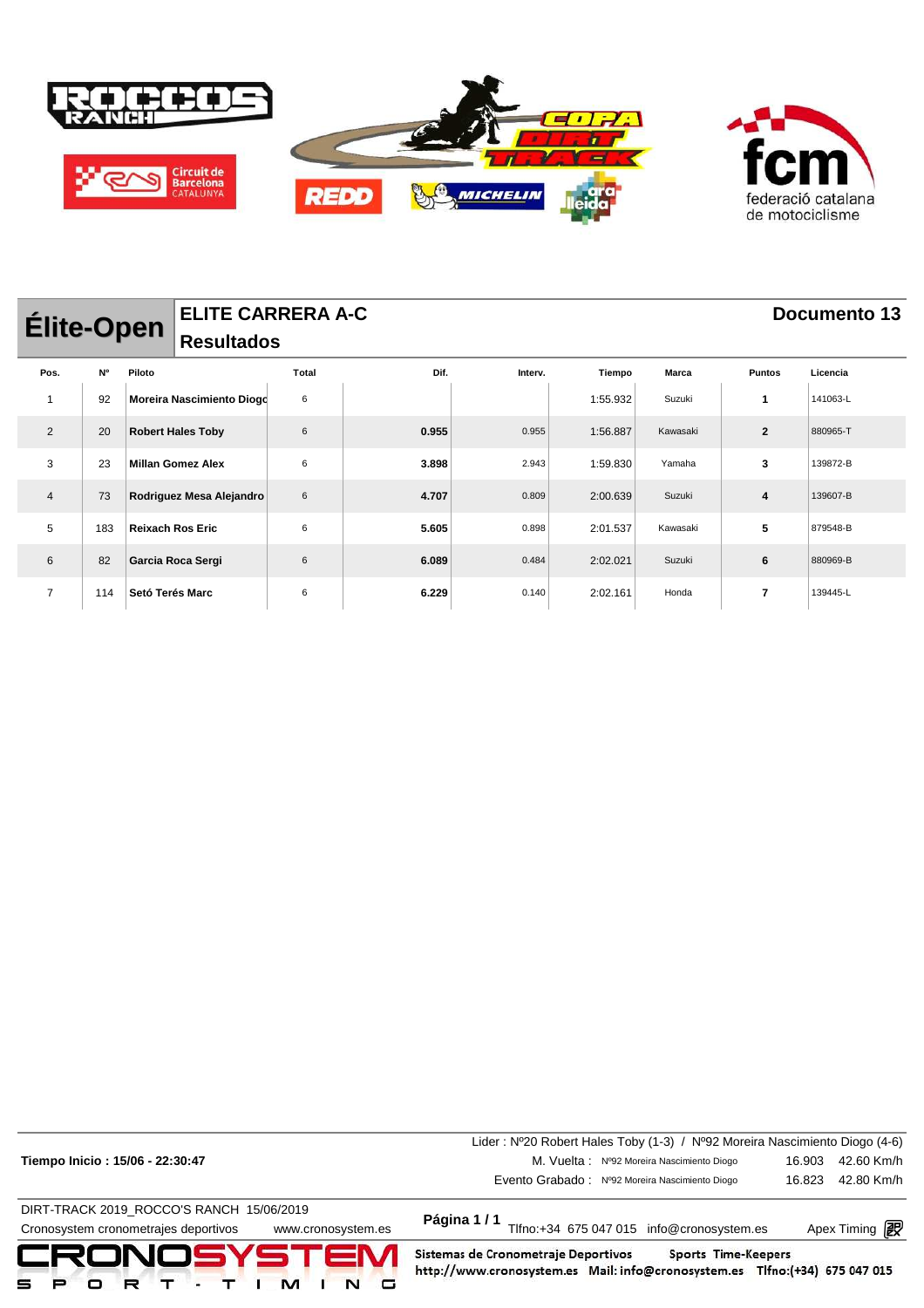

| <b>Élite-Open</b> |           |                 | <b>ELITE CARRERA A-C</b>  |       |       |         |          |              |                          | <b>Documento 13</b> |
|-------------------|-----------|-----------------|---------------------------|-------|-------|---------|----------|--------------|--------------------------|---------------------|
|                   |           |                 | <b>Resultados</b>         |       |       |         |          |              |                          |                     |
| Pos.              | <b>N°</b> | Piloto          |                           | Total | Dif.  | Interv. | Tiempo   | <b>Marca</b> | <b>Puntos</b>            | Licencia            |
| $\overline{1}$    | 92        |                 | Moreira Nascimiento Diogd | 6     |       |         | 1:55.932 | Suzuki       | 1                        | 141063-L            |
| 2                 | 20        |                 | <b>Robert Hales Toby</b>  | 6     | 0.955 | 0.955   | 1:56.887 | Kawasaki     | $\overline{2}$           | 880965-T            |
| 3                 | 23        |                 | <b>Millan Gomez Alex</b>  | 6     | 3.898 | 2.943   | 1:59.830 | Yamaha       | 3                        | 139872-B            |
| $\overline{4}$    | 73        |                 | Rodriguez Mesa Alejandro  | 6     | 4.707 | 0.809   | 2:00.639 | Suzuki       | 4                        | 139607-B            |
| 5                 | 183       |                 | <b>Reixach Ros Eric</b>   | 6     | 5.605 | 0.898   | 2:01.537 | Kawasaki     | 5                        | 879548-B            |
| 6                 | 82        |                 | Garcia Roca Sergi         | 6     | 6.089 | 0.484   | 2:02.021 | Suzuki       | 6                        | 880969-B            |
| $\overline{7}$    | 114       | Setó Terés Marc |                           | 6     | 6.229 | 0.140   | 2:02.161 | Honda        | $\overline{\phantom{a}}$ | 139445-L            |

|                                                            | Lider: Nº20 Robert Hales Toby (1-3) / Nº92 Moreira Nascimiento Diogo (4-6)                                                                |        |                       |  |  |  |
|------------------------------------------------------------|-------------------------------------------------------------------------------------------------------------------------------------------|--------|-----------------------|--|--|--|
| Tiempo Inicio: 15/06 - 22:30:47                            | M. Vuelta: Nº92 Moreira Nascimiento Diogo                                                                                                 | 16.903 | 42.60 Km/h            |  |  |  |
|                                                            | Evento Grabado: Nº92 Moreira Nascimiento Diogo                                                                                            | 16.823 | 42.80 Km/h            |  |  |  |
| DIRT-TRACK 2019 ROCCO'S RANCH 15/06/2019                   |                                                                                                                                           |        |                       |  |  |  |
| Cronosystem cronometrajes deportivos<br>www.cronosystem.es | Página 1/1<br>Tlfno:+34 675 047 015 info@cronosystem.es                                                                                   |        | Apex Timing <b>ng</b> |  |  |  |
| CRONOSYSTEM<br>м<br>R<br>₽.                                | Sistemas de Cronometraje Deportivos<br>Sports Time-Keepers<br>http://www.cronosystem.es Mail: info@cronosystem.es Tlfno:(+34) 675 047 015 |        |                       |  |  |  |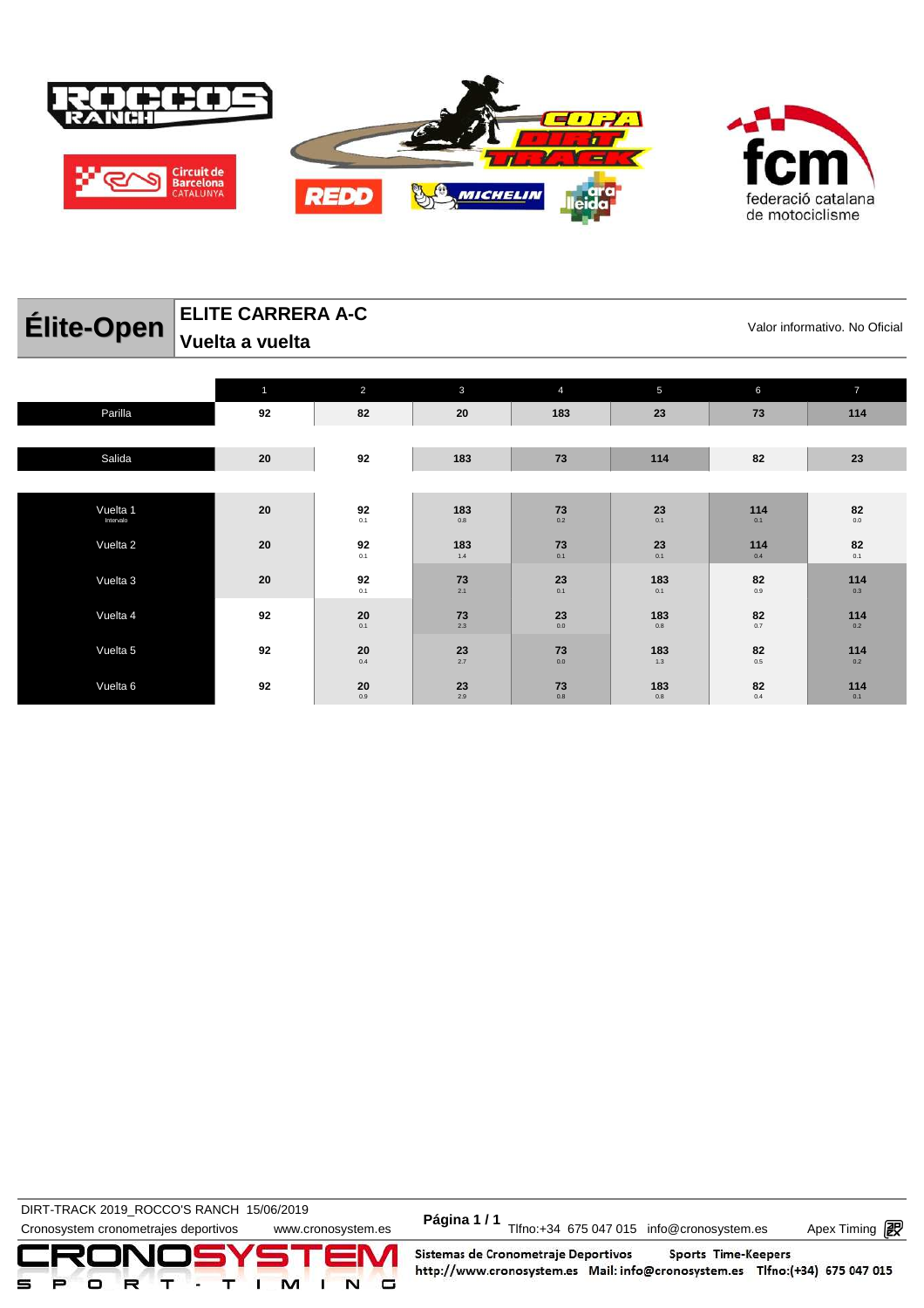

| $-$                   | Vuelta a vuelta |                                                              |                                                           |                                 |                                            |                               |                |
|-----------------------|-----------------|--------------------------------------------------------------|-----------------------------------------------------------|---------------------------------|--------------------------------------------|-------------------------------|----------------|
|                       |                 | $\overline{2}$                                               | $\mathbf{3}$                                              | $\overline{4}$                  | 5                                          | $6\phantom{a}$                | $\overline{7}$ |
| Parilla               | 92              | 82                                                           | 20                                                        | 183                             | 23                                         | 73                            | 114            |
|                       |                 |                                                              |                                                           |                                 |                                            |                               |                |
| Salida                | 20              | 92                                                           | 183                                                       | 73                              | 114                                        | 82                            | 23             |
|                       |                 |                                                              |                                                           |                                 |                                            |                               |                |
| Vuelta 1<br>Intervalo | 20              | $92$ $_{\scriptscriptstyle{0.1}}^{\scriptscriptstyle{-0.2}}$ | 183<br>$0.8\,$                                            | $\mathbf{73}_{_{\mathbf{0.2}}}$ | $\mathbf{23}_{_{\mathrm{0.1}}}$            | 114<br>0.1                    | 82<br>$0.0\,$  |
| Vuelta 2              | 20              | $92$ $_{\scriptscriptstyle{0.1}}^{\scriptscriptstyle{-0.2}}$ | 183<br>$1.4$                                              | $\underset{0.1}{\textbf{73}}$   | $\mathbf{23}_{_{\scriptscriptstyle{0.1}}}$ | 114<br>0.4                    | 82<br>0.1      |
| Vuelta 3              | 20              | 92<br>0.1                                                    | 73<br>2.1                                                 | $\mathbf{23}_{_{\mathrm{0.1}}}$ | 183<br>0.1                                 | 82<br>$0.9\,$                 | 114<br>0.3     |
| Vuelta 4              | 92              | $20$ $_{\scriptscriptstyle{0.1}}^{\scriptscriptstyle{0.2}}$  | $\begin{array}{c} \mathbf{73}\\ \mathbf{2.3} \end{array}$ | $\mathbf{23}_{_{\mathbf{0.0}}}$ | 183<br>$0.8\,$                             | $\underset{0.7}{\textbf{82}}$ | 114<br>$0.2\,$ |

**23** 2.7

**23** 2.9

**73** 0.0

**73** 0.8

**183** 1.3

**183** 0.8

**82** 0.5

**82** 0.4

 $20$ <sub>0.4</sub>

0.9

**ELITE CARRERA A-C**

**DIRT-TRACK 2019\_ROCCO'S RANCH 15/06/2019** 

Vuelta 5 **92 20**

Vuelta 6 **92 20**

DIRT-TRACK 2019\_ROCCO STANCH 19/00/2019<br>Cronosystem cronometrajes deportivos www.cronosystem.es Página 1/1 Tlfno:+34 675 047 015 info@cronosystem.es Apex Timing



Sistemas de Cronometraje Deportivos Sports Time-Keepers http://www.cronosystem.es Mail: info@cronosystem.es Tlfno:(+34) 675 047 015

**Élite-Open** ELITE CARRERA A-C<br>Valor informativo. No Oficial

**114** 0.2

**114** 0.1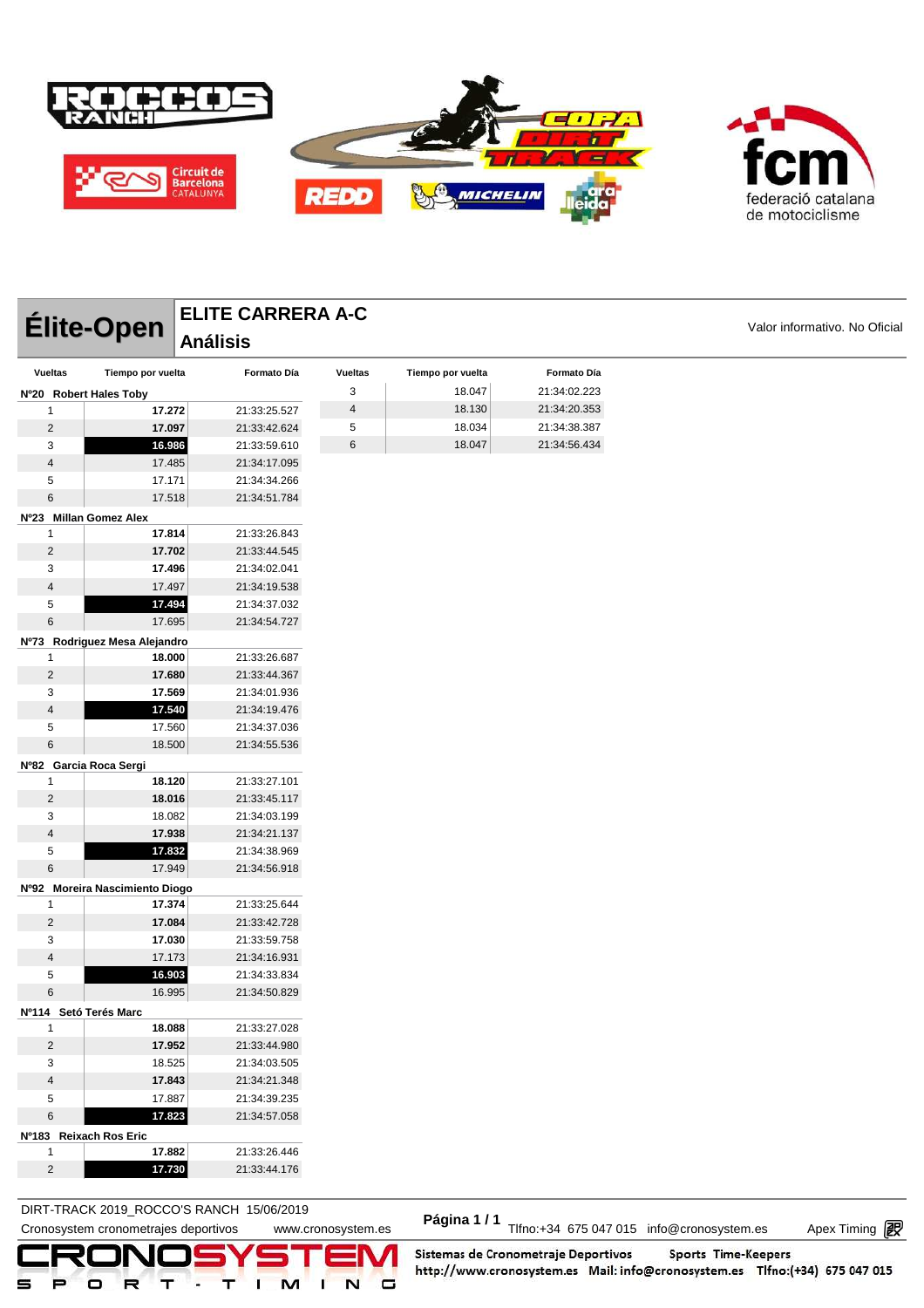



|                              |                                  |                 | ELITE CARRERA A-C            |                          |                   |              |                               |
|------------------------------|----------------------------------|-----------------|------------------------------|--------------------------|-------------------|--------------|-------------------------------|
|                              | Élite-Open                       | <b>Análisis</b> |                              |                          |                   |              | Valor informativo. No Oficial |
| <b>Vueltas</b>               | Tiempo por vuelta                |                 | Formato Día                  | <b>Vueltas</b>           | Tiempo por vuelta | Formato Día  |                               |
|                              | Nº20 Robert Hales Toby           |                 |                              | 3                        | 18.047            | 21:34:02.223 |                               |
| 1                            | 17.272                           |                 | 21:33:25.527                 | $\overline{\mathcal{A}}$ | 18.130            | 21:34:20.353 |                               |
| $\overline{c}$               | 17.097                           |                 | 21:33:42.624                 | 5                        | 18.034            | 21:34:38.387 |                               |
| 3                            | 16.986                           |                 | 21:33:59.610                 | 6                        | 18.047            | 21:34:56.434 |                               |
| 4                            | 17.485                           |                 | 21:34:17.095                 |                          |                   |              |                               |
| 5                            | 17.171                           |                 | 21:34:34.266                 |                          |                   |              |                               |
| 6                            | 17.518                           |                 | 21:34:51.784                 |                          |                   |              |                               |
|                              | Nº23 Millan Gomez Alex           |                 |                              |                          |                   |              |                               |
| 1                            | 17.814                           |                 | 21:33:26.843                 |                          |                   |              |                               |
| $\overline{2}$               | 17.702                           |                 | 21:33:44.545                 |                          |                   |              |                               |
| 3                            | 17.496                           |                 | 21:34:02.041                 |                          |                   |              |                               |
| 4                            | 17.497                           |                 | 21:34:19.538                 |                          |                   |              |                               |
| 5                            | 17.494                           |                 | 21:34:37.032                 |                          |                   |              |                               |
| 6                            | 17.695                           |                 | 21:34:54.727                 |                          |                   |              |                               |
|                              | Nº73 Rodriguez Mesa Alejandro    |                 |                              |                          |                   |              |                               |
| 1                            | 18.000                           |                 | 21:33:26.687                 |                          |                   |              |                               |
| 2                            | 17.680                           |                 | 21:33:44.367                 |                          |                   |              |                               |
| 3                            | 17.569                           |                 | 21:34:01.936                 |                          |                   |              |                               |
| $\overline{4}$               | 17.540                           |                 | 21:34:19.476                 |                          |                   |              |                               |
| 5                            | 17.560                           |                 | 21:34:37.036                 |                          |                   |              |                               |
| 6                            | 18.500                           |                 | 21:34:55.536                 |                          |                   |              |                               |
|                              | Nº82 Garcia Roca Sergi           |                 |                              |                          |                   |              |                               |
| 1                            | 18.120                           |                 | 21:33:27.101                 |                          |                   |              |                               |
| 2                            | 18.016                           |                 | 21:33:45.117                 |                          |                   |              |                               |
| 3                            | 18.082                           |                 | 21:34:03.199                 |                          |                   |              |                               |
| 4                            | 17.938                           |                 | 21:34:21.137                 |                          |                   |              |                               |
| 5                            | 17.832                           |                 | 21:34:38.969                 |                          |                   |              |                               |
| 6                            | 17.949                           |                 | 21:34:56.918                 |                          |                   |              |                               |
|                              | Nº92 Moreira Nascimiento Diogo   |                 |                              |                          |                   |              |                               |
| 1                            | 17.374                           |                 | 21:33:25.644                 |                          |                   |              |                               |
| $\overline{c}$               | 17.084                           |                 | 21:33:42.728                 |                          |                   |              |                               |
| 3                            | 17.030                           |                 | 21:33:59.758                 |                          |                   |              |                               |
| 4                            | 17.173                           |                 | 21:34:16.931                 |                          |                   |              |                               |
| 5                            | 16.903                           |                 | 21:34:33.834                 |                          |                   |              |                               |
| 6                            | 16.995                           |                 | 21:34:50.829                 |                          |                   |              |                               |
| Nº114 Setó Terés Marc        |                                  |                 |                              |                          |                   |              |                               |
| 1                            | 18.088                           |                 | 21:33:27.028                 |                          |                   |              |                               |
| $\overline{2}$               | 17.952                           |                 | 21:33:44.980                 |                          |                   |              |                               |
| 3                            | 18.525                           |                 | 21:34:03.505                 |                          |                   |              |                               |
| $\overline{\mathbf{4}}$<br>5 | 17.843                           |                 | 21:34:21.348<br>21:34:39.235 |                          |                   |              |                               |
| 6                            | 17.887<br>17.823                 |                 | 21:34:57.058                 |                          |                   |              |                               |
|                              |                                  |                 |                              |                          |                   |              |                               |
| 1                            | Nº183 Reixach Ros Eric<br>17.882 |                 | 21:33:26.446                 |                          |                   |              |                               |
|                              |                                  |                 |                              |                          |                   |              |                               |
| $\overline{\mathbf{c}}$      | 17.730                           |                 | 21:33:44.176                 |                          |                   |              |                               |

### **DIRT-TRACK 2019\_ROCCO'S RANCH 15/06/2019**

DIRT-TRACK 2019\_ROCCO STANCH 19/00/2019<br>Cronosystem cronometrajes deportivos www.cronosystem.es Página 1/1 Tlfno:+34 675 047 015 info@cronosystem.es Apex Timing

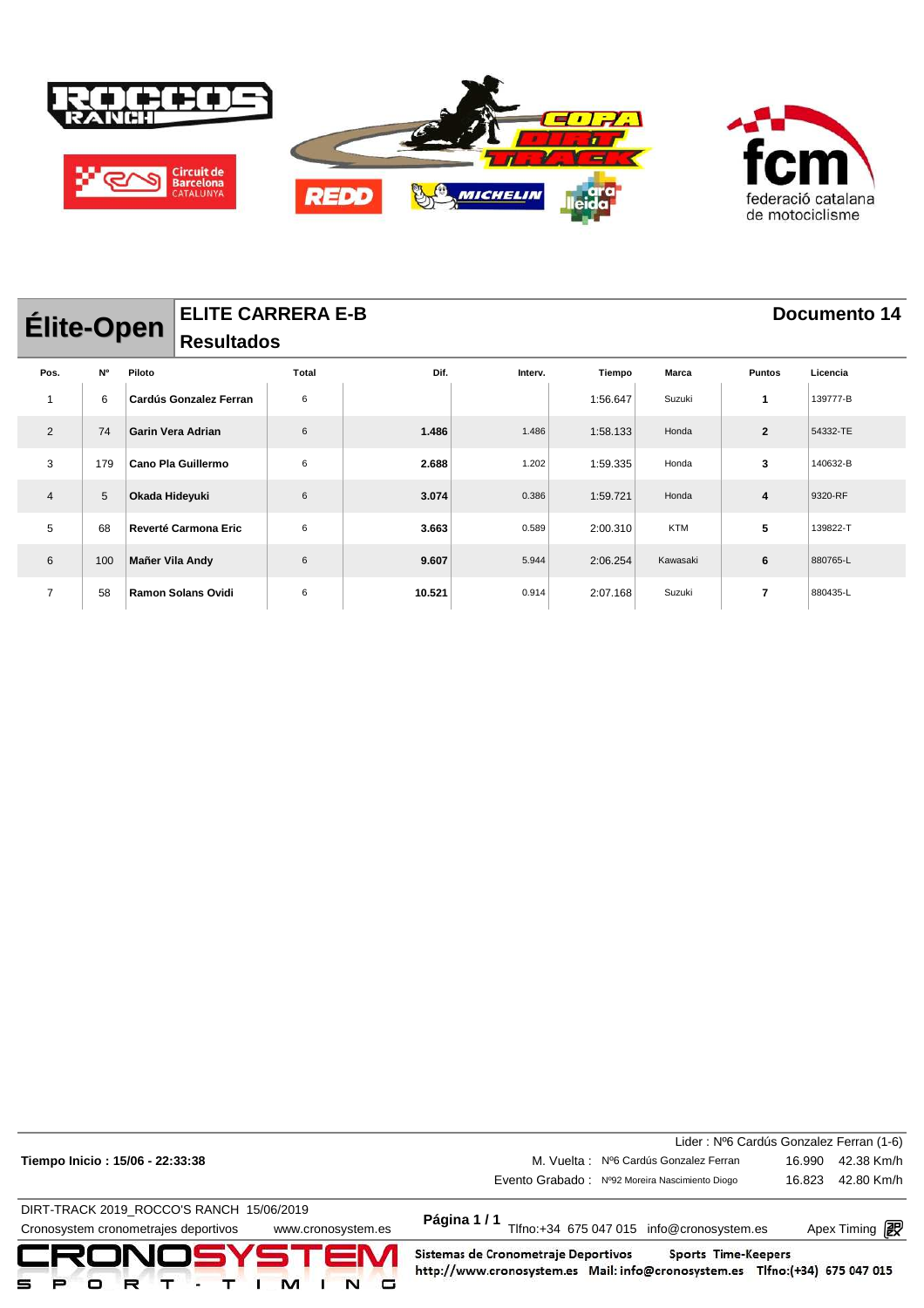

| <b>ELITE CARRERA E-B</b><br><b>Élite-Open</b><br><b>Resultados</b> |     |                 |                               |       |        |         |          |              | Documento 14   |          |  |
|--------------------------------------------------------------------|-----|-----------------|-------------------------------|-------|--------|---------|----------|--------------|----------------|----------|--|
| Pos.                                                               | N°  | Piloto          |                               | Total | Dif.   | Interv. | Tiempo   | <b>Marca</b> | <b>Puntos</b>  | Licencia |  |
| $\overline{1}$                                                     | 6   |                 | <b>Cardús Gonzalez Ferran</b> | 6     |        |         | 1:56.647 | Suzuki       | 1              | 139777-B |  |
| 2                                                                  | 74  |                 | <b>Garin Vera Adrian</b>      | 6     | 1.486  | 1.486   | 1:58.133 | Honda        | $\mathbf{2}$   | 54332-TE |  |
| 3                                                                  | 179 |                 | Cano Pla Guillermo            | 6     | 2.688  | 1.202   | 1:59.335 | Honda        | 3              | 140632-B |  |
| $\overline{4}$                                                     | 5   | Okada Hideyuki  |                               | 6     | 3.074  | 0.386   | 1:59.721 | Honda        | 4              | 9320-RF  |  |
| 5                                                                  | 68  |                 | Reverté Carmona Eric          | 6     | 3.663  | 0.589   | 2:00.310 | <b>KTM</b>   | 5              | 139822-T |  |
| 6                                                                  | 100 | Mañer Vila Andy |                               | 6     | 9.607  | 5.944   | 2:06.254 | Kawasaki     | 6              | 880765-L |  |
| $\overline{7}$                                                     | 58  |                 | <b>Ramon Solans Ovidi</b>     | 6     | 10.521 | 0.914   | 2:07.168 | Suzuki       | $\overline{7}$ | 880435-L |  |

| DIRT-TRACK 2019_ROCCO'S RANCH 15/06/2019<br>Cronosystem cronometrajes deportivos<br>www.cronosystem.es<br>CRONOSYSTEM | Página 1/1<br>Tlfno:+34 675 047 015 info@cronosystem.es<br>Sistemas de Cronometraje Deportivos<br>Sports Time-Keepers |        | Apex Timing <b>ng</b> |
|-----------------------------------------------------------------------------------------------------------------------|-----------------------------------------------------------------------------------------------------------------------|--------|-----------------------|
|                                                                                                                       | Evento Grabado: Nº92 Moreira Nascimiento Diogo                                                                        | 16.823 | 42.80 Km/h            |
| Tiempo Inicio: 15/06 - 22:33:38                                                                                       | Lider: Nº6 Cardús Gonzalez Ferran (1-6)<br>M. Vuelta: Nº6 Cardús Gonzalez Ferran                                      | 16.990 | 42.38 Km/h            |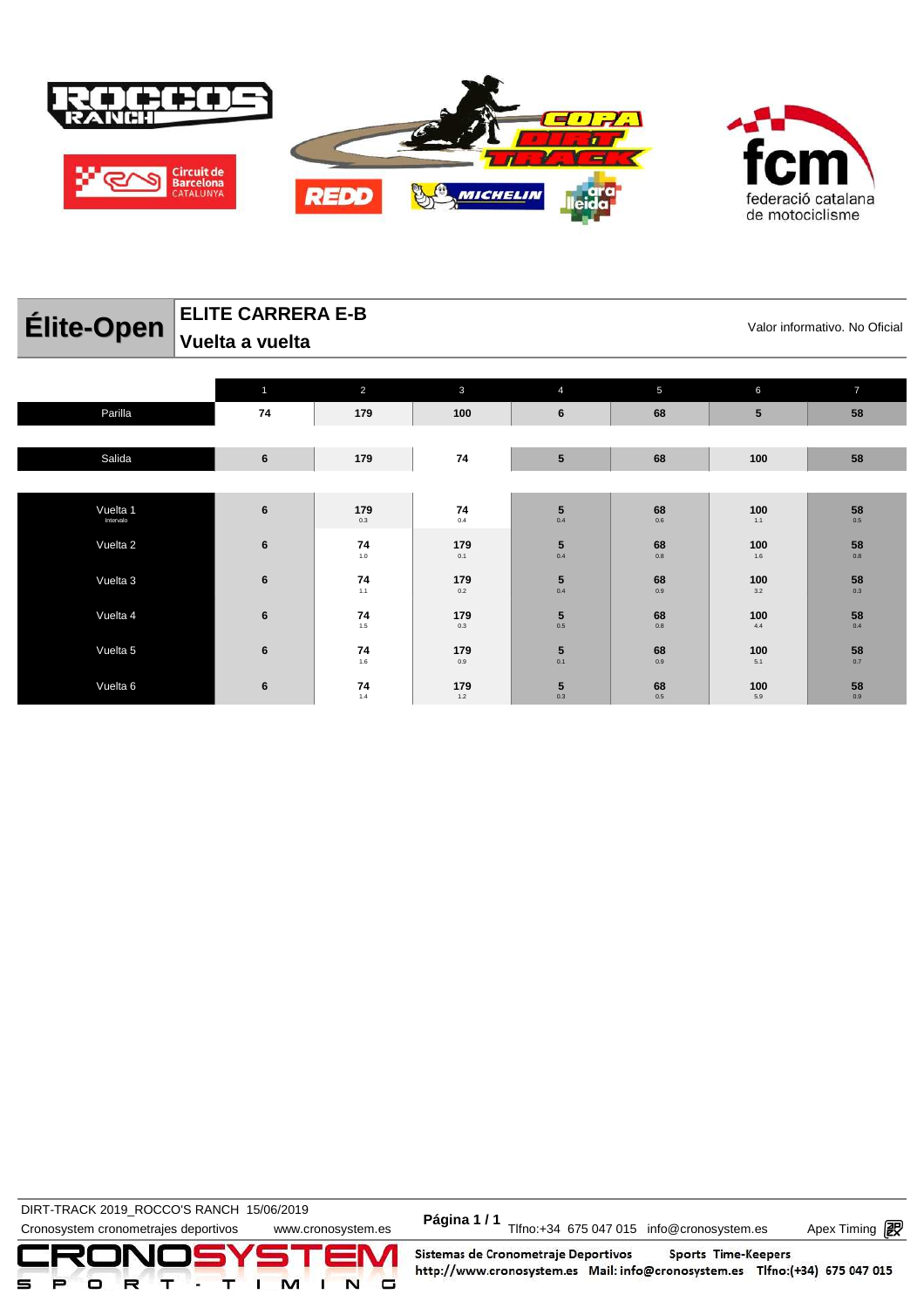

catalana federació de motociclisme

#### **Élite-Open** ELITE CARRERA E-B<br>Valor informativo. No Oficial **ELITE CARRERA E-B Vuelta a vuelta**

|           | $\overline{1}$ | 2                                                          | $\mathbf{3}$                                                | $\overline{4}$                          | 5                                 | $6\phantom{1}6$ | $\overline{7}$                  |
|-----------|----------------|------------------------------------------------------------|-------------------------------------------------------------|-----------------------------------------|-----------------------------------|-----------------|---------------------------------|
| Parilla   | 74             | 179                                                        | 100                                                         | 6                                       | 68                                | $5\phantom{.0}$ | 58                              |
|           |                |                                                            |                                                             |                                         |                                   |                 |                                 |
| Salida    | $\bf 6$        | 179                                                        | 74                                                          | $5\phantom{.0}$                         | 68                                | 100             | 58                              |
|           |                |                                                            |                                                             |                                         |                                   |                 |                                 |
| Vuelta 1  | $\bf 6$        | 179                                                        |                                                             |                                         | 68                                | 100             |                                 |
| Intervalo |                | 0.3                                                        | $\begin{array}{c}\n74 \\ 0.4\n\end{array}$                  | $\begin{array}{c} 5 \\ 0.4 \end{array}$ | $0.6\,$                           | 1.1             | $\mathbf{58}_{_{0.5}}$          |
| Vuelta 2  | 6              | $\begin{array}{c} \mathbf{74} \\ \mathbf{1.0} \end{array}$ | $\begin{array}{c} \mathbf{179} \\ \mathbf{0.1} \end{array}$ | $\begin{array}{c} 5 \\ 0.4 \end{array}$ | $68$ $_{\scriptscriptstyle{0.8}}$ | 100             | $\mathbf{58}_{_{\mathbf{0.8}}}$ |
|           |                |                                                            |                                                             |                                         |                                   | $1.6\,$         |                                 |
| Vuelta 3  | 6              | 74                                                         | 179                                                         | ${\bf 5}$                               | 68                                | 100             | $\mathbf{58}_{_{0.3}}$          |
|           |                | $1.1$                                                      | 0.2                                                         | 0.4                                     | $0.9\,$                           | 3.2             |                                 |
| Vuelta 4  | 6              | $\begin{array}{c} \mathbf{74} \\ \mathbf{1.5} \end{array}$ | 179                                                         | $\mathbf{5}_{_{0.5}}$                   | $68$ $_{\scriptscriptstyle{0.8}}$ | 100             | $\mathbf{58}_{_{0.4}}$          |
|           |                |                                                            | $0.3\,$                                                     |                                         |                                   | 4.4             |                                 |
| Vuelta 5  | 6              | 74                                                         | 179                                                         | ${\bf 5}$                               | $68$ $_{\scriptscriptstyle{0.9}}$ | 100             | $\mathbf{58}_{_{0.7}}$          |
|           |                | 1.6                                                        | 0.9                                                         | 0.1                                     |                                   | 5.1             |                                 |
| Vuelta 6  | $\bf 6$        | $\begin{array}{c} \mathbf{74} \\ \mathbf{1.4} \end{array}$ | $179$<br>$1.2$                                              | $\mathbf{5}_{_{0.3}}$                   | $68$ $_{\scriptscriptstyle{0.5}}$ | 100<br>$5.9\,$  | $\mathbf{58}_{_{\mathbf{0.9}}}$ |
|           |                |                                                            |                                                             |                                         |                                   |                 |                                 |

DIRT-TRACK 2019\_ROCCO STANCH 19/00/2019<br>Cronosystem cronometrajes deportivos www.cronosystem.es Página 1/1 Tlfno:+34 675 047 015 info@cronosystem.es Apex Timing **DIRT-TRACK 2019\_ROCCO'S RANCH 15/06/2019** 

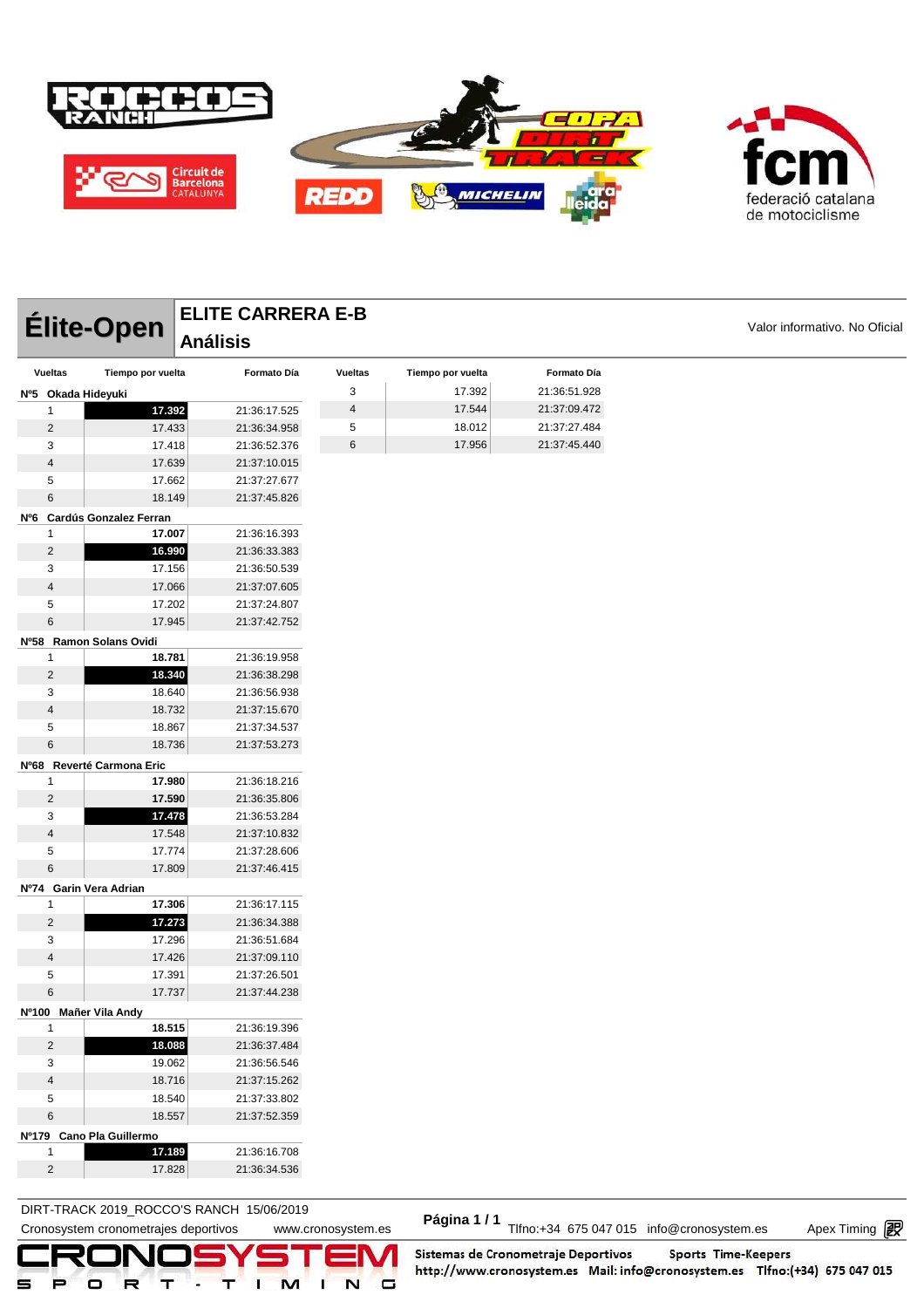



| Élite-Open              |                            | <b>ELITE CARRERA E-B</b> | Valor informativo. No Oficial |                   |              |  |
|-------------------------|----------------------------|--------------------------|-------------------------------|-------------------|--------------|--|
|                         |                            | <b>Análisis</b>          |                               |                   |              |  |
| <b>Vueltas</b>          | Tiempo por vuelta          | Formato Día              | <b>Vueltas</b>                | Tiempo por vuelta | Formato Día  |  |
| Nº5 Okada Hideyuki      |                            |                          | 3                             | 17.392            | 21:36:51.928 |  |
| $\mathbf{1}$            | 17.392                     | 21:36:17.525             | $\overline{4}$                | 17.544            | 21:37:09.472 |  |
| $\overline{2}$          | 17.433                     | 21:36:34.958             | 5                             | 18.012            | 21:37:27.484 |  |
| 3                       | 17.418                     | 21:36:52.376             | 6                             | 17.956            | 21:37:45.440 |  |
| $\overline{4}$          | 17.639                     | 21:37:10.015             |                               |                   |              |  |
| $\sqrt{5}$              | 17.662                     | 21:37:27.677             |                               |                   |              |  |
| 6                       | 18.149                     | 21:37:45.826             |                               |                   |              |  |
|                         | Nº6 Cardús Gonzalez Ferran |                          |                               |                   |              |  |
| 1                       | 17.007                     | 21:36:16.393             |                               |                   |              |  |
| $\overline{2}$          | 16.990                     | 21:36:33.383             |                               |                   |              |  |
| 3                       | 17.156                     | 21:36:50.539             |                               |                   |              |  |
| $\overline{4}$          | 17.066                     | 21:37:07.605             |                               |                   |              |  |
| 5                       | 17.202                     | 21:37:24.807             |                               |                   |              |  |
| 6                       | 17.945                     | 21:37:42.752             |                               |                   |              |  |
|                         | Nº58 Ramon Solans Ovidi    |                          |                               |                   |              |  |
| $\mathbf{1}$            | 18.781                     | 21:36:19.958             |                               |                   |              |  |
| $\overline{2}$          | 18.340                     | 21:36:38.298             |                               |                   |              |  |
| 3                       | 18.640                     | 21:36:56.938             |                               |                   |              |  |
| $\overline{4}$          | 18.732                     | 21:37:15.670             |                               |                   |              |  |
| 5                       | 18.867                     | 21:37:34.537             |                               |                   |              |  |
| 6                       | 18.736                     | 21:37:53.273             |                               |                   |              |  |
|                         | Nº68 Reverté Carmona Eric  |                          |                               |                   |              |  |
| $\mathbf{1}$            | 17.980                     | 21:36:18.216             |                               |                   |              |  |
| $\overline{2}$          | 17.590                     | 21:36:35.806             |                               |                   |              |  |
| 3                       | 17.478                     | 21:36:53.284             |                               |                   |              |  |
| $\overline{\mathbf{4}}$ | 17.548                     | 21:37:10.832             |                               |                   |              |  |
| $\sqrt{5}$              | 17.774                     | 21:37:28.606             |                               |                   |              |  |
| 6                       | 17.809                     | 21:37:46.415             |                               |                   |              |  |
|                         | Nº74 Garin Vera Adrian     |                          |                               |                   |              |  |
| $\mathbf{1}$            | 17.306                     | 21:36:17.115             |                               |                   |              |  |
| $\overline{2}$          | 17.273                     | 21:36:34.388             |                               |                   |              |  |
| 3                       | 17.296                     | 21:36:51.684             |                               |                   |              |  |
| $\overline{\mathbf{4}}$ | 17.426                     | 21:37:09.110             |                               |                   |              |  |
| 5                       | 17.391                     | 21:37:26.501             |                               |                   |              |  |
| 6                       | 17.737                     | 21:37:44.238             |                               |                   |              |  |
|                         | Nº100 Mañer Vila Andy      |                          |                               |                   |              |  |
| 1                       | 18.515                     | 21:36:19.396             |                               |                   |              |  |
| $\overline{c}$          | 18.088                     | 21:36:37.484             |                               |                   |              |  |
| 3                       | 19.062                     | 21:36:56.546             |                               |                   |              |  |
| $\sqrt{4}$              | 18.716                     | 21:37:15.262             |                               |                   |              |  |
| $\,$ 5 $\,$             | 18.540                     | 21:37:33.802             |                               |                   |              |  |
| $\,6$                   | 18.557                     | 21:37:52.359             |                               |                   |              |  |
|                         | Nº179 Cano Pla Guillermo   |                          |                               |                   |              |  |
| $\mathbf{1}$            | 17.189                     | 21:36:16.708             |                               |                   |              |  |
| $\sqrt{2}$              | 17.828                     | 21:36:34.536             |                               |                   |              |  |

**DIRT-TRACK 2019\_ROCCO'S RANCH 15/06/2019** 

DIRT-TRACK 2019\_ROCCO STANCH 19/00/2019<br>Cronosystem cronometrajes deportivos www.cronosystem.es Página 1/1 Tlfno:+34 675 047 015 info@cronosystem.es Apex Timing

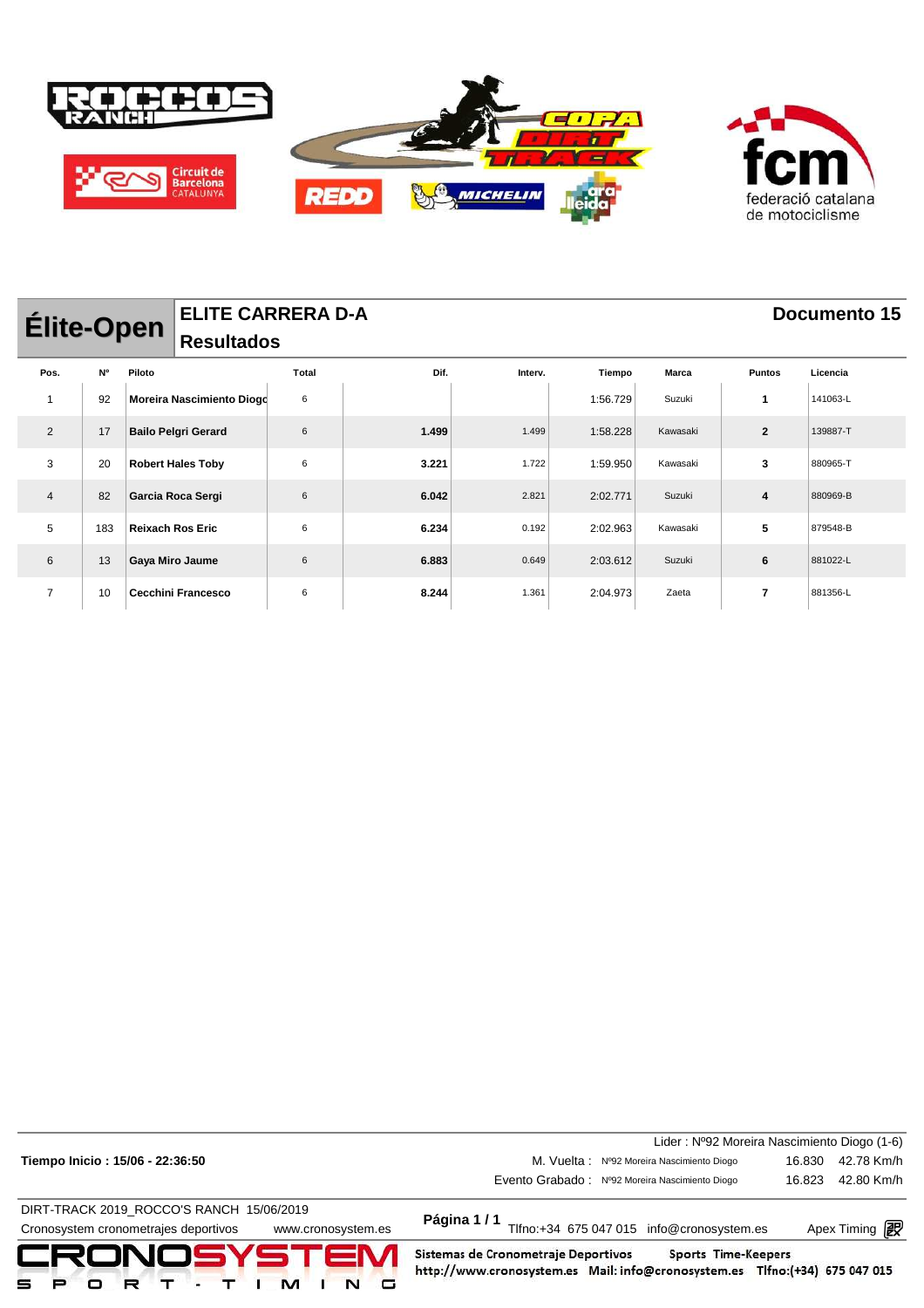

| <b>Élite-Open</b>        |           |        | <b>ELITE CARRERA D-A</b>   |       |       |         |          |              |                | Documento 15 |
|--------------------------|-----------|--------|----------------------------|-------|-------|---------|----------|--------------|----------------|--------------|
|                          |           |        | <b>Resultados</b>          |       |       |         |          |              |                |              |
| Pos.                     | <b>N°</b> | Piloto |                            | Total | Dif.  | Interv. | Tiempo   | <b>Marca</b> | <b>Puntos</b>  | Licencia     |
| $\overline{\phantom{a}}$ | 92        |        | Moreira Nascimiento Diogd  | 6     |       |         | 1:56.729 | Suzuki       | 1              | 141063-L     |
| 2                        | 17        |        | <b>Bailo Pelgri Gerard</b> | 6     | 1.499 | 1.499   | 1:58.228 | Kawasaki     | $\overline{2}$ | 139887-T     |
| 3                        | 20        |        | <b>Robert Hales Toby</b>   | 6     | 3.221 | 1.722   | 1:59.950 | Kawasaki     | 3              | 880965-T     |
| $\overline{4}$           | 82        |        | Garcia Roca Sergi          | 6     | 6.042 | 2.821   | 2:02.771 | Suzuki       | 4              | 880969-B     |
| 5                        | 183       |        | <b>Reixach Ros Eric</b>    | 6     | 6.234 | 0.192   | 2:02.963 | Kawasaki     | 5              | 879548-B     |
| 6                        | 13        |        | Gaya Miro Jaume            | 6     | 6.883 | 0.649   | 2:03.612 | Suzuki       | 6              | 881022-L     |
| $\overline{7}$           | 10        |        | <b>Cecchini Francesco</b>  | 6     | 8.244 | 1.361   | 2:04.973 | Zaeta        | 7              | 881356-L     |

|                                                            |                                                                                                                                           | Lider: Nº92 Moreira Nascimiento Diogo (1-6) |
|------------------------------------------------------------|-------------------------------------------------------------------------------------------------------------------------------------------|---------------------------------------------|
| Tiempo Inicio: 15/06 - 22:36:50                            | M. Vuelta: Nº92 Moreira Nascimiento Diogo                                                                                                 | 42.78 Km/h<br>16.830                        |
|                                                            | Evento Grabado: Nº92 Moreira Nascimiento Diogo                                                                                            | 42.80 Km/h<br>16.823                        |
| DIRT-TRACK 2019 ROCCO'S RANCH 15/06/2019                   | Página 1/1                                                                                                                                |                                             |
| Cronosystem cronometrajes deportivos<br>www.cronosystem.es | Tlfno:+34 675 047 015 info@cronosystem.es                                                                                                 | Apex Timing <b>图</b>                        |
| CRONOSYSTEM<br>м<br>R<br>□                                 | Sistemas de Cronometraje Deportivos<br>Sports Time-Keepers<br>http://www.cronosystem.es Mail: info@cronosystem.es Tlfno:(+34) 675 047 015 |                                             |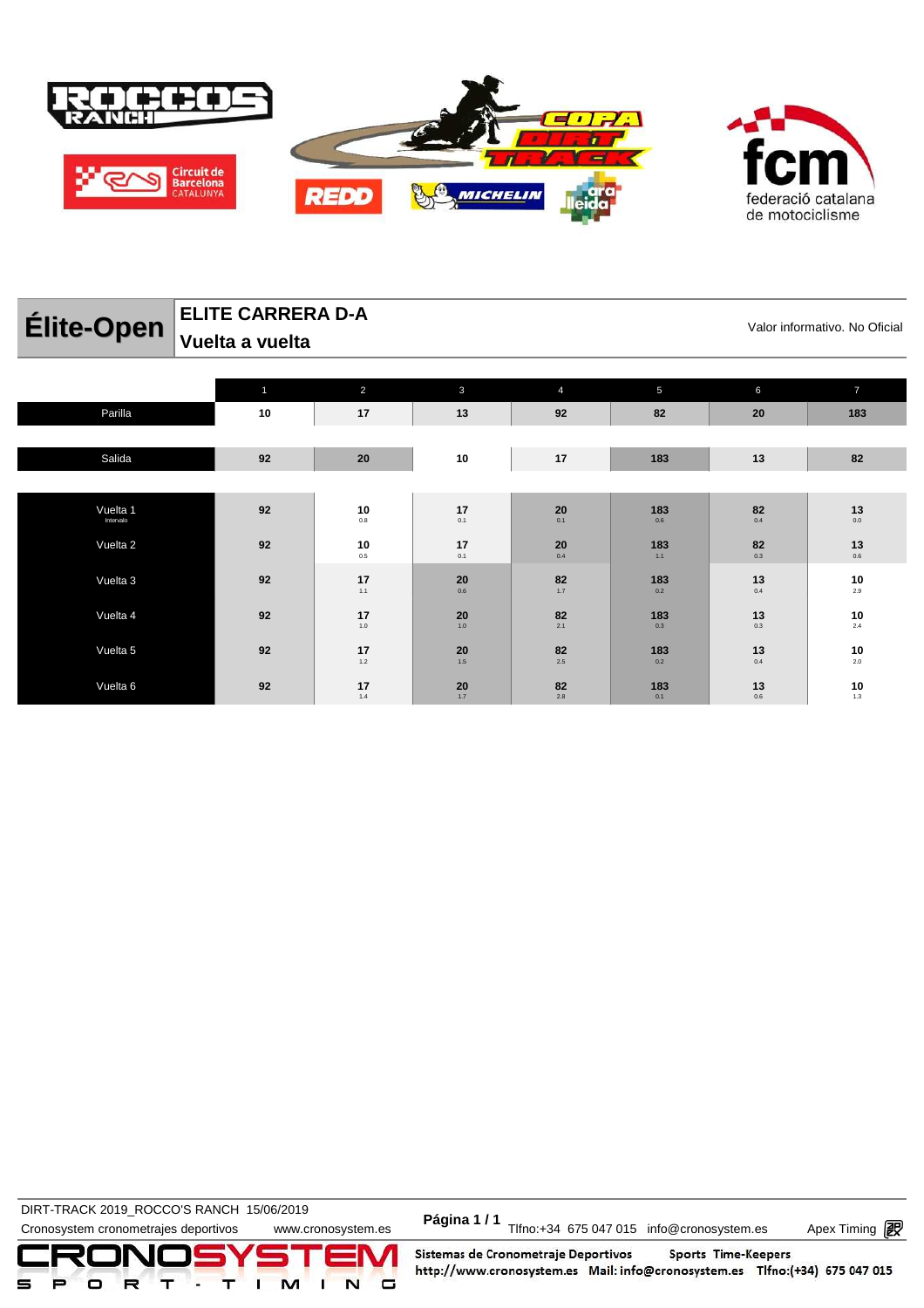

| Élite-Open            | <b>ELITE CARRERA D-A</b><br>Vuelta a vuelta |                         |           |           |                 |                               | Valor informativo. No Oficial |
|-----------------------|---------------------------------------------|-------------------------|-----------|-----------|-----------------|-------------------------------|-------------------------------|
|                       |                                             |                         |           |           |                 |                               |                               |
|                       |                                             | 2                       | 3         | 4         | $5\phantom{.0}$ | 6                             |                               |
| Parilla               | 10                                          | 17                      | 13        | 92        | 82              | 20                            | 183                           |
|                       |                                             |                         |           |           |                 |                               |                               |
| Salida                | 92                                          | 20                      | 10        | 17        | 183             | 13                            | 82                            |
|                       |                                             |                         |           |           |                 |                               |                               |
| Vuelta 1<br>Intervalo | 92                                          | 10<br>0.8               | 17<br>0.1 | 20<br>0.1 | 183<br>0.6      | 82<br>0.4                     | 13<br>0.0                     |
| Vuelta 2              | 92                                          | $\mathbf{10} \atop 0.5$ | 17<br>0.1 | 20<br>0.4 | 183<br>$1.1$    | $\underset{0.3}{\textbf{82}}$ | 13<br>0.6                     |

**20** 0.6

**20** 1.0

**20** 1.5

**20** 1.7

**82** 1.7

**82**  $2.1$ 

**82**  $2.5$ 

**82** 2.8

**183** 0.2

**183** 0.3

**183** 0.2

**183** 0.1

**13** 0.4

**13** 0.3

**13** 0.4

**13** 0.6

 $17$ <sub>1.1</sub>

 $17^{1.0}_{1.0}$ 

17<br> $1.2$ 

 $\frac{17}{14}$ 

DIRT-TRACK 2019\_ROCCO'S RANCH 15/06/2019 **Página 1 / 1**

Vuelta 3 **92 17**

Vuelta 4 **92 17**

Vuelta 5 **92 17**

Vuelta 6 **92 17**

DIRT-TRACK 2019\_ROCCO 6 NANCLE 19/00/2019<br>Cronosystem cronometrajes deportivos www.cronosystem.es Página 1 / 1<br>Cronosystem.es Apex Timing P

Apex Timing - timing solutions and services http://www.apex-timing.com/

Sistemas de Cronometraje Deportivos Sports Time-Keepers http://www.cronosystem.es Mail: info@cronosystem.es Tlfno:(+34) 675 047 015

**10** 2.9

**10** 2.4

**10** 2.0

**10** 1.3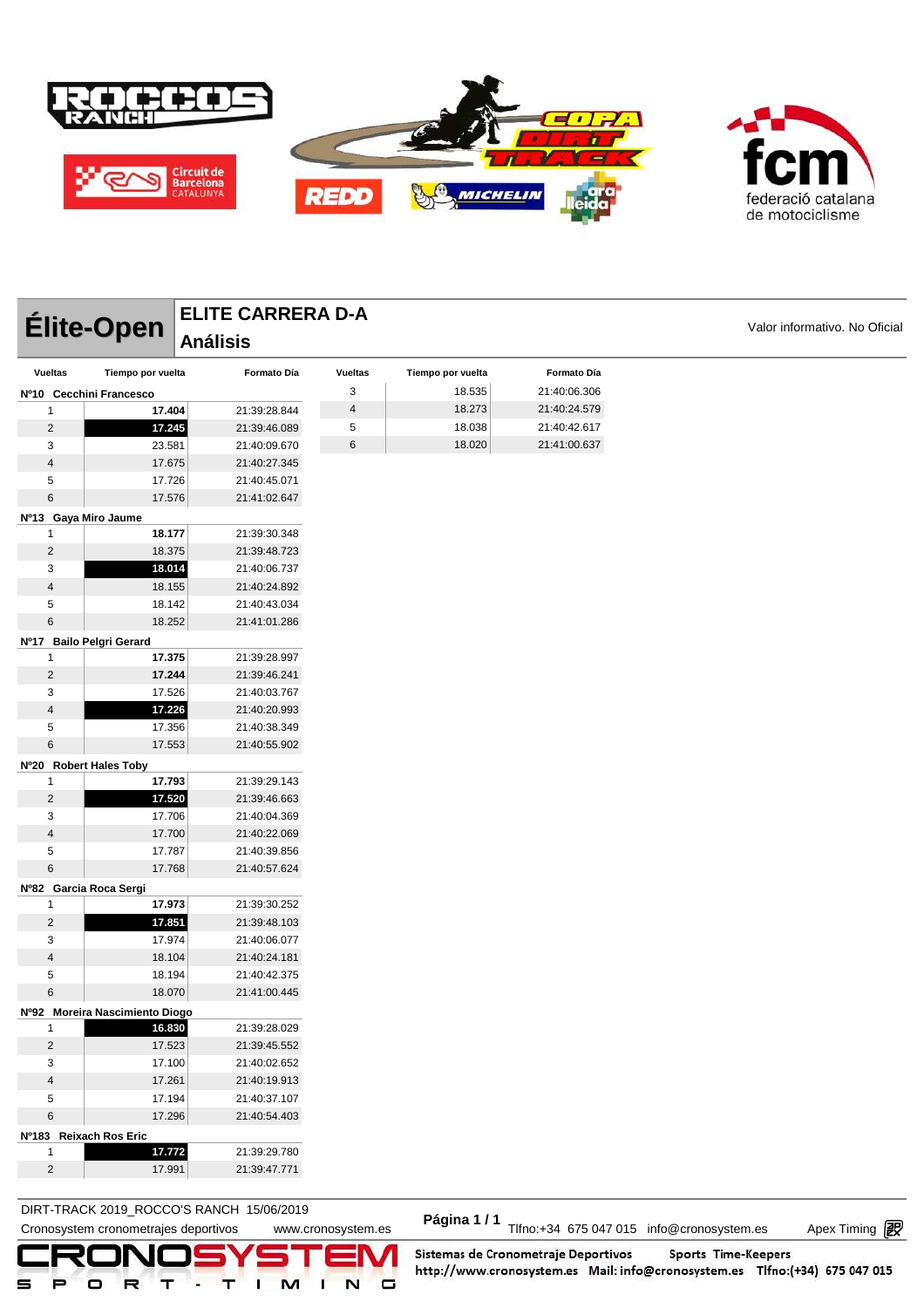



|                             | Élite-Open                     | <b>ELITE CARRERA D-A</b> |                         |                   |              |                               |
|-----------------------------|--------------------------------|--------------------------|-------------------------|-------------------|--------------|-------------------------------|
|                             |                                | <b>Análisis</b>          |                         |                   |              | Valor informativo. No Oficial |
| <b>Vueltas</b>              | Tiempo por vuelta              | Formato Día              | <b>Vueltas</b>          | Tiempo por vuelta | Formato Día  |                               |
|                             | Nº10 Cecchini Francesco        |                          | 3                       | 18.535            | 21:40:06.306 |                               |
| 1                           | 17.404                         | 21:39:28.844             | $\overline{\mathbf{4}}$ | 18.273            | 21:40:24.579 |                               |
| $\overline{c}$              | 17.245                         | 21:39:46.089             | 5                       | 18.038            | 21:40:42.617 |                               |
| 3                           | 23.581                         | 21:40:09.670             | 6                       | 18.020            | 21:41:00.637 |                               |
| 4                           | 17.675                         | 21:40:27.345             |                         |                   |              |                               |
| 5                           | 17.726                         | 21:40:45.071             |                         |                   |              |                               |
| 6                           | 17.576                         | 21:41:02.647             |                         |                   |              |                               |
| Nº13 Gaya Miro Jaume        |                                |                          |                         |                   |              |                               |
| 1                           | 18.177                         | 21:39:30.348             |                         |                   |              |                               |
| $\overline{c}$              | 18.375                         | 21:39:48.723             |                         |                   |              |                               |
| 3                           | 18.014                         | 21:40:06.737             |                         |                   |              |                               |
| 4                           | 18.155                         | 21:40:24.892             |                         |                   |              |                               |
| 5                           | 18.142                         | 21:40:43.034             |                         |                   |              |                               |
| 6                           | 18.252                         | 21:41:01.286             |                         |                   |              |                               |
|                             | Nº17 Bailo Pelgri Gerard       |                          |                         |                   |              |                               |
| 1                           | 17.375                         | 21:39:28.997             |                         |                   |              |                               |
| $\overline{c}$              | 17.244                         | 21:39:46.241             |                         |                   |              |                               |
| 3                           | 17.526                         | 21:40:03.767             |                         |                   |              |                               |
| $\overline{4}$              | 17.226                         | 21:40:20.993             |                         |                   |              |                               |
| 5                           | 17.356                         | 21:40:38.349             |                         |                   |              |                               |
| 6                           | 17.553                         | 21:40:55.902             |                         |                   |              |                               |
| Nº20 Robert Hales Toby      |                                |                          |                         |                   |              |                               |
| 1                           | 17.793                         | 21:39:29.143             |                         |                   |              |                               |
| $\overline{c}$              | 17.520                         | 21:39:46.663             |                         |                   |              |                               |
| 3                           | 17.706                         | 21:40:04.369             |                         |                   |              |                               |
| $\overline{4}$              | 17.700                         | 21:40:22.069             |                         |                   |              |                               |
| 5                           | 17.787                         | 21:40:39.856             |                         |                   |              |                               |
| 6                           | 17.768                         | 21:40:57.624             |                         |                   |              |                               |
| Nº82 Garcia Roca Sergi      |                                |                          |                         |                   |              |                               |
| 1                           | 17.973                         | 21:39:30.252             |                         |                   |              |                               |
| $\overline{c}$              | 17.851                         | 21:39:48.103             |                         |                   |              |                               |
| 3                           | 17.974                         | 21:40:06.077             |                         |                   |              |                               |
| 4                           | 18.104                         | 21:40:24.181             |                         |                   |              |                               |
| 5                           | 18.194                         | 21:40:42.375             |                         |                   |              |                               |
| 6                           | 18.070                         | 21:41:00.445             |                         |                   |              |                               |
|                             | Nº92 Moreira Nascimiento Diogo |                          |                         |                   |              |                               |
| 1                           | 16.830                         | 21:39:28.029             |                         |                   |              |                               |
| $\overline{2}$              | 17.523                         | 21:39:45.552             |                         |                   |              |                               |
| 3                           | 17.100                         | 21:40:02.652             |                         |                   |              |                               |
| 4                           | 17.261                         | 21:40:19.913             |                         |                   |              |                               |
| 5                           | 17.194                         | 21:40:37.107             |                         |                   |              |                               |
| 6                           | 17.296                         | 21:40:54.403             |                         |                   |              |                               |
|                             |                                |                          |                         |                   |              |                               |
| Nº183 Reixach Ros Eric<br>1 | 17.772                         | 21:39:29.780             |                         |                   |              |                               |
|                             |                                |                          |                         |                   |              |                               |
| $\overline{c}$              | 17.991                         | 21:39:47.771             |                         |                   |              |                               |

DIRT-TRACK 2019\_ROCCO 5 RANCH TRIVOLATES<br>Cronosystem cronometrajes deportivos www.cronosystem.es Página 1 / 1<br>Cronosystem.es Apex Timing P DIRT-TRACK 2019\_ROCCO'S RANCH 15/06/2019 **Página 1 / 1**

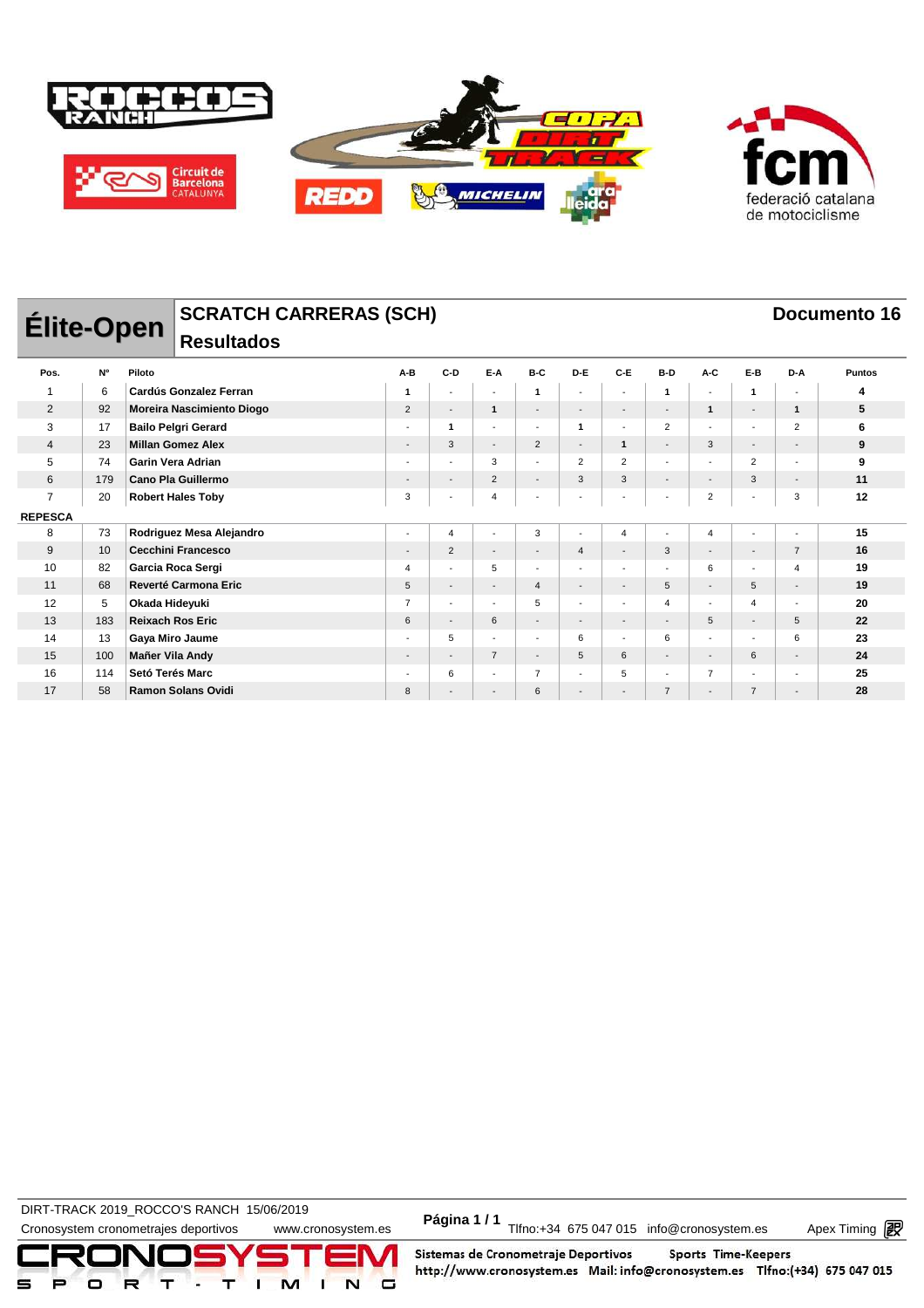



DIRT-TRACK 2019\_ROCCO'S RANCH 15/06/2019 **Página 1 / 1**

Cronosystem cronometrajes deportivos www.cronosystem.es Página 1/1 Tlfno:+34 675 047 015 info@cronosystem.es Apex Timing

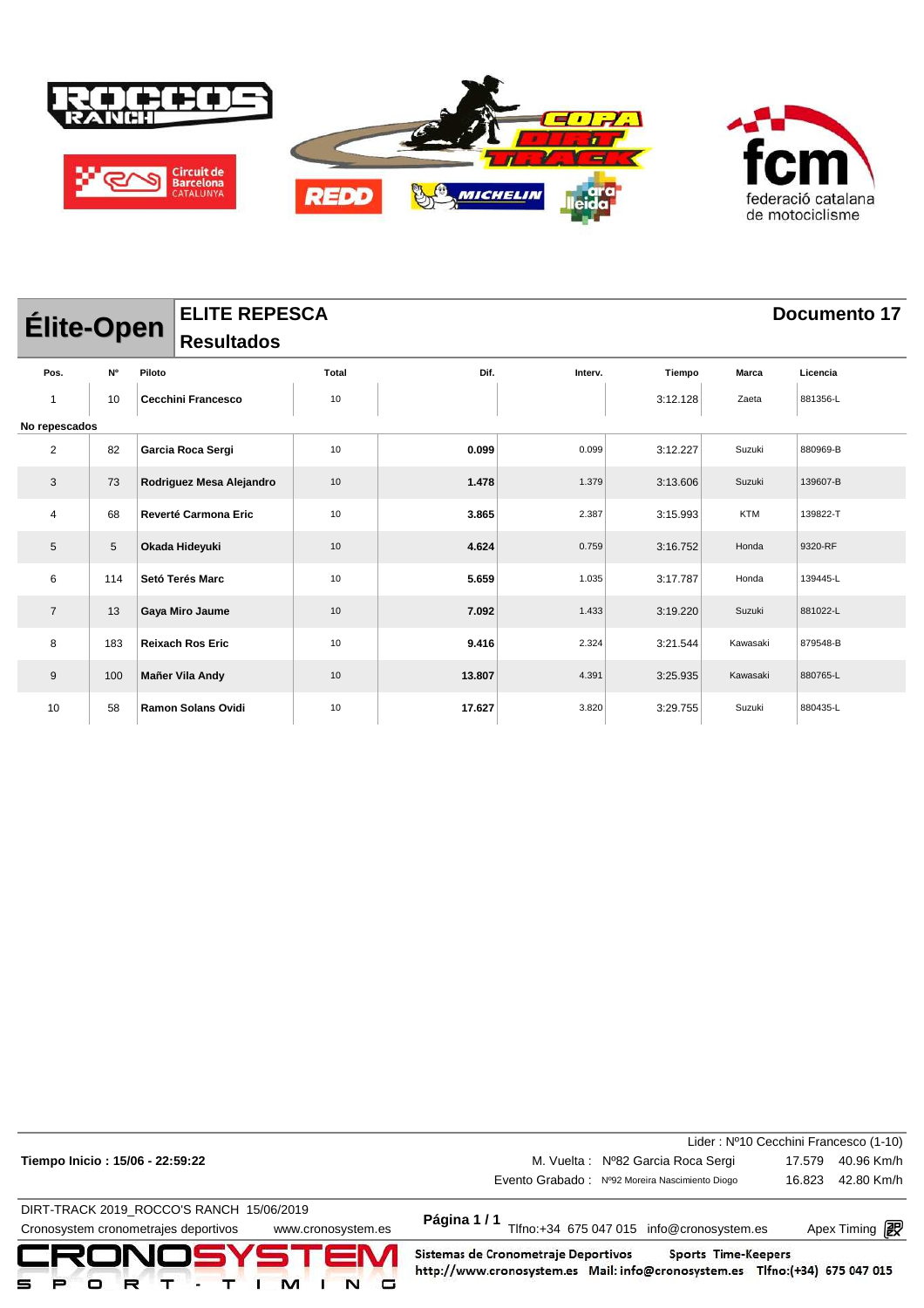

|                | <b>ELITE REPESCA</b><br><b>Élite-Open</b> |        |                             |       |        |         |          |            | Documento 17 |  |
|----------------|-------------------------------------------|--------|-----------------------------|-------|--------|---------|----------|------------|--------------|--|
|                |                                           |        | <b>Resultados</b>           |       |        |         |          |            |              |  |
| Pos.           | <b>N°</b>                                 | Piloto |                             | Total | Dif.   | Interv. | Tiempo   | Marca      | Licencia     |  |
| $\mathbf{1}$   | 10                                        |        | <b>Cecchini Francesco</b>   | 10    |        |         | 3:12.128 | Zaeta      | 881356-L     |  |
|                | No repescados                             |        |                             |       |        |         |          |            |              |  |
| $\overline{c}$ | 82                                        |        | Garcia Roca Sergi           | 10    | 0.099  | 0.099   | 3:12.227 | Suzuki     | 880969-B     |  |
| 3              | 73                                        |        | Rodriguez Mesa Alejandro    | 10    | 1.478  | 1.379   | 3:13.606 | Suzuki     | 139607-B     |  |
| 4              | 68                                        |        | <b>Reverté Carmona Eric</b> | 10    | 3.865  | 2.387   | 3:15.993 | <b>KTM</b> | 139822-T     |  |
| $\sqrt{5}$     | 5                                         |        | Okada Hideyuki              | 10    | 4.624  | 0.759   | 3:16.752 | Honda      | 9320-RF      |  |
| 6              | 114                                       |        | Setó Terés Marc             | 10    | 5.659  | 1.035   | 3:17.787 | Honda      | 139445-L     |  |
| $\overline{7}$ | 13                                        |        | Gaya Miro Jaume             | 10    | 7.092  | 1.433   | 3:19.220 | Suzuki     | 881022-L     |  |
| 8              | 183                                       |        | <b>Reixach Ros Eric</b>     | 10    | 9.416  | 2.324   | 3:21.544 | Kawasaki   | 879548-B     |  |
| 9              | 100                                       |        | Mañer Vila Andy             | 10    | 13.807 | 4.391   | 3:25.935 | Kawasaki   | 880765-L     |  |
| 10             | 58                                        |        | <b>Ramon Solans Ovidi</b>   | 10    | 17.627 | 3.820   | 3:29.755 | Suzuki     | 880435-L     |  |

| Tiempo Inicio: 15/06 - 22:59:22                            | M. Vuelta: Nº82 Garcia Roca Sergi                                                | Lider: Nº10 Cecchini Francesco (1-10)<br>40.96 Km/h<br>17.579 |  |  |  |
|------------------------------------------------------------|----------------------------------------------------------------------------------|---------------------------------------------------------------|--|--|--|
|                                                            | Evento Grabado: Nº92 Moreira Nascimiento Diogo                                   | 42.80 Km/h<br>16.823                                          |  |  |  |
| DIRT-TRACK 2019 ROCCO'S RANCH 15/06/2019                   |                                                                                  |                                                               |  |  |  |
| Cronosystem cronometrajes deportivos<br>www.cronosystem.es | Página 1/1<br>Tlfno:+34 675 047 015 info@cronosystem.es<br>Apex Timing <b>ng</b> |                                                               |  |  |  |
|                                                            |                                                                                  |                                                               |  |  |  |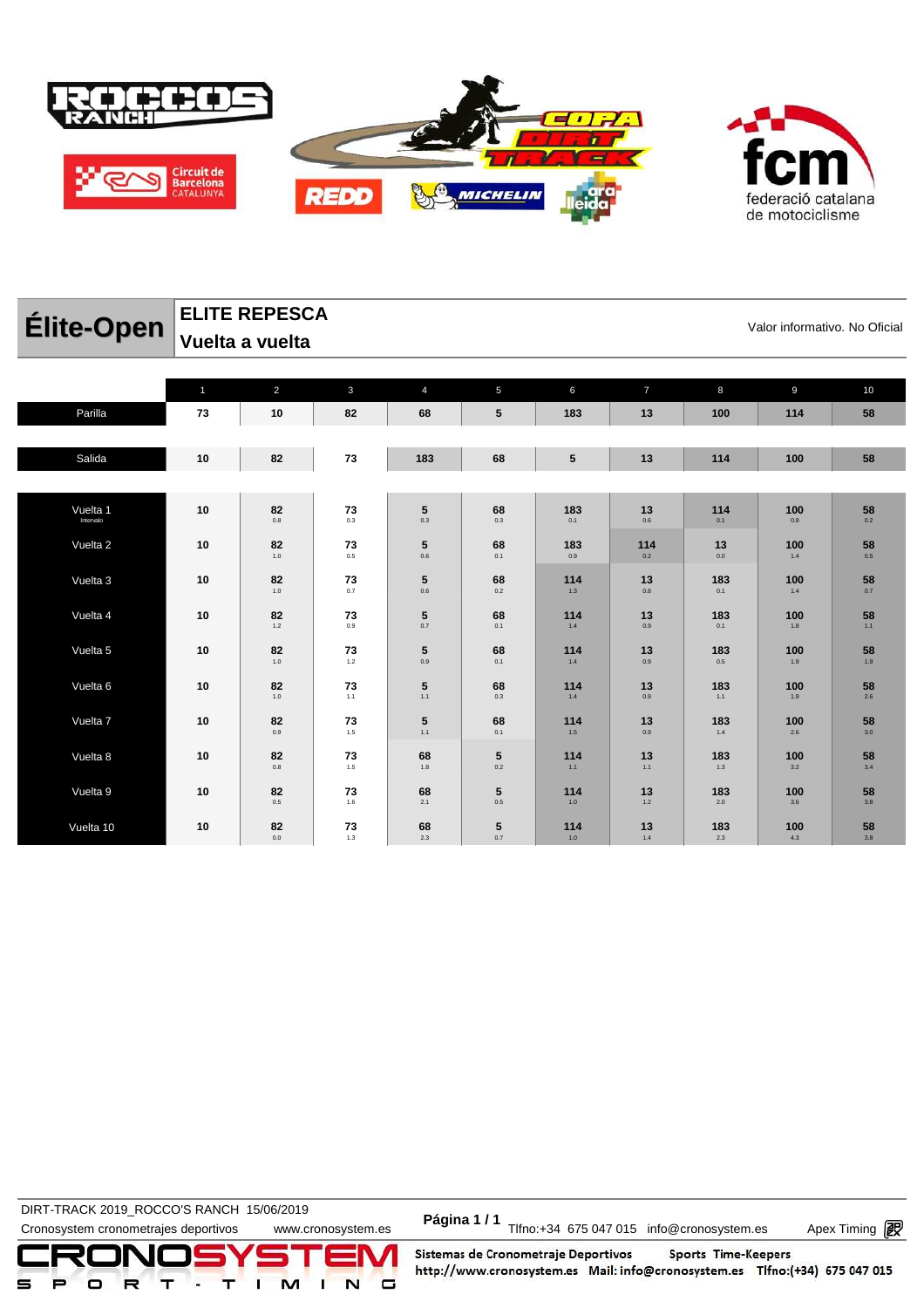

|                 | federació catalana |
|-----------------|--------------------|
| de motociclisme |                    |

| Élite-Open |              | <b>ELITE REPESCA</b><br>Valor informativo. No Oficial<br>Vuelta a vuelta |              |                |                 |            |                |            |            |             |  |  |  |
|------------|--------------|--------------------------------------------------------------------------|--------------|----------------|-----------------|------------|----------------|------------|------------|-------------|--|--|--|
|            | $\mathbf{1}$ | $\overline{2}$                                                           | $\mathbf{3}$ | $\overline{4}$ | 5               | 6          | $\overline{7}$ | 8          | 9          | 10          |  |  |  |
| Parilla    | 73           | 10                                                                       | 82           | 68             | $5\phantom{.0}$ | 183        | 13             | 100        | 114        | 58          |  |  |  |
|            |              |                                                                          |              |                |                 |            |                |            |            |             |  |  |  |
| Salida     | 10           | 82                                                                       | 73           | 183            | 68              | 5          | 13             | 114        | 100        | 58          |  |  |  |
|            |              |                                                                          |              |                |                 |            |                |            |            |             |  |  |  |
| Vuelta 1   | 10           | 82                                                                       | 73           | 5              | 68              | 183        | 13             | 114        | 100        | 58          |  |  |  |
| Intervalo  |              | 0.8                                                                      | 0.3          | 0.3            | 0.3             | 0.1        | 0.6            | 0.1        | 0.8        | 0.2         |  |  |  |
| Vuelta 2   | 10           | 82<br>1.0                                                                | 73<br>0.5    | 5<br>0.6       | 68<br>0.1       | 183<br>0.9 | 114<br>0.2     | 13<br>0.0  | 100<br>1.4 | 58<br>0.5   |  |  |  |
| Vuelta 3   | 10           | 82                                                                       | 73           | 5              | 68              | 114        | 13             | 183        | 100        | 58          |  |  |  |
|            |              | 1.0                                                                      | 0.7          | 0.6            | 0.2             | 1.3        | 0.8            | 0.1        | 1.4        | 0.7         |  |  |  |
| Vuelta 4   | 10           | 82<br>$1.2$                                                              | 73<br>0.9    | 5<br>0.7       | 68<br>0.1       | 114<br>1.4 | 13<br>0.9      | 183<br>0.1 | 100<br>1.8 | 58<br>$1.1$ |  |  |  |

**5** 0.9

**5** 1.1

**5** 1.1

**68** 1.8

**68** 2.1

**68** 2.3

**68**  $0.1$ 

**68**  $0.3$ 

**68** 0.1

**5** 0.2

**5** 0.5

**5** 0.7

**114** 1.4

**114** 1.4

**114** 1.5

**114** 1.1

**114** 1.0

**114** 1.0

**13** 0.9

**13** 0.9

**13** 0.9

**13** 1.1

**13** 1.2

**13** 1.4

**183** 0.5

**183** 1.1

**183** 1.4

**183** 1.3

**183** 2.0

**183** 2.3

**100** 1.9

**100** 1.9

**100** 2.6

**100** 3.2

**100** 3.6

**100** 4.3

**58** 1.9

**58**  $\frac{2}{26}$ 

**58** 3.0

**58** 3.4

**58** 3.8

**58** 3.8

DIRT-TRACK 2019\_ROCCO'S RANCH 15/06/2019 **Página 1 / 1**

Vuelta 5 **10 82**

Vuelta 6 **10 82**

Vuelta 8 **10 82**

Vuelta 9 **10 82**

Vuelta 10 **10 82**

Vuelta 7 **10 82**

 $1.0$ 

 $\frac{1}{1.0}$ 

 $\frac{82}{10}$ 

0.8

0.5

0.0

**73** 1.2

**73** 1.1

**73** 1.5

**73** 1.5

**73** 1.6

**73** 1.3

DIRT-TRACK 2019\_ROCCO 6 NANCLE 19/00/2019<br>Cronosystem cronometrajes deportivos www.cronosystem.es Página 1 / 1<br>Cronosystem.es Apex Timing P

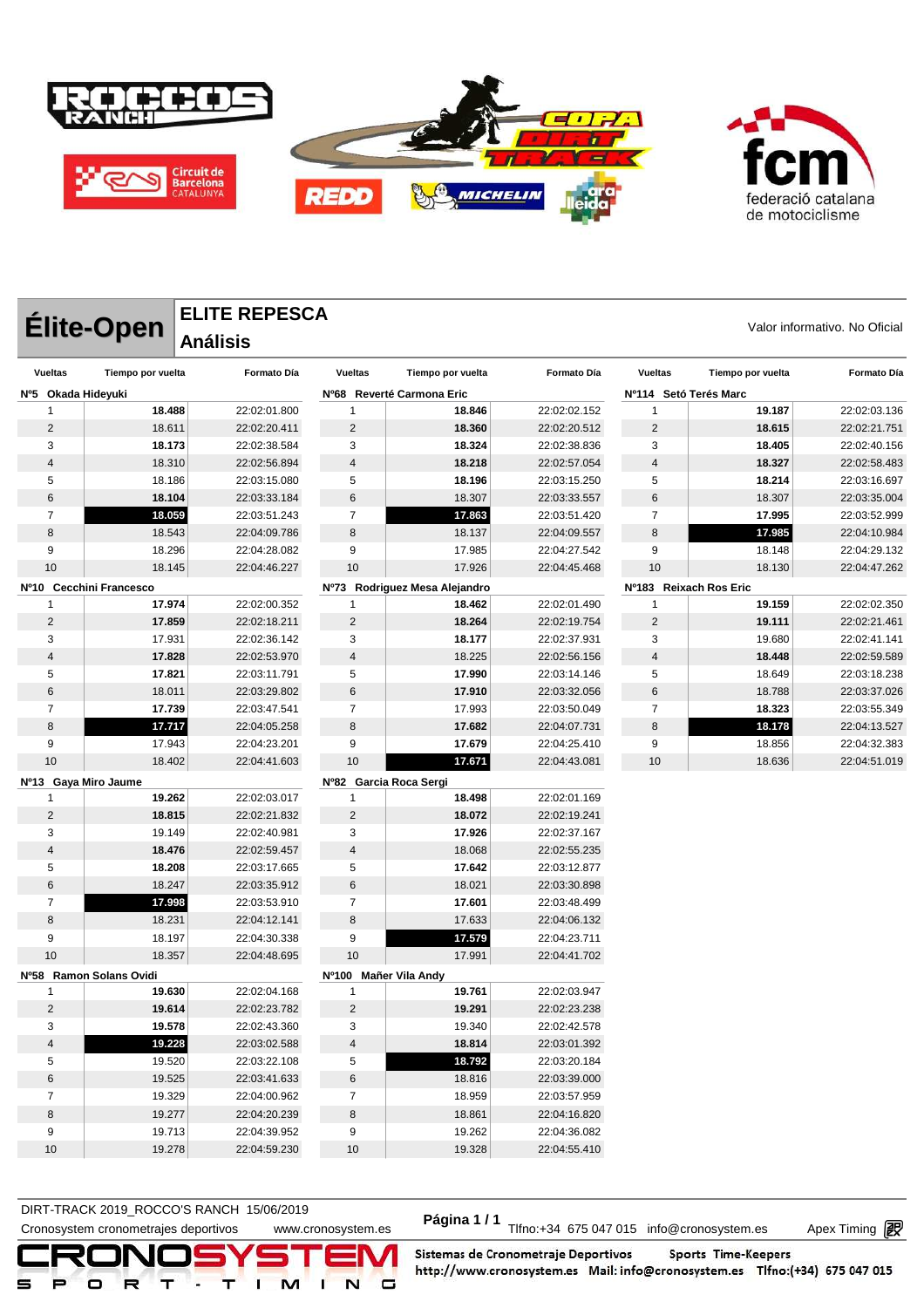

|                     | ELITE REPESCA |                               |
|---------------------|---------------|-------------------------------|
| Élite-Open ELITE RI |               | Valor informativo. No Oficial |

## **ELITE REPESCA Análisis**

| <b>Vueltas</b>          | Tiempo por vuelta       | Formato Día  | <b>Vueltas</b>         | Tiempo por vuelta             | Formato Día  | <b>Vueltas</b>         | Tiempo por vuelta | Formato Día  |
|-------------------------|-------------------------|--------------|------------------------|-------------------------------|--------------|------------------------|-------------------|--------------|
| Nº5 Okada Hideyuki      |                         |              |                        | Nº68 Reverté Carmona Eric     |              | Nº114 Setó Terés Marc  |                   |              |
| $\mathbf{1}$            | 18.488                  | 22:02:01.800 | $\mathbf{1}$           | 18.846                        | 22:02:02.152 | 1                      | 19.187            | 22:02:03.136 |
| $\overline{2}$          | 18.611                  | 22:02:20.411 | $\overline{2}$         | 18.360                        | 22:02:20.512 | $\overline{2}$         | 18.615            | 22:02:21.751 |
| 3                       | 18.173                  | 22:02:38.584 | 3                      | 18.324                        | 22:02:38.836 | 3                      | 18.405            | 22:02:40.156 |
| 4                       | 18.310                  | 22:02:56.894 | $\overline{4}$         | 18.218                        | 22:02:57.054 | 4                      | 18.327            | 22:02:58.483 |
| 5                       | 18.186                  | 22:03:15.080 | 5                      | 18.196                        | 22:03:15.250 | 5                      | 18.214            | 22:03:16.697 |
| 6                       | 18.104                  | 22:03:33.184 | 6                      | 18.307                        | 22:03:33.557 | 6                      | 18.307            | 22:03:35.004 |
| $\overline{7}$          | 18.059                  | 22:03:51.243 | $\overline{7}$         | 17.863                        | 22:03:51.420 | $\overline{7}$         | 17.995            | 22:03:52.999 |
| 8                       | 18.543                  | 22:04:09.786 | $\bf8$                 | 18.137                        | 22:04:09.557 | 8                      | 17.985            | 22:04:10.984 |
| 9                       | 18.296                  | 22:04:28.082 | 9                      | 17.985                        | 22:04:27.542 | 9                      | 18.148            | 22:04:29.132 |
| 10                      | 18.145                  | 22:04:46.227 | 10                     | 17.926                        | 22:04:45.468 | 10                     | 18.130            | 22:04:47.262 |
|                         | Nº10 Cecchini Francesco |              |                        | Nº73 Rodriguez Mesa Alejandro |              | Nº183 Reixach Ros Eric |                   |              |
| 1                       | 17.974                  | 22:02:00.352 | 1                      | 18.462                        | 22:02:01.490 | 1                      | 19.159            | 22:02:02.350 |
| $\overline{2}$          | 17.859                  | 22:02:18.211 | $\overline{2}$         | 18.264                        | 22:02:19.754 | $\overline{2}$         | 19.111            | 22:02:21.461 |
| 3                       | 17.931                  | 22:02:36.142 | 3                      | 18.177                        | 22:02:37.931 | 3                      | 19.680            | 22:02:41.141 |
| $\overline{\mathbf{4}}$ | 17.828                  | 22:02:53.970 | $\overline{4}$         | 18.225                        | 22:02:56.156 | 4                      | 18.448            | 22:02:59.589 |
| 5                       | 17.821                  | 22:03:11.791 | 5                      | 17.990                        | 22:03:14.146 | 5                      | 18.649            | 22:03:18.238 |
| 6                       | 18.011                  | 22:03:29.802 | 6                      | 17.910                        | 22:03:32.056 | 6                      | 18.788            | 22:03:37.026 |
| $\overline{7}$          | 17.739                  | 22:03:47.541 | $\overline{7}$         | 17.993                        | 22:03:50.049 | $\overline{7}$         | 18.323            | 22:03:55.349 |
| 8                       | 17.717                  | 22:04:05.258 | 8                      | 17.682                        | 22:04:07.731 | 8                      | 18.178            | 22:04:13.527 |
| 9                       | 17.943                  | 22:04:23.201 | 9                      | 17.679                        | 22:04:25.410 | 9                      | 18.856            | 22:04:32.383 |
| 10                      | 18.402                  | 22:04:41.603 | 10                     | 17.671                        | 22:04:43.081 | 10                     | 18.636            | 22:04:51.019 |
| Nº13 Gaya Miro Jaume    |                         |              | Nº82 Garcia Roca Sergi |                               |              |                        |                   |              |
| 1                       | 19.262                  | 22:02:03.017 | 1                      | 18.498                        | 22:02:01.169 |                        |                   |              |
| $\overline{c}$          | 18.815                  | 22:02:21.832 | $\overline{c}$         | 18.072                        | 22:02:19.241 |                        |                   |              |
| 3                       | 19.149                  | 22:02:40.981 | 3                      | 17.926                        | 22:02:37.167 |                        |                   |              |
| 4                       | 18.476                  | 22:02:59.457 | $\overline{4}$         | 18.068                        | 22:02:55.235 |                        |                   |              |
| 5                       | 18.208                  | 22:03:17.665 | 5                      | 17.642                        | 22:03:12.877 |                        |                   |              |
| 6                       | 18.247                  | 22:03:35.912 | $\,6$                  | 18.021                        | 22:03:30.898 |                        |                   |              |
| $\overline{7}$          | 17.998                  | 22:03:53.910 | $\overline{7}$         | 17.601                        | 22:03:48.499 |                        |                   |              |
| 8                       | 18.231                  | 22:04:12.141 | 8                      | 17.633                        | 22:04:06.132 |                        |                   |              |
| 9                       | 18.197                  | 22:04:30.338 | 9                      | 17.579                        | 22:04:23.711 |                        |                   |              |
| 10                      | 18.357                  | 22:04:48.695 | 10                     | 17.991                        | 22:04:41.702 |                        |                   |              |
|                         | Nº58 Ramon Solans Ovidi |              | Nº100 Mañer Vila Andy  |                               |              |                        |                   |              |
| $\mathbf{1}$            | 19.630                  | 22:02:04.168 | $\mathbf{1}$           | 19.761                        | 22:02:03.947 |                        |                   |              |
| $\overline{c}$          | 19.614                  | 22:02:23.782 | $\sqrt{2}$             | 19.291                        | 22:02:23.238 |                        |                   |              |
| 3                       | 19.578                  | 22:02:43.360 | 3                      | 19.340                        | 22:02:42.578 |                        |                   |              |
| $\overline{\mathbf{4}}$ | 19.228                  | 22:03:02.588 | $\overline{4}$         | 18.814                        | 22:03:01.392 |                        |                   |              |
| 5                       | 19.520                  | 22:03:22.108 | 5                      | 18.792                        | 22:03:20.184 |                        |                   |              |
| 6                       | 19.525                  | 22:03:41.633 | $\,6$                  | 18.816                        | 22:03:39.000 |                        |                   |              |
| $\overline{7}$          | 19.329                  | 22:04:00.962 | $\overline{7}$         | 18.959                        | 22:03:57.959 |                        |                   |              |
| 8                       | 19.277                  | 22:04:20.239 | 8                      | 18.861                        | 22:04:16.820 |                        |                   |              |
| 9                       | 19.713                  | 22:04:39.952 | 9                      | 19.262                        | 22:04:36.082 |                        |                   |              |
| 10                      | 19.278                  | 22:04:59.230 | 10                     | 19.328                        | 22:04:55.410 |                        |                   |              |

DIRT-TRACK 2019\_ROCCO STANCH 19/00/2019<br>Cronosystem cronometrajes deportivos www.cronosystem.es Página 1/1 Tlfno:+34 675 047 015 info@cronosystem.es Apex Timing **DIRT-TRACK 2019\_ROCCO'S RANCH 15/06/2019** 

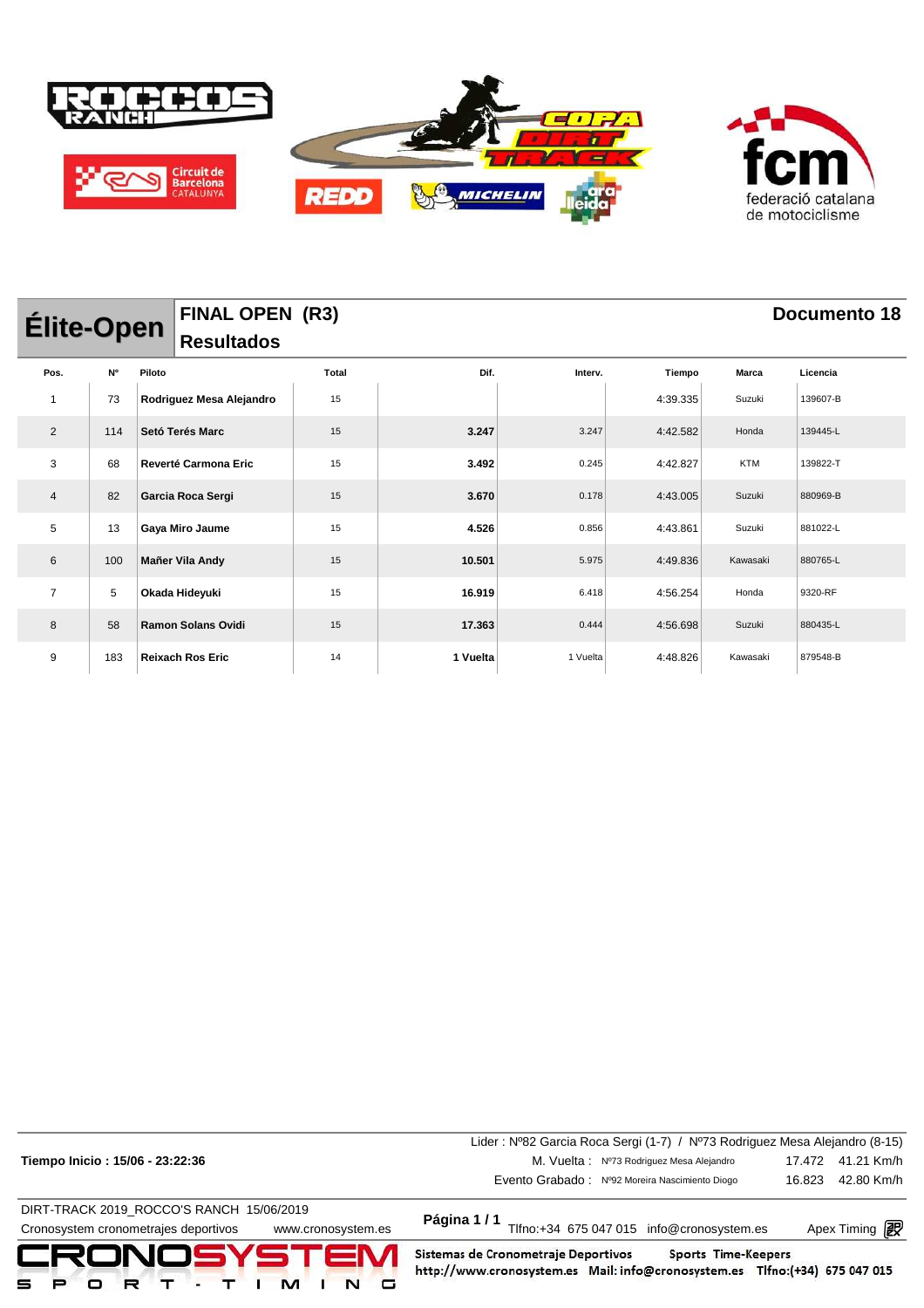

| <b>Élite-Open</b> |     |        | <b>FINAL OPEN (R3)</b>    |       |          |          |          |            | Documento 18 |
|-------------------|-----|--------|---------------------------|-------|----------|----------|----------|------------|--------------|
|                   |     |        | <b>Resultados</b>         |       |          |          |          |            |              |
| Pos.              | N°  | Piloto |                           | Total | Dif.     | Interv.  | Tiempo   | Marca      | Licencia     |
| $\mathbf{1}$      | 73  |        | Rodriguez Mesa Alejandro  | 15    |          |          | 4:39.335 | Suzuki     | 139607-B     |
| $\overline{2}$    | 114 |        | Setó Terés Marc           | 15    | 3.247    | 3.247    | 4:42.582 | Honda      | 139445-L     |
| 3                 | 68  |        | Reverté Carmona Eric      | 15    | 3.492    | 0.245    | 4:42.827 | <b>KTM</b> | 139822-T     |
| 4                 | 82  |        | Garcia Roca Sergi         | 15    | 3.670    | 0.178    | 4:43.005 | Suzuki     | 880969-B     |
| 5                 | 13  |        | Gaya Miro Jaume           | 15    | 4.526    | 0.856    | 4:43.861 | Suzuki     | 881022-L     |
| 6                 | 100 |        | Mañer Vila Andy           | 15    | 10.501   | 5.975    | 4:49.836 | Kawasaki   | 880765-L     |
| $\overline{7}$    | 5   |        | Okada Hideyuki            | 15    | 16.919   | 6.418    | 4:56.254 | Honda      | 9320-RF      |
| 8                 | 58  |        | <b>Ramon Solans Ovidi</b> | 15    | 17.363   | 0.444    | 4:56.698 | Suzuki     | 880435-L     |
| 9                 | 183 |        | <b>Reixach Ros Eric</b>   | 14    | 1 Vuelta | 1 Vuelta | 4:48.826 | Kawasaki   | 879548-B     |

|                                                            | Lider: Nº82 Garcia Roca Sergi (1-7) / Nº73 Rodriguez Mesa Alejandro (8-15)                                                                |        |                       |
|------------------------------------------------------------|-------------------------------------------------------------------------------------------------------------------------------------------|--------|-----------------------|
| Tiempo Inicio: 15/06 - 23:22:36                            | M. Vuelta: Nº73 Rodriguez Mesa Alejandro                                                                                                  |        | 17.472 41.21 Km/h     |
|                                                            | Evento Grabado: Nº92 Moreira Nascimiento Diogo                                                                                            | 16.823 | 42.80 Km/h            |
| DIRT-TRACK 2019_ROCCO'S RANCH 15/06/2019                   |                                                                                                                                           |        |                       |
| Cronosystem cronometrajes deportivos<br>www.cronosystem.es | Página 1/1<br>Tlfno:+34 675 047 015 info@cronosystem.es                                                                                   |        | Apex Timing <b>in</b> |
| CRONOSYSTEM                                                | Sistemas de Cronometraje Deportivos<br>Sports Time-Keepers<br>http://www.cronosystem.es Mail: info@cronosystem.es Tlfno:(+34) 675 047 015 |        |                       |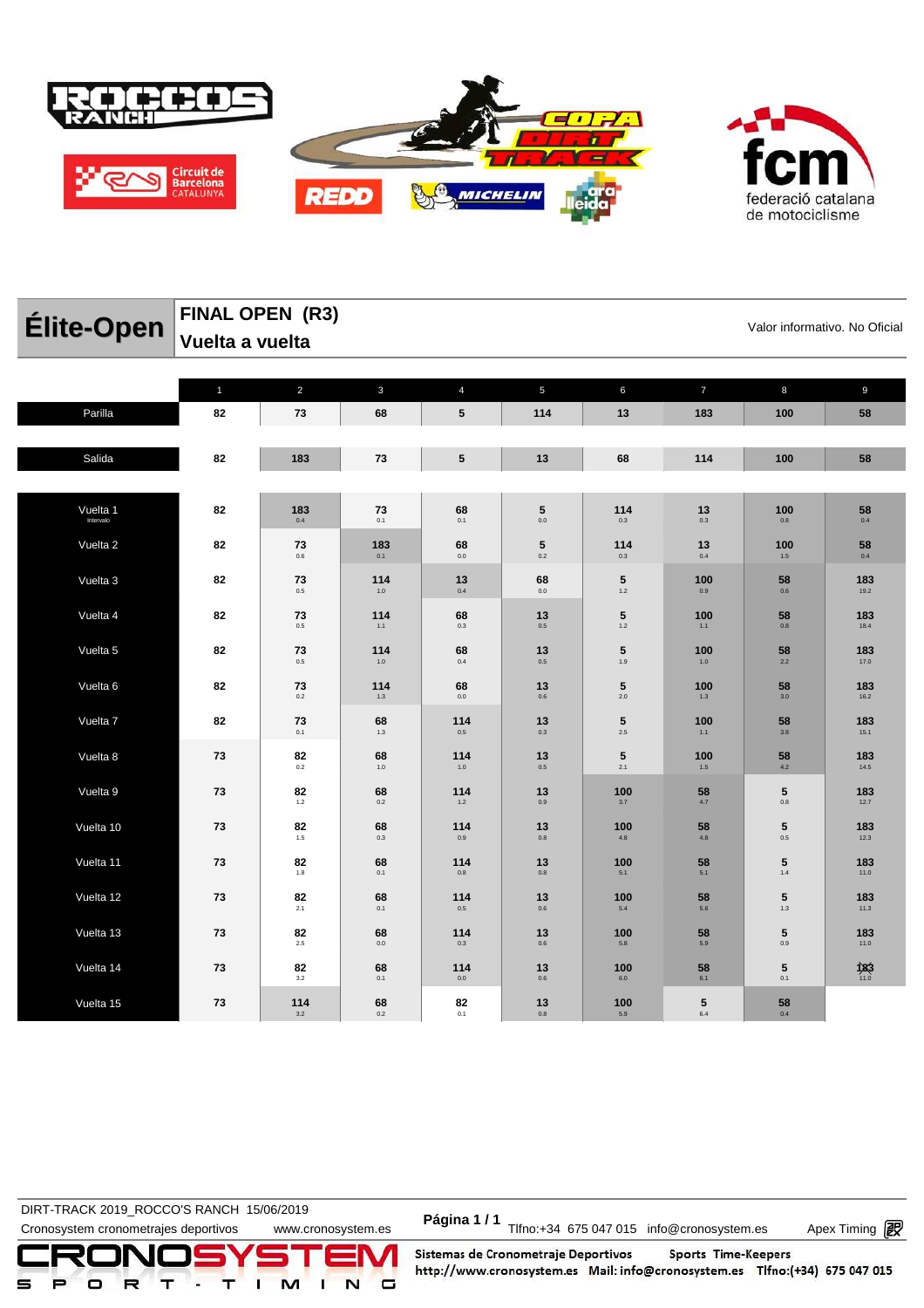

federació catalana de motociclisme

| Élite-Open            | FINAL OPEN (R3)<br>Valor informativo. No Oficial<br>Vuelta a vuelta |                      |                    |                     |                       |                |                       |                        |               |  |  |  |
|-----------------------|---------------------------------------------------------------------|----------------------|--------------------|---------------------|-----------------------|----------------|-----------------------|------------------------|---------------|--|--|--|
|                       |                                                                     |                      |                    |                     |                       |                |                       |                        |               |  |  |  |
| Parilla               | $\mathbf{1}$<br>82                                                  | $\overline{2}$<br>73 | $\mathbf{3}$<br>68 | $\overline{4}$<br>5 | $\overline{5}$<br>114 | 6<br>13        | $\overline{7}$<br>183 | 8<br>100               | 9<br>58       |  |  |  |
| Salida                | 82                                                                  | 183                  | 73                 | ${\bf 5}$           | 13                    | 68             | 114                   | 100                    | 58            |  |  |  |
|                       |                                                                     |                      |                    |                     |                       |                |                       |                        |               |  |  |  |
| Vuelta 1<br>Intervalo | 82                                                                  | 183<br>0.4           | 73<br>0.1          | 68<br>$0.1\,$       | 5<br>$0.0\,$          | 114<br>$0.3\,$ | 13<br>$0.3\,$         | 100<br>$0.8\,$         | 58<br>$0.4\,$ |  |  |  |
| Vuelta 2              | 82                                                                  | 73<br>0.6            | 183<br>0.1         | 68<br>$0.0\,$       | 5<br>$0.2\,$          | 114<br>0.3     | 13<br>0.4             | 100<br>$1.5\,$         | 58<br>$0.4\,$ |  |  |  |
| Vuelta 3              | 82                                                                  | 73<br>0.5            | 114<br>$1.0$       | 13<br>0.4           | 68<br>$0.0\,$         | 5<br>$1.2$     | 100<br>0.9            | 58<br>0.6              | 183<br>19.2   |  |  |  |
| Vuelta 4              | 82                                                                  | 73<br>0.5            | 114<br>1.1         | 68<br>0.3           | 13<br>$0.5\,$         | 5<br>$1.2$     | 100<br>$1.1$          | 58<br>0.8              | 183<br>18.4   |  |  |  |
| Vuelta 5              | 82                                                                  | 73<br>0.5            | 114<br>$1.0$       | 68<br>0.4           | 13<br>$0.5\,$         | 5<br>1.9       | 100<br>1.0            | 58<br>2.2              | 183<br>17.0   |  |  |  |
| Vuelta 6              | 82                                                                  | 73<br>0.2            | 114<br>1.3         | 68<br>0.0           | 13<br>0.6             | 5<br>2.0       | 100<br>1.3            | 58<br>3.0              | 183<br>16.2   |  |  |  |
| Vuelta 7              | 82                                                                  | 73<br>0.1            | 68<br>$1.3\,$      | 114<br>$0.5\,$      | 13<br>$0.3\,$         | 5<br>$2.5\,$   | 100<br>1.1            | 58<br>$3.8\,$          | 183<br>15.1   |  |  |  |
| Vuelta 8              | 73                                                                  | 82<br>0.2            | 68<br>$1.0\,$      | 114<br>1.0          | 13<br>$0.5\,$         | 5<br>$2.1\,$   | 100<br>$1.5$          | 58<br>4.2              | 183<br>14.5   |  |  |  |
| Vuelta 9              | 73                                                                  | 82<br>$1.2$          | 68<br>0.2          | 114<br>$1.2\,$      | 13<br>$0.9\,$         | 100<br>3.7     | 58<br>4.7             | 5<br>$0.8\,$           | 183<br>12.7   |  |  |  |
| Vuelta 10             | 73                                                                  | 82<br>$1.5$          | 68<br>$0.3\,$      | 114<br>$0.9\,$      | 13<br>$0.8\,$         | 100<br>$4.8\,$ | 58<br>$4.8\,$         | 5<br>$0.5\,$           | 183<br>12.3   |  |  |  |
| Vuelta 11             | 73                                                                  | 82<br>1.8            | 68<br>0.1          | 114<br>0.8          | 13<br>$0.8\,$         | 100<br>5.1     | 58<br>5.1             | $\sqrt{5}$<br>1.4      | 183<br>11.0   |  |  |  |
| Vuelta 12             | 73                                                                  | 82<br>2.1            | 68<br>0.1          | 114<br>0.5          | 13<br>0.6             | 100<br>5.4     | 58<br>5.6             | $5\phantom{.0}$<br>1.3 | 183<br>11.3   |  |  |  |
| Vuelta 13             | 73                                                                  | 82<br>2.5            | 68<br>0.0          | 114<br>0.3          | 13<br>0.6             | 100<br>5.8     | 58<br>5.9             | 5<br>0.9               | 183<br>11.0   |  |  |  |
| Vuelta 14             | 73                                                                  | 82<br>3.2            | 68<br>0.1          | 114<br>0.0          | 13<br>0.6             | 100<br>6.0     | 58<br>6.1             | ${\bf 5}$<br>0.1       | 183           |  |  |  |
| Vuelta 15             | 73                                                                  | 114<br>3.2           | 68<br>0.2          | 82<br>0.1           | 13<br>0.8             | 100<br>5.9     | 5<br>6.4              | 58<br>0.4              |               |  |  |  |

DIRT-TRACK 2019\_ROCCO STANCH 19/00/2019<br>Cronosystem cronometrajes deportivos www.cronosystem.es Página 1/1 Tlfno:+34 675 047 015 info@cronosystem.es Apex Timing **DIRT-TRACK 2019\_ROCCO'S RANCH 15/06/2019** 

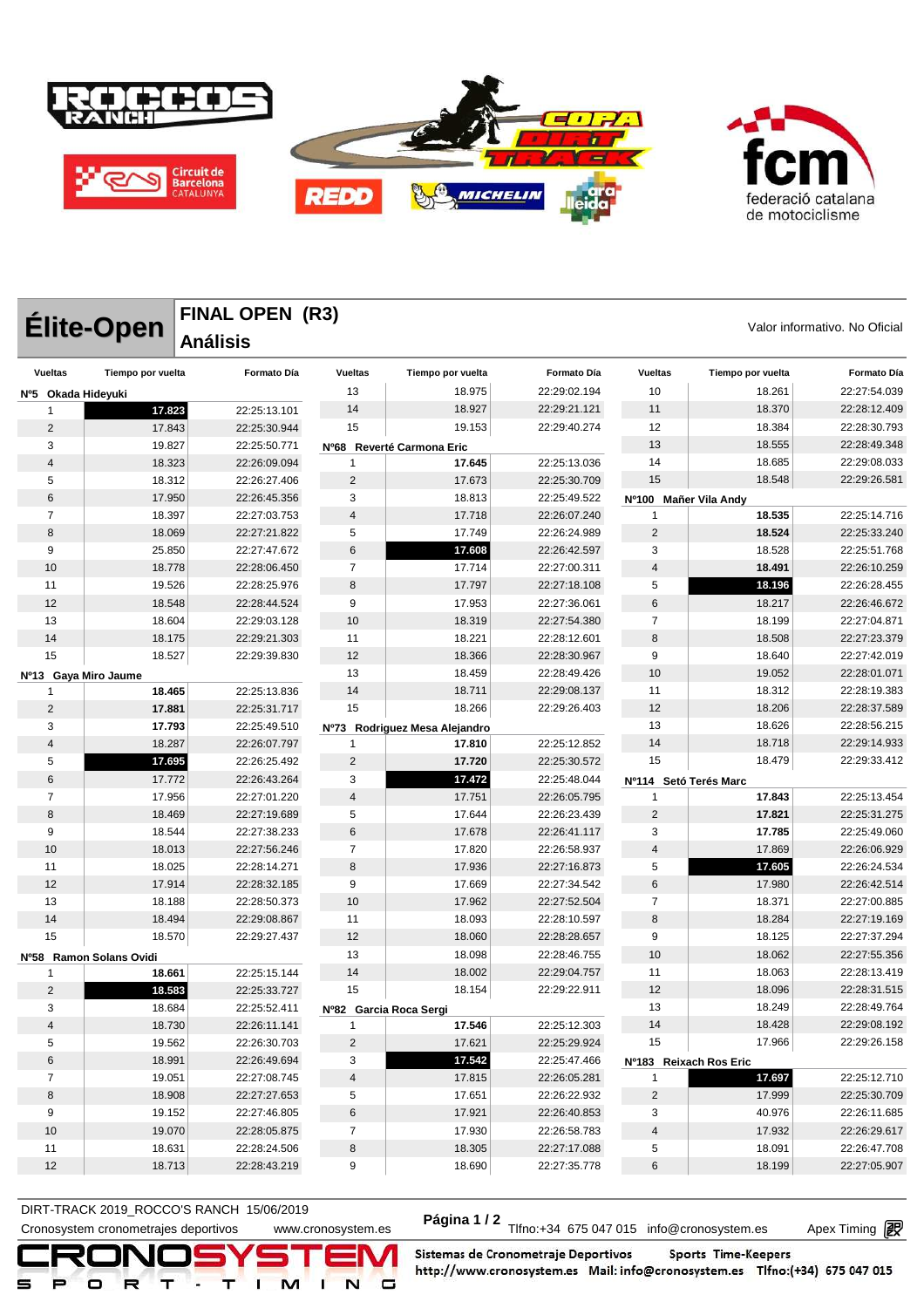



**Élite-Open** FINAL UPEN (K3)<br>
Valor informativo. No Oficial **FINAL OPEN (R3) Análisis Vueltas Tiempo por vuelta Formato Día Nº5 Okada Hideyuki 17.823** 22:25:13.101 17.843 22:25:30.944 19.827 22:25:50.771 18.323 22:26:09.094 18.312 22:26:27.406 17.950 22:26:45.356 18.397 22:27:03.753 18.069 22:27:21.822 25.850 22:27:47.672 18.778 22:28:06.450 19.526 22:28:25.976 18.548 22:28:44.524 18.604 22:29:03.128 18.175 22:29:21.303 18.527 22:29:39.830 **Nº13 Gaya Miro Jaume 18.465** 22:25:13.836 **17.881** 22:25:31.717 **17.793** 22:25:49.510 18.287 22:26:07.797 **17.695** 22:26:25.492 17.772 22:26:43.264 7 17.956 22:27:01.220 8 18.469 22:27:19.689 18.544 22:27:38.233 18.013 22:27:56.246 18.025 22:28:14.271 17.914 22:28:32.185 18.188 22:28:50.373 18.494 22:29:08.867 18.570 22:29:27.437 **Nº58 Ramon Solans Ovidi 18.661** 22:25:15.144 **18.583** 22:25:33.727 18.684 22:25:52.411 18.730 22:26:11.141 19.562 22:26:30.703 18.991 22:26:49.694 19.051 22:27:08.745 18.908 22:27:27.653 19.152 22:27:46.805 19.070 22:28:05.875 18.631 22:28:24.506 **Vueltas Tiempo por vuelta Formato Día** 18.975 22:29:02.194 18.927 22:29:21.121 19.153 22:29:40.274 **Nº68 Reverté Carmona Eric 17.645** 22:25:13.036 17.673 22:25:30.709 18.813 22:25:49.522 17.718 22:26:07.240 17.749 22:26:24.989 **17.608** 22:26:42.597 17.714 22:27:00.311 17.797 22:27:18.108 17.953 22:27:36.061 18.319 22:27:54.380 18.221 22:28:12.601 18.366 22:28:30.967 13 18.459 22:28:49.426 18.711 22:29:08.137 18.266 22:29:26.403 **Nº73 Rodriguez Mesa Alejandro 17.810** 22:25:12.852 **17.720** 22:25:30.572 **17.472** 22:25:48.044 4 17.751 22:26:05.795 17.644 22:26:23.439 17.678 22:26:41.117 17.820 22:26:58.937 8 17.936 22:27:16.873 17.669 22:27:34.542 17.962 22:27:52.504 18.093 22:28:10.597 18.060 22:28:28.657 18.098 22:28:46.755 18.002 22:29:04.757 18.154 22:29:22.911 **Nº82 Garcia Roca Sergi 17.546** 22:25:12.303 17.621 22:25:29.924 **17.542** 22:25:47.466 17.815 22:26:05.281 17.651 22:26:22.932 17.921 22:26:40.853 17.930 22:26:58.783 8 18.305 22:27:17.088 **Vueltas Tiempo por vuelta Formato Día** 18.261 22:27:54.039 18.370 22:28:12.409 18.384 22:28:30.793 18.555 22:28:49.348 18.685 22:29:08.033 18.548 22:29:26.581 **Nº100 Mañer Vila Andy 18.535** 22:25:14.716 **18.524** 22:25:33.240 18.528 22:25:51.768 **18.491** 22:26:10.259 **18.196** 22:26:28.455 18.217 22:26:46.672 18.199 22:27:04.871 8 18.508 22:27:23.379 18.640 22:27:42.019 10 19.052 22:28:01.071 11 18.312 22:28:19.383 12 18.206 22:28:37.589 18.626 22:28:56.215 14 18.718 22:29:14.933 18.479 22:29:33.412 **Nº114 Setó Terés Marc 17.843** 22:25:13.454 **17.821** 22:25:31.275 **17.785** 22:25:49.060 17.869 22:26:06.929 **17.605** 22:26:24.534 17.980 22:26:42.514 18.371 22:27:00.885 8 18.284 22:27:19.169 18.125 22:27:37.294 18.062 22:27:55.356 18.063 22:28:13.419 18.096 22:28:31.515 18.249 22:28:49.764 18.428 22:29:08.192 17.966 22:29:26.158 **Nº183 Reixach Ros Eric 17.697** 22:25:12.710 17.999 22:25:30.709 40.976 22:26:11.685 17.932 22:26:29.617 18.091 22:26:47.708

Cronosystem cronometrajes deportivos www.cronosystem.es Página 1 / 2<br>Cronosystem cronometrajes deportivos www.cronosystem.es Página 1 / 2 Tlfno:+34 675 047 015 info@cronosystem.es Apex Timing DIRT-TRACK 2019\_ROCCO'S RANCH 15/06/2019

18.713 22:28:43.219

18.690 22:27:35.778

18.199 22:27:05.907

Apex Timing - timing solutions and services http://www.apex-timing.com/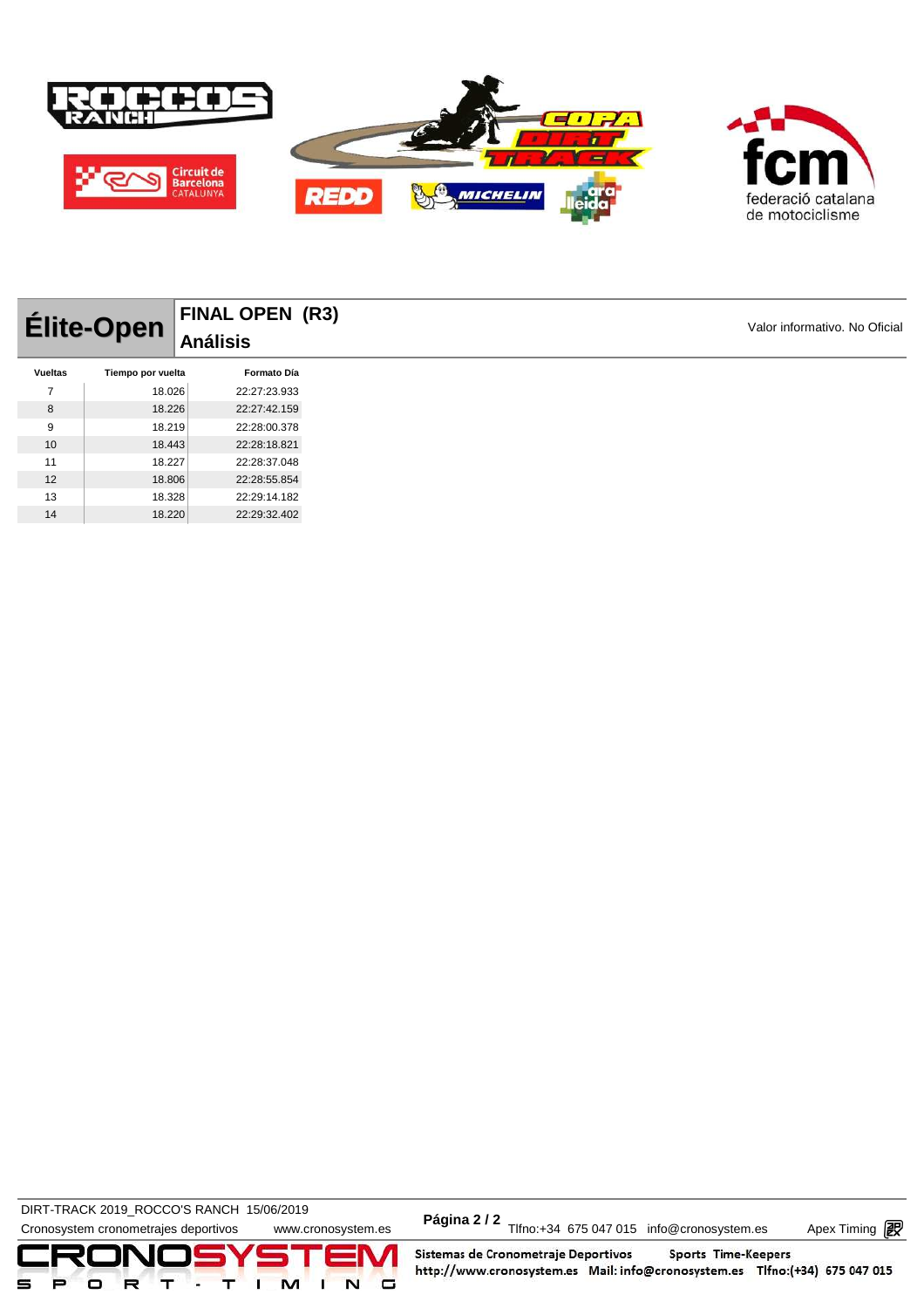

| Élite-Open     |                   | <b>FINAL OPEN (R3)</b><br>Análisis |  |  |
|----------------|-------------------|------------------------------------|--|--|
| <b>Vueltas</b> | Tiempo por vuelta | <b>Formato Día</b>                 |  |  |
| ⇁              | 18.026            | 22:27:23.933                       |  |  |
| 8              | 18.226            | 22:27:42.159                       |  |  |
| 9              | 18.219            | 22:28:00.378                       |  |  |
| 10             | 18.443            | 22:28:18.821                       |  |  |
| 11             | 18.227            | 22:28:37.048                       |  |  |
| 12             | 18.806            | 22:28:55.854                       |  |  |
| 13             | 18.328            | 22:29:14.182                       |  |  |
| 14             | 18.220            | 22:29:32.402                       |  |  |

DIRT-TRACK 2019\_ROCCO STANCH 19/00/2019<br>Cronosystem cronometrajes deportivos www.cronosystem.es Página 2/2 Tlfno:+34 675 047 015 info@cronosystem.es Apex Timing DIRT-TRACK 2019\_ROCCO'S RANCH 15/06/2019 **Página 2 / 2**



Apex Timing - timing solutions and services http://www.apex-timing.com/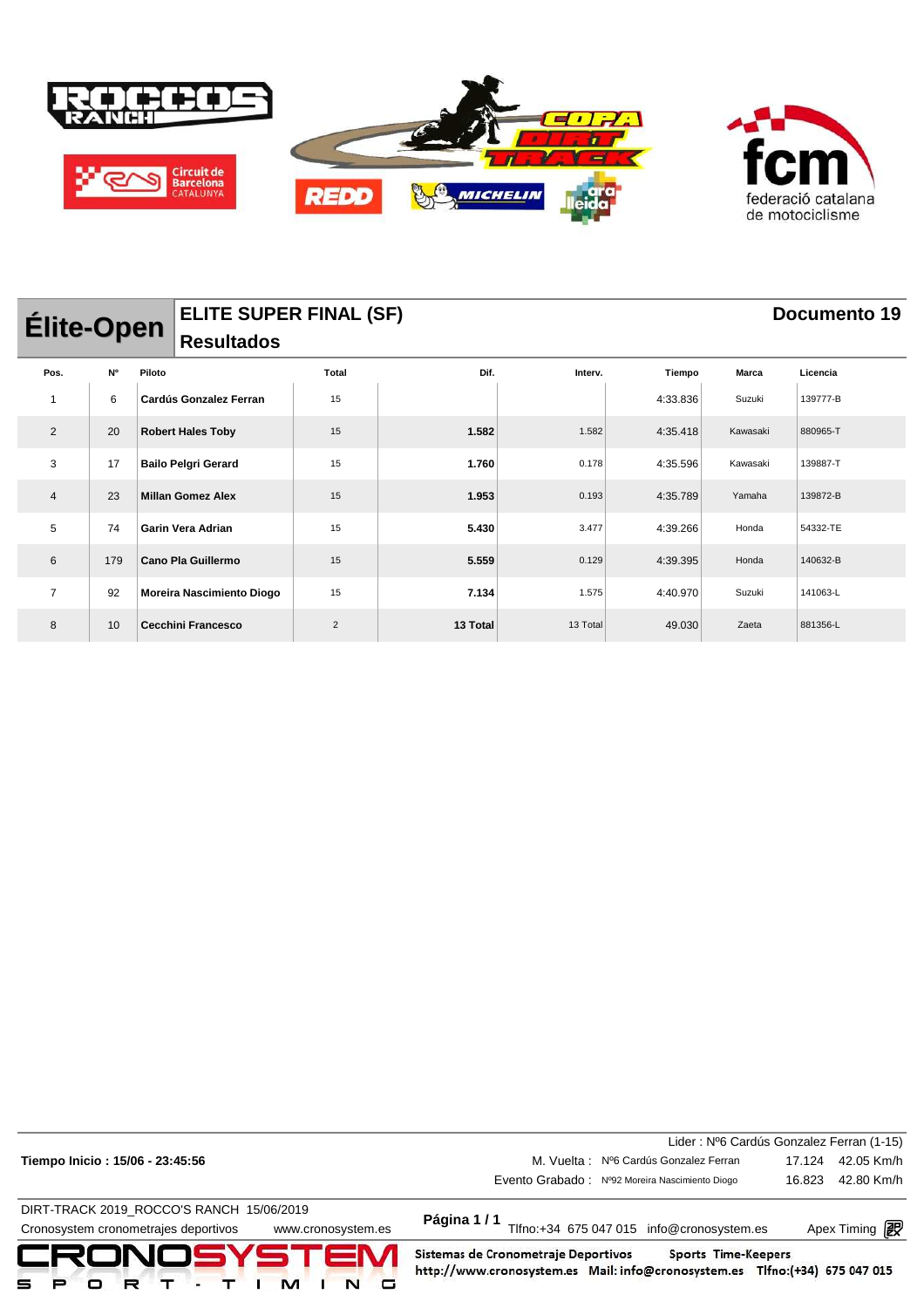

| <b>Élite-Open</b> |           |        | <b>ELITE SUPER FINAL (SF)</b><br><b>Resultados</b> |                |          |          |          |          | <b>Documento 19</b> |
|-------------------|-----------|--------|----------------------------------------------------|----------------|----------|----------|----------|----------|---------------------|
| Pos.              | <b>N°</b> | Piloto |                                                    | Total          | Dif.     | Interv.  | Tiempo   | Marca    | Licencia            |
| 1                 | 6         |        | Cardús Gonzalez Ferran                             | 15             |          |          | 4:33.836 | Suzuki   | 139777-B            |
| $\overline{2}$    | 20        |        | <b>Robert Hales Toby</b>                           | 15             | 1.582    | 1.582    | 4:35.418 | Kawasaki | 880965-T            |
| 3                 | 17        |        | <b>Bailo Pelgri Gerard</b>                         | 15             | 1.760    | 0.178    | 4:35.596 | Kawasaki | 139887-T            |
| $\overline{4}$    | 23        |        | <b>Millan Gomez Alex</b>                           | 15             | 1.953    | 0.193    | 4:35.789 | Yamaha   | 139872-B            |
| 5                 | 74        |        | <b>Garin Vera Adrian</b>                           | 15             | 5.430    | 3.477    | 4:39.266 | Honda    | 54332-TE            |
| 6                 | 179       |        | Cano Pla Guillermo                                 | 15             | 5.559    | 0.129    | 4:39.395 | Honda    | 140632-B            |
| $\overline{7}$    | 92        |        | Moreira Nascimiento Diogo                          | 15             | 7.134    | 1.575    | 4:40.970 | Suzuki   | 141063-L            |
| 8                 | 10        |        | <b>Cecchini Francesco</b>                          | $\overline{2}$ | 13 Total | 13 Total | 49.030   | Zaeta    | 881356-L            |

| CRONOSYSTEM<br>□<br>м                                      | Sistemas de Cronometraje Deportivos<br>Sports Time-Keepers<br>http://www.cronosystem.es Mail: info@cronosystem.es Tlfno:(+34) 675 047 015 |                                          |  |  |  |  |
|------------------------------------------------------------|-------------------------------------------------------------------------------------------------------------------------------------------|------------------------------------------|--|--|--|--|
| Cronosystem cronometrajes deportivos<br>www.cronosystem.es | Tlfno:+34 675 047 015 info@cronosystem.es<br>Apex Timing <b>ng</b>                                                                        |                                          |  |  |  |  |
| DIRT-TRACK 2019 ROCCO'S RANCH 15/06/2019                   | Página 1/1                                                                                                                                |                                          |  |  |  |  |
|                                                            | Evento Grabado: Nº92 Moreira Nascimiento Diogo                                                                                            | 42.80 Km/h<br>16.823                     |  |  |  |  |
| Tiempo Inicio: 15/06 - 23:45:56                            | M. Vuelta: Nº6 Cardús Gonzalez Ferran                                                                                                     | 42.05 Km/h<br>17.124                     |  |  |  |  |
|                                                            |                                                                                                                                           | Lider: Nº6 Cardús Gonzalez Ferran (1-15) |  |  |  |  |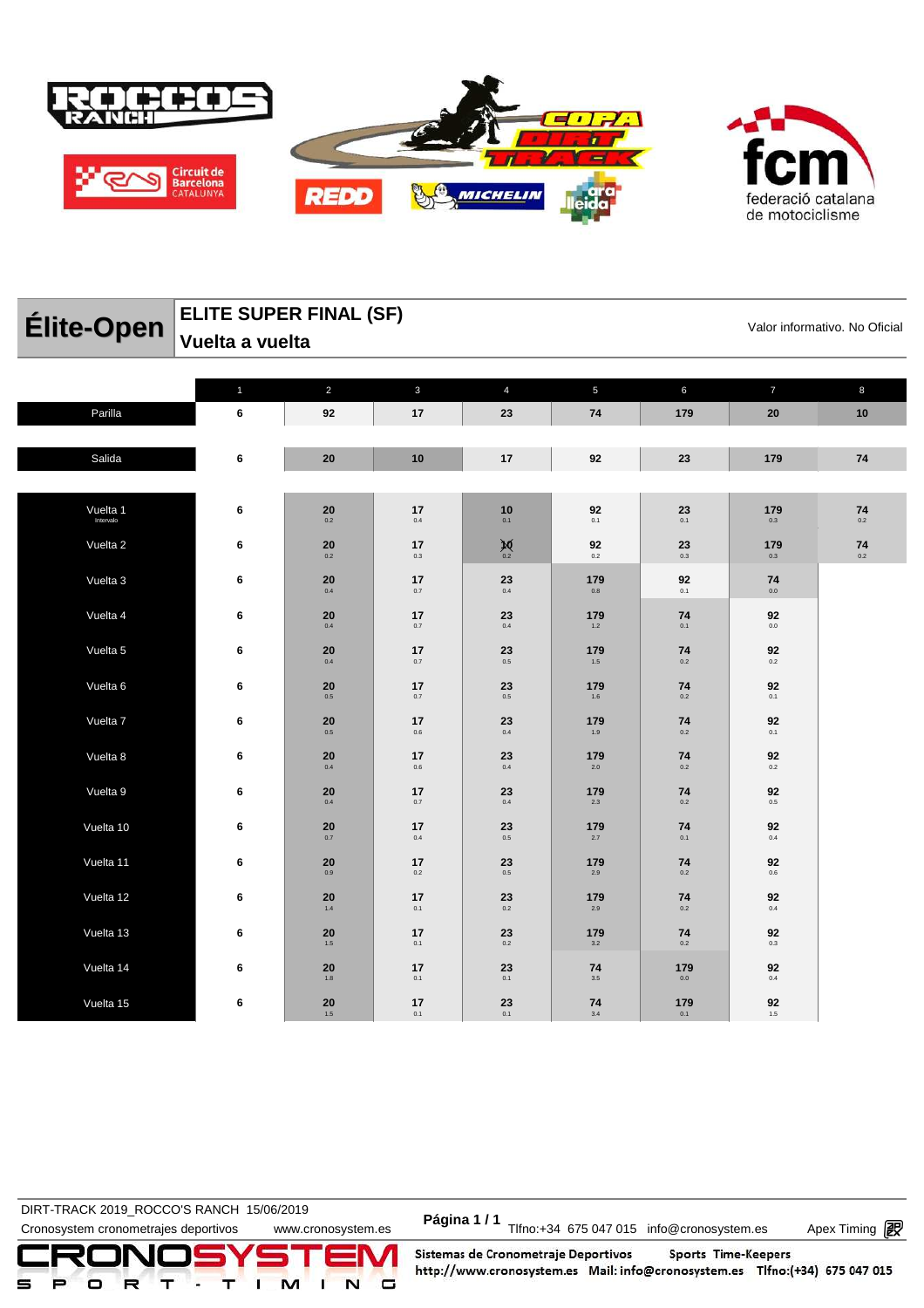



| Élite-Open            | <b>ELITE SUPER FINAL (SF)</b><br>Valor informativo. No Oficial |                |               |                |                |                |                |            |  |  |  |  |
|-----------------------|----------------------------------------------------------------|----------------|---------------|----------------|----------------|----------------|----------------|------------|--|--|--|--|
|                       | Vuelta a vuelta                                                |                |               |                |                |                |                |            |  |  |  |  |
|                       |                                                                |                |               |                |                |                |                |            |  |  |  |  |
|                       | $\mathbf{1}$                                                   | $\overline{2}$ | $\mathbf{3}$  | $\overline{4}$ | $\overline{5}$ | $6\phantom{a}$ | $\overline{7}$ | 8          |  |  |  |  |
| Parilla               | 6                                                              | 92             | 17            | 23             | 74             | 179            | 20             | 10         |  |  |  |  |
| Salida                | 6                                                              | 20             | 10            | 17             | 92             | 23             | 179            | ${\bf 74}$ |  |  |  |  |
|                       |                                                                |                |               |                |                |                |                |            |  |  |  |  |
| Vuelta 1<br>Intervalo | 6                                                              | 20<br>0.2      | 17<br>0.4     | 10<br>0.1      | 92<br>0.1      | 23<br>0.1      | 179<br>0.3     | 74<br>0.2  |  |  |  |  |
| Vuelta <sub>2</sub>   | 6                                                              | 20<br>0.2      | 17<br>$0.3\,$ | $\sum_{0.2}$   | 92<br>0.2      | 23<br>0.3      | 179<br>0.3     | 74<br>0.2  |  |  |  |  |
| Vuelta 3              | 6                                                              | 20<br>$0.4\,$  | 17<br>$0.7\,$ | 23<br>$0.4\,$  | 179<br>$0.8\,$ | 92<br>0.1      | 74<br>$0.0\,$  |            |  |  |  |  |
| Vuelta 4              | 6                                                              | 20<br>$0.4\,$  | 17<br>$0.7\,$ | 23<br>0.4      | 179<br>1.2     | 74<br>0.1      | 92<br>$0.0\,$  |            |  |  |  |  |
| Vuelta 5              | 6                                                              | 20<br>0.4      | 17<br>$0.7\,$ | 23<br>0.5      | 179<br>$1.5\,$ | 74<br>$0.2\,$  | 92<br>0.2      |            |  |  |  |  |
| Vuelta <sub>6</sub>   | 6                                                              | 20<br>$0.5\,$  | 17<br>$0.7\,$ | 23<br>$0.5\,$  | 179<br>$1.6\,$ | 74<br>$0.2\,$  | 92<br>0.1      |            |  |  |  |  |
| Vuelta 7              | 6                                                              | 20<br>$0.5\,$  | 17<br>$0.6\,$ | 23<br>0.4      | 179<br>$1.9$   | 74<br>$0.2\,$  | 92<br>0.1      |            |  |  |  |  |
| Vuelta 8              | 6                                                              | 20<br>0.4      | 17<br>0.6     | 23<br>0.4      | 179<br>2.0     | 74<br>0.2      | 92<br>0.2      |            |  |  |  |  |
| Vuelta 9              | 6                                                              | 20<br>$0.4\,$  | 17<br>$0.7\,$ | 23<br>0.4      | 179<br>2.3     | 74<br>0.2      | 92<br>$0.5\,$  |            |  |  |  |  |
| Vuelta 10             | 6                                                              | 20<br>0.7      | 17<br>$0.4\,$ | 23<br>$0.5\,$  | 179<br>2.7     | 74<br>0.1      | 92<br>0.4      |            |  |  |  |  |
| Vuelta 11             | 6                                                              | 20<br>0.9      | 17<br>$0.2\,$ | 23<br>$0.5\,$  | 179<br>2.9     | 74<br>$0.2\,$  | 92<br>$0.6\,$  |            |  |  |  |  |
| Vuelta 12             | 6                                                              | 20<br>$1.4\,$  | 17<br>0.1     | 23<br>0.2      | 179<br>2.9     | 74<br>$0.2\,$  | 92<br>0.4      |            |  |  |  |  |
| Vuelta 13             | 6                                                              | 20<br>1.5      | 17<br>0.1     | 23<br>0.2      | 179<br>3.2     | 74<br>0.2      | 92<br>0.3      |            |  |  |  |  |
| Vuelta 14             | 6                                                              | 20<br>1.8      | 17<br>0.1     | 23<br>0.1      | 74<br>3.5      | 179<br>0.0     | 92<br>0.4      |            |  |  |  |  |
| Vuelta 15             | 6                                                              | 20<br>1.5      | 17<br>0.1     | 23<br>0.1      | 74<br>$3.4\,$  | 179<br>0.1     | 92<br>$1.5\,$  |            |  |  |  |  |

DIRT-TRACK 2019\_ROCCO STANCH 19/00/2019<br>Cronosystem cronometrajes deportivos www.cronosystem.es Página 1/1 Tlfno:+34 675 047 015 info@cronosystem.es Apex Timing **DIRT-TRACK 2019\_ROCCO'S RANCH 15/06/2019** 

Apex Timing - timing solutions and services http://www.apex-timing.com/